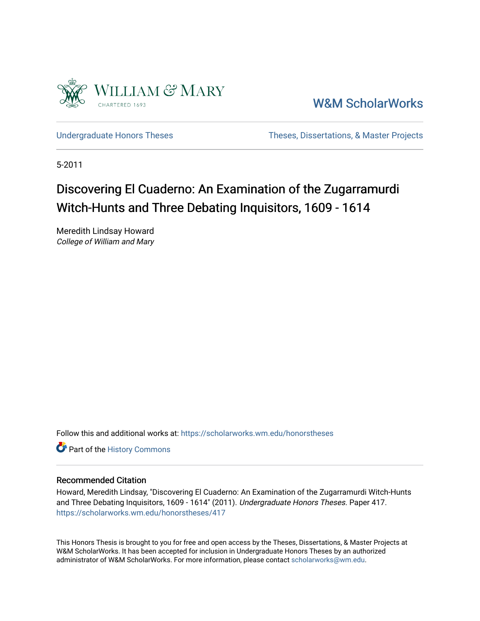

[W&M ScholarWorks](https://scholarworks.wm.edu/) 

[Undergraduate Honors Theses](https://scholarworks.wm.edu/honorstheses) Theses Theses, Dissertations, & Master Projects

5-2011

# Discovering El Cuaderno: An Examination of the Zugarramurdi Witch-Hunts and Three Debating Inquisitors, 1609 - 1614

Meredith Lindsay Howard College of William and Mary

Follow this and additional works at: [https://scholarworks.wm.edu/honorstheses](https://scholarworks.wm.edu/honorstheses?utm_source=scholarworks.wm.edu%2Fhonorstheses%2F417&utm_medium=PDF&utm_campaign=PDFCoverPages) 

Part of the [History Commons](http://network.bepress.com/hgg/discipline/489?utm_source=scholarworks.wm.edu%2Fhonorstheses%2F417&utm_medium=PDF&utm_campaign=PDFCoverPages) 

# Recommended Citation

Howard, Meredith Lindsay, "Discovering El Cuaderno: An Examination of the Zugarramurdi Witch-Hunts and Three Debating Inquisitors, 1609 - 1614" (2011). Undergraduate Honors Theses. Paper 417. [https://scholarworks.wm.edu/honorstheses/417](https://scholarworks.wm.edu/honorstheses/417?utm_source=scholarworks.wm.edu%2Fhonorstheses%2F417&utm_medium=PDF&utm_campaign=PDFCoverPages) 

This Honors Thesis is brought to you for free and open access by the Theses, Dissertations, & Master Projects at W&M ScholarWorks. It has been accepted for inclusion in Undergraduate Honors Theses by an authorized administrator of W&M ScholarWorks. For more information, please contact [scholarworks@wm.edu.](mailto:scholarworks@wm.edu)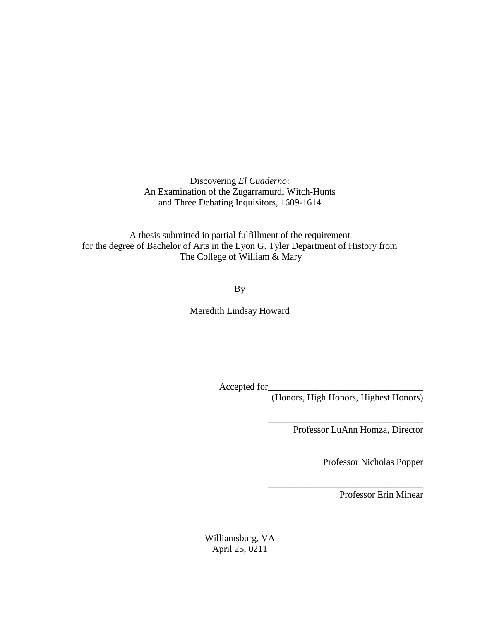Discovering *El Cuaderno*: An Examination of the Zugarramurdi Witch-Hunts and Three Debating Inquisitors, 1609-1614

A thesis submitted in partial fulfillment of the requirement for the degree of Bachelor of Arts in the Lyon G. Tyler Department of History from The College of William & Mary

By

Meredith Lindsay Howard

Accepted for\_

(Honors, High Honors, Highest Honors)

\_\_\_\_\_\_\_\_\_\_\_\_\_\_\_\_\_\_\_\_\_\_\_\_\_\_\_\_\_\_\_\_\_

\_\_\_\_\_\_\_\_\_\_\_\_\_\_\_\_\_\_\_\_\_\_\_\_\_\_\_\_\_\_\_\_\_

\_\_\_\_\_\_\_\_\_\_\_\_\_\_\_\_\_\_\_\_\_\_\_\_\_\_\_\_\_\_\_\_\_

Professor LuAnn Homza, Director

Professor Nicholas Popper

Professor Erin Minear

Williamsburg, VA April 25, 0211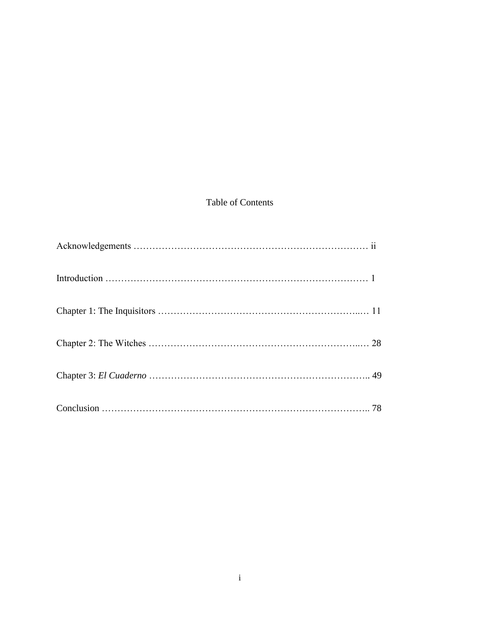# Table of Contents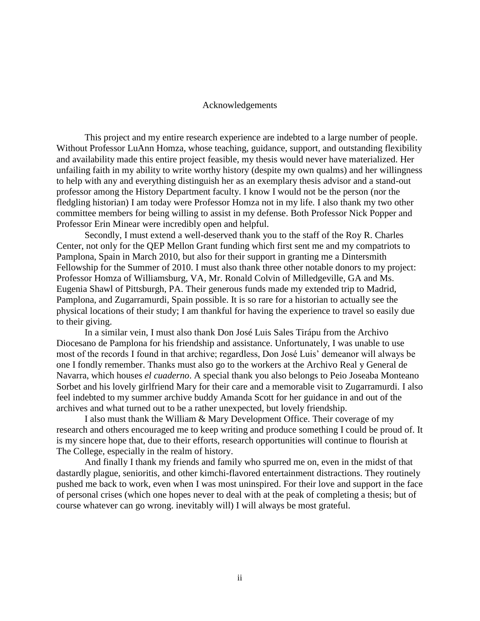#### Acknowledgements

This project and my entire research experience are indebted to a large number of people. Without Professor LuAnn Homza, whose teaching, guidance, support, and outstanding flexibility and availability made this entire project feasible, my thesis would never have materialized. Her unfailing faith in my ability to write worthy history (despite my own qualms) and her willingness to help with any and everything distinguish her as an exemplary thesis advisor and a stand-out professor among the History Department faculty. I know I would not be the person (nor the fledgling historian) I am today were Professor Homza not in my life. I also thank my two other committee members for being willing to assist in my defense. Both Professor Nick Popper and Professor Erin Minear were incredibly open and helpful.

Secondly, I must extend a well-deserved thank you to the staff of the Roy R. Charles Center, not only for the QEP Mellon Grant funding which first sent me and my compatriots to Pamplona, Spain in March 2010, but also for their support in granting me a Dintersmith Fellowship for the Summer of 2010. I must also thank three other notable donors to my project: Professor Homza of Williamsburg, VA, Mr. Ronald Colvin of Milledgeville, GA and Ms. Eugenia Shawl of Pittsburgh, PA. Their generous funds made my extended trip to Madrid, Pamplona, and Zugarramurdi, Spain possible. It is so rare for a historian to actually see the physical locations of their study; I am thankful for having the experience to travel so easily due to their giving.

In a similar vein, I must also thank Don José Luis Sales Tirápu from the Archivo Diocesano de Pamplona for his friendship and assistance. Unfortunately, I was unable to use most of the records I found in that archive; regardless, Don José Luis' demeanor will always be one I fondly remember. Thanks must also go to the workers at the Archivo Real y General de Navarra, which houses *el cuaderno*. A special thank you also belongs to Peio Joseaba Monteano Sorbet and his lovely girlfriend Mary for their care and a memorable visit to Zugarramurdi. I also feel indebted to my summer archive buddy Amanda Scott for her guidance in and out of the archives and what turned out to be a rather unexpected, but lovely friendship.

I also must thank the William & Mary Development Office. Their coverage of my research and others encouraged me to keep writing and produce something I could be proud of. It is my sincere hope that, due to their efforts, research opportunities will continue to flourish at The College, especially in the realm of history.

And finally I thank my friends and family who spurred me on, even in the midst of that dastardly plague, senioritis, and other kimchi-flavored entertainment distractions. They routinely pushed me back to work, even when I was most uninspired. For their love and support in the face of personal crises (which one hopes never to deal with at the peak of completing a thesis; but of course whatever can go wrong. inevitably will) I will always be most grateful.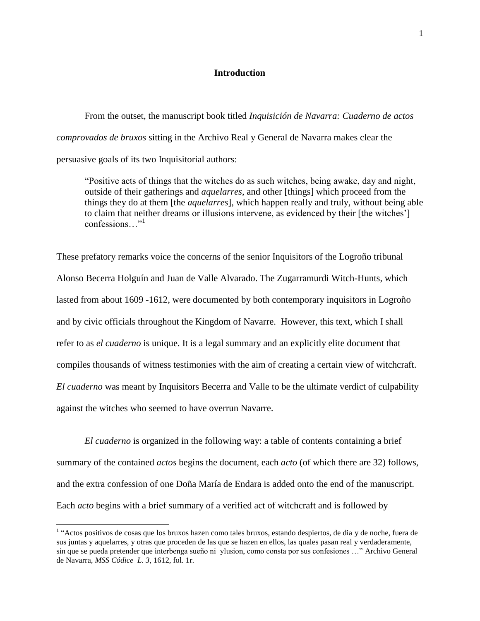## **Introduction**

From the outset, the manuscript book titled *Inquisición de Navarra: Cuaderno de actos comprovados de bruxos* sitting in the Archivo Real y General de Navarra makes clear the persuasive goals of its two Inquisitorial authors:

"Positive acts of things that the witches do as such witches, being awake, day and night, outside of their gatherings and *aquelarres*, and other [things] which proceed from the things they do at them [the *aquelarres*], which happen really and truly, without being able to claim that neither dreams or illusions intervene, as evidenced by their [the witches"] confessions "<sup>1</sup>

These prefatory remarks voice the concerns of the senior Inquisitors of the Logroño tribunal Alonso Becerra Holguín and Juan de Valle Alvarado. The Zugarramurdi Witch-Hunts, which lasted from about 1609 -1612, were documented by both contemporary inquisitors in Logroño and by civic officials throughout the Kingdom of Navarre. However, this text, which I shall refer to as *el cuaderno* is unique. It is a legal summary and an explicitly elite document that compiles thousands of witness testimonies with the aim of creating a certain view of witchcraft. *El cuaderno* was meant by Inquisitors Becerra and Valle to be the ultimate verdict of culpability against the witches who seemed to have overrun Navarre.

*El cuaderno* is organized in the following way: a table of contents containing a brief summary of the contained *actos* begins the document, each *acto* (of which there are 32) follows, and the extra confession of one Doña María de Endara is added onto the end of the manuscript. Each *acto* begins with a brief summary of a verified act of witchcraft and is followed by

<sup>&</sup>lt;sup>1</sup> "Actos positivos de cosas que los bruxos hazen como tales bruxos, estando despiertos, de dia y de noche, fuera de sus juntas y aquelarres, y otras que proceden de las que se hazen en ellos, las quales pasan real y verdaderamente, sin que se pueda pretender que interbenga sueño ni ylusion, como consta por sus confesiones …" Archivo General de Navarra, *MSS Códice L. 3*, 1612, fol. 1r.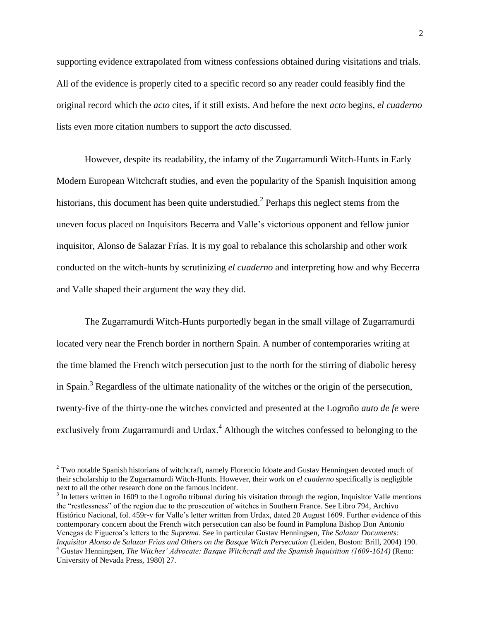supporting evidence extrapolated from witness confessions obtained during visitations and trials. All of the evidence is properly cited to a specific record so any reader could feasibly find the original record which the *acto* cites, if it still exists. And before the next *acto* begins, *el cuaderno*  lists even more citation numbers to support the *acto* discussed.

However, despite its readability, the infamy of the Zugarramurdi Witch-Hunts in Early Modern European Witchcraft studies, and even the popularity of the Spanish Inquisition among historians, this document has been quite understudied.<sup>2</sup> Perhaps this neglect stems from the uneven focus placed on Inquisitors Becerra and Valle"s victorious opponent and fellow junior inquisitor, Alonso de Salazar Frías. It is my goal to rebalance this scholarship and other work conducted on the witch-hunts by scrutinizing *el cuaderno* and interpreting how and why Becerra and Valle shaped their argument the way they did.

The Zugarramurdi Witch-Hunts purportedly began in the small village of Zugarramurdi located very near the French border in northern Spain. A number of contemporaries writing at the time blamed the French witch persecution just to the north for the stirring of diabolic heresy in Spain.<sup>3</sup> Regardless of the ultimate nationality of the witches or the origin of the persecution, twenty-five of the thirty-one the witches convicted and presented at the Logroño *auto de fe* were exclusively from Zugarramurdi and Urdax.<sup>4</sup> Although the witches confessed to belonging to the

 $2$  Two notable Spanish historians of witchcraft, namely Florencio Idoate and Gustav Henningsen devoted much of their scholarship to the Zugarramurdi Witch-Hunts. However, their work on *el cuaderno* specifically is negligible next to all the other research done on the famous incident.

 $3$  In letters written in 1609 to the Logroño tribunal during his visitation through the region, Inquisitor Valle mentions the "restlessness" of the region due to the prosecution of witches in Southern France. See Libro 794, Archivo Histórico Nacional, fol. 459r-v for Valle"s letter written from Urdax, dated 20 August 1609. Further evidence of this contemporary concern about the French witch persecution can also be found in Pamplona Bishop Don Antonio Venegas de Figueroa"s letters to the *Suprema*. See in particular Gustav Henningsen, *The Salazar Documents: Inquisitor Alonso de Salazar Frìas and Others on the Basque Witch Persecution* (Leiden, Boston: Brill, 2004) 190.

<sup>4</sup> Gustav Henningsen, *The Witches' Advocate: Basque Witchcraft and the Spanish Inquisition (1609-1614)* (Reno: University of Nevada Press, 1980) 27.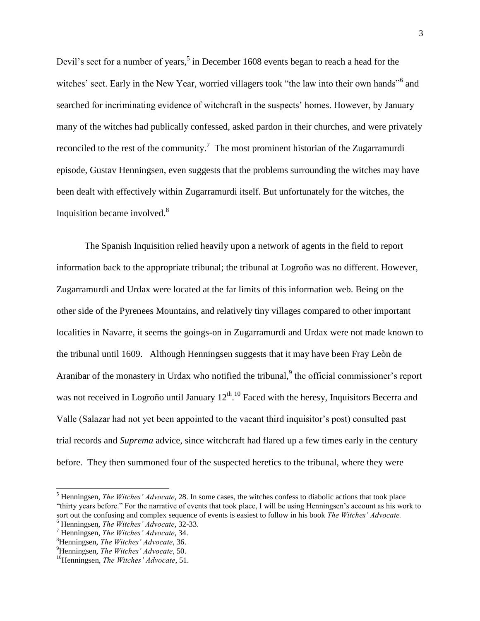Devil's sect for a number of years,<sup>5</sup> in December 1608 events began to reach a head for the witches' sect. Early in the New Year, worried villagers took "the law into their own hands"<sup>6</sup> and searched for incriminating evidence of witchcraft in the suspects' homes. However, by January many of the witches had publically confessed, asked pardon in their churches, and were privately reconciled to the rest of the community.<sup>7</sup> The most prominent historian of the Zugarramurdi episode, Gustav Henningsen, even suggests that the problems surrounding the witches may have been dealt with effectively within Zugarramurdi itself. But unfortunately for the witches, the Inquisition became involved.<sup>8</sup>

The Spanish Inquisition relied heavily upon a network of agents in the field to report information back to the appropriate tribunal; the tribunal at Logroño was no different. However, Zugarramurdi and Urdax were located at the far limits of this information web. Being on the other side of the Pyrenees Mountains, and relatively tiny villages compared to other important localities in Navarre, it seems the goings-on in Zugarramurdi and Urdax were not made known to the tribunal until 1609. Although Henningsen suggests that it may have been Fray Leòn de Aranibar of the monastery in Urdax who notified the tribunal, $9$  the official commissioner's report was not received in Logroño until January  $12^{th}$ .<sup>10</sup> Faced with the heresy, Inquisitors Becerra and Valle (Salazar had not yet been appointed to the vacant third inquisitor"s post) consulted past trial records and *Suprema* advice, since witchcraft had flared up a few times early in the century before. They then summoned four of the suspected heretics to the tribunal, where they were

<sup>5</sup> Henningsen, *The Witches' Advocate*, 28. In some cases, the witches confess to diabolic actions that took place "thirty years before." For the narrative of events that took place, I will be using Henningsen"s account as his work to sort out the confusing and complex sequence of events is easiest to follow in his book *The Witches' Advocate.*

<sup>6</sup> Henningsen, *The Witches' Advocate*, 32-33.

<sup>7</sup> Henningsen, *The Witches' Advocate*, 34.

<sup>8</sup>Henningsen, *The Witches' Advocate*, 36.

<sup>9</sup>Henningsen, *The Witches' Advocate*, 50.

<sup>10</sup>Henningsen, *The Witches' Advocate*, 51.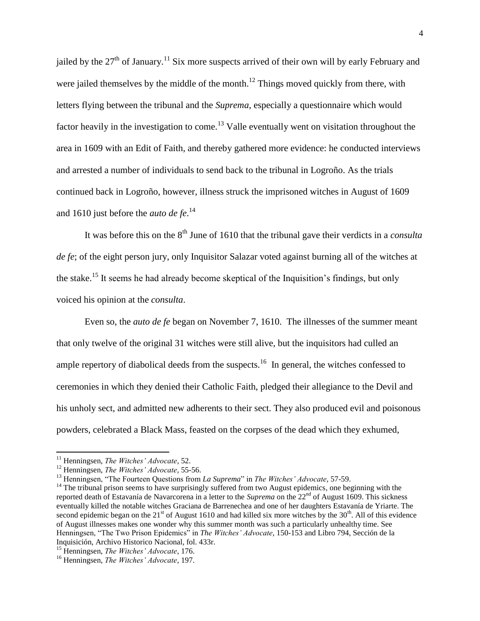jailed by the  $27<sup>th</sup>$  of January.<sup>11</sup> Six more suspects arrived of their own will by early February and were jailed themselves by the middle of the month.<sup>12</sup> Things moved quickly from there, with letters flying between the tribunal and the *Suprema*, especially a questionnaire which would factor heavily in the investigation to come.<sup>13</sup> Valle eventually went on visitation throughout the area in 1609 with an Edit of Faith, and thereby gathered more evidence: he conducted interviews and arrested a number of individuals to send back to the tribunal in Logroño. As the trials continued back in Logroño, however, illness struck the imprisoned witches in August of 1609 and 1610 just before the *auto de fe*. 14

It was before this on the 8<sup>th</sup> June of 1610 that the tribunal gave their verdicts in a *consulta de fe*; of the eight person jury, only Inquisitor Salazar voted against burning all of the witches at the stake.<sup>15</sup> It seems he had already become skeptical of the Inquisition's findings, but only voiced his opinion at the *consulta*.

Even so, the *auto de fe* began on November 7, 1610. The illnesses of the summer meant that only twelve of the original 31 witches were still alive, but the inquisitors had culled an ample repertory of diabolical deeds from the suspects.<sup>16</sup> In general, the witches confessed to ceremonies in which they denied their Catholic Faith, pledged their allegiance to the Devil and his unholy sect, and admitted new adherents to their sect. They also produced evil and poisonous powders, celebrated a Black Mass, feasted on the corpses of the dead which they exhumed,

<sup>11</sup> Henningsen, *The Witches' Advocate,* 52.

<sup>12</sup> Henningsen, *The Witches' Advocate,* 55-56.

<sup>13</sup> Henningsen, "The Fourteen Questions from *La Suprema*" in *The Witches' Advocate*, 57-59.

<sup>&</sup>lt;sup>14</sup> The tribunal prison seems to have surprisingly suffered from two August epidemics, one beginning with the reported death of Estavanía de Navarcorena in a letter to the *Suprema* on the 22<sup>nd</sup> of August 1609. This sickness eventually killed the notable witches Graciana de Barrenechea and one of her daughters Estavanía de Yriarte. The second epidemic began on the  $21<sup>st</sup>$  of August 1610 and had killed six more witches by the  $30<sup>th</sup>$ . All of this evidence of August illnesses makes one wonder why this summer month was such a particularly unhealthy time. See Henningsen, "The Two Prison Epidemics" in *The Witches' Advocate*, 150-153 and Libro 794, Sección de la Inquisición, Archivo Historico Nacional, fol. 433r.

<sup>15</sup> Henningsen, *The Witches' Advocate*, 176.

<sup>16</sup> Henningsen, *The Witches' Advocate,* 197.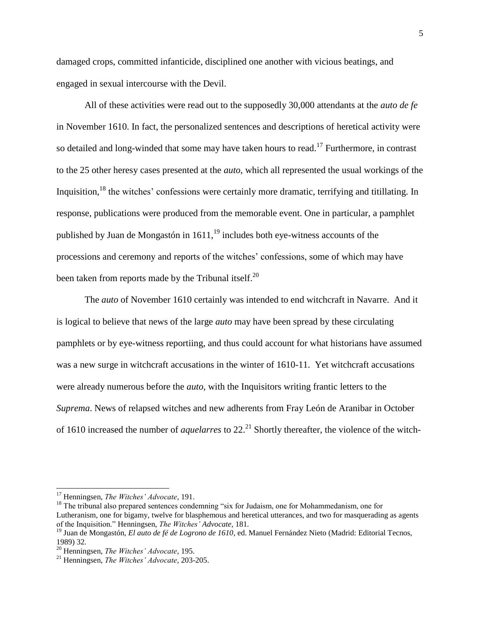damaged crops, committed infanticide, disciplined one another with vicious beatings, and engaged in sexual intercourse with the Devil.

All of these activities were read out to the supposedly 30,000 attendants at the *auto de fe* in November 1610. In fact, the personalized sentences and descriptions of heretical activity were so detailed and long-winded that some may have taken hours to read.<sup>17</sup> Furthermore, in contrast to the 25 other heresy cases presented at the *auto*, which all represented the usual workings of the Inquisition,<sup>18</sup> the witches' confessions were certainly more dramatic, terrifying and titillating. In response, publications were produced from the memorable event. One in particular, a pamphlet published by Juan de Mongastón in  $1611<sup>19</sup>$  includes both eye-witness accounts of the processions and ceremony and reports of the witches" confessions, some of which may have been taken from reports made by the Tribunal itself.<sup>20</sup>

The *auto* of November 1610 certainly was intended to end witchcraft in Navarre. And it is logical to believe that news of the large *auto* may have been spread by these circulating pamphlets or by eye-witness reportiing, and thus could account for what historians have assumed was a new surge in witchcraft accusations in the winter of 1610-11. Yet witchcraft accusations were already numerous before the *auto*, with the Inquisitors writing frantic letters to the *Suprema*. News of relapsed witches and new adherents from Fray León de Aranibar in October of 1610 increased the number of *aquelarres* to 22.<sup>21</sup> Shortly thereafter, the violence of the witch-

<sup>17</sup> Henningsen, *The Witches' Advocate,* 191.

<sup>&</sup>lt;sup>18</sup> The tribunal also prepared sentences condemning "six for Judaism, one for Mohammedanism, one for Lutheranism, one for bigamy, twelve for blasphemous and heretical utterances, and two for masquerading as agents of the Inquisition." Henningsen, *The Witches' Advocate*, 181.

<sup>19</sup> Juan de Mongastón, *El auto de fé de Logrono de 1610*, ed. Manuel Fernández Nieto (Madrid: Editorial Tecnos, 1989) 32.

<sup>20</sup> Henningsen, *The Witches' Advocate,* 195.

<sup>21</sup> Henningsen, *The Witches' Advocate,* 203-205.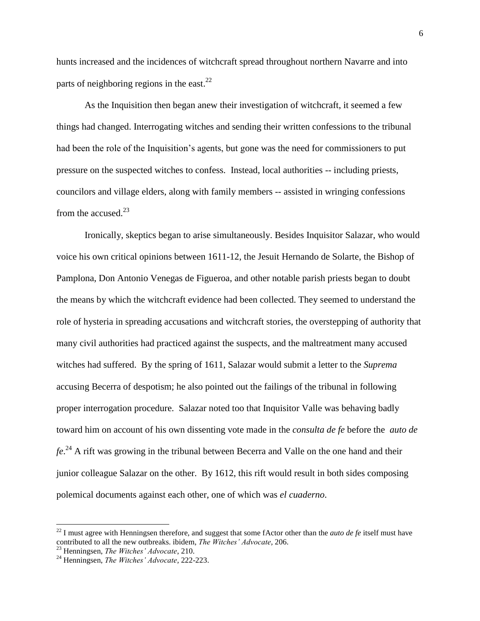hunts increased and the incidences of witchcraft spread throughout northern Navarre and into parts of neighboring regions in the east.<sup>22</sup>

As the Inquisition then began anew their investigation of witchcraft, it seemed a few things had changed. Interrogating witches and sending their written confessions to the tribunal had been the role of the Inquisition's agents, but gone was the need for commissioners to put pressure on the suspected witches to confess. Instead, local authorities -- including priests, councilors and village elders, along with family members -- assisted in wringing confessions from the accused. $^{23}$ 

Ironically, skeptics began to arise simultaneously. Besides Inquisitor Salazar, who would voice his own critical opinions between 1611-12, the Jesuit Hernando de Solarte, the Bishop of Pamplona, Don Antonio Venegas de Figueroa, and other notable parish priests began to doubt the means by which the witchcraft evidence had been collected. They seemed to understand the role of hysteria in spreading accusations and witchcraft stories, the overstepping of authority that many civil authorities had practiced against the suspects, and the maltreatment many accused witches had suffered. By the spring of 1611, Salazar would submit a letter to the *Suprema* accusing Becerra of despotism; he also pointed out the failings of the tribunal in following proper interrogation procedure. Salazar noted too that Inquisitor Valle was behaving badly toward him on account of his own dissenting vote made in the *consulta de fe* before the *auto de fe*. <sup>24</sup> A rift was growing in the tribunal between Becerra and Valle on the one hand and their junior colleague Salazar on the other. By 1612, this rift would result in both sides composing polemical documents against each other, one of which was *el cuaderno*.

 $^{22}$  I must agree with Henningsen therefore, and suggest that some fActor other than the *auto de fe* itself must have contributed to all the new outbreaks. ibidem, *The Witches' Advocate,* 206.

<sup>23</sup> Henningsen, *The Witches' Advocate*, 210.

<sup>24</sup> Henningsen, *The Witches' Advocate,* 222-223.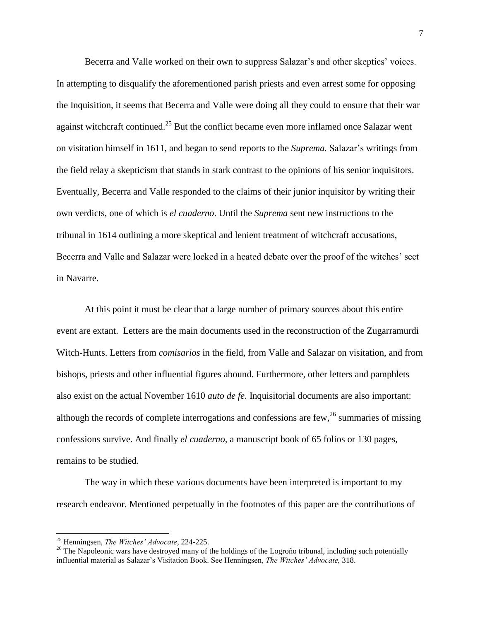Becerra and Valle worked on their own to suppress Salazar's and other skeptics' voices. In attempting to disqualify the aforementioned parish priests and even arrest some for opposing the Inquisition, it seems that Becerra and Valle were doing all they could to ensure that their war against witchcraft continued.<sup>25</sup> But the conflict became even more inflamed once Salazar went on visitation himself in 1611, and began to send reports to the *Suprema.* Salazar"s writings from the field relay a skepticism that stands in stark contrast to the opinions of his senior inquisitors. Eventually, Becerra and Valle responded to the claims of their junior inquisitor by writing their own verdicts, one of which is *el cuaderno*. Until the *Suprema* sent new instructions to the tribunal in 1614 outlining a more skeptical and lenient treatment of witchcraft accusations, Becerra and Valle and Salazar were locked in a heated debate over the proof of the witches" sect in Navarre.

At this point it must be clear that a large number of primary sources about this entire event are extant. Letters are the main documents used in the reconstruction of the Zugarramurdi Witch-Hunts. Letters from *comisarios* in the field, from Valle and Salazar on visitation, and from bishops, priests and other influential figures abound. Furthermore, other letters and pamphlets also exist on the actual November 1610 *auto de fe*. Inquisitorial documents are also important: although the records of complete interrogations and confessions are  $few<sub>1</sub><sup>26</sup>$  summaries of missing confessions survive. And finally *el cuaderno*, a manuscript book of 65 folios or 130 pages, remains to be studied.

The way in which these various documents have been interpreted is important to my research endeavor. Mentioned perpetually in the footnotes of this paper are the contributions of

<sup>25</sup> Henningsen, *The Witches' Advocate*, 224-225.

<sup>&</sup>lt;sup>26</sup> The Napoleonic wars have destroyed many of the holdings of the Logroño tribunal, including such potentially influential material as Salazar"s Visitation Book. See Henningsen, *The Witches' Advocate,* 318.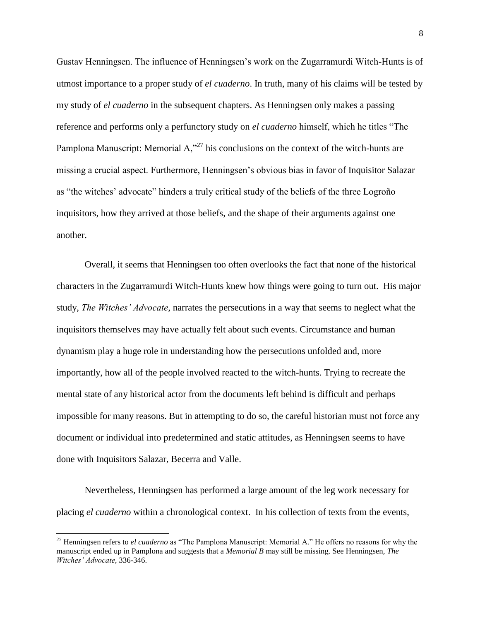Gustav Henningsen. The influence of Henningsen"s work on the Zugarramurdi Witch-Hunts is of utmost importance to a proper study of *el cuaderno*. In truth, many of his claims will be tested by my study of *el cuaderno* in the subsequent chapters. As Henningsen only makes a passing reference and performs only a perfunctory study on *el cuaderno* himself, which he titles "The Pamplona Manuscript: Memorial  $A$ ,  $27$  his conclusions on the context of the witch-hunts are missing a crucial aspect. Furthermore, Henningsen's obvious bias in favor of Inquisitor Salazar as "the witches" advocate" hinders a truly critical study of the beliefs of the three Logroño inquisitors, how they arrived at those beliefs, and the shape of their arguments against one another.

Overall, it seems that Henningsen too often overlooks the fact that none of the historical characters in the Zugarramurdi Witch-Hunts knew how things were going to turn out. His major study, *The Witches' Advocate*, narrates the persecutions in a way that seems to neglect what the inquisitors themselves may have actually felt about such events. Circumstance and human dynamism play a huge role in understanding how the persecutions unfolded and, more importantly, how all of the people involved reacted to the witch-hunts. Trying to recreate the mental state of any historical actor from the documents left behind is difficult and perhaps impossible for many reasons. But in attempting to do so, the careful historian must not force any document or individual into predetermined and static attitudes, as Henningsen seems to have done with Inquisitors Salazar, Becerra and Valle.

Nevertheless, Henningsen has performed a large amount of the leg work necessary for placing *el cuaderno* within a chronological context. In his collection of texts from the events,

<sup>27</sup> Henningsen refers to *el cuaderno* as "The Pamplona Manuscript: Memorial A." He offers no reasons for why the manuscript ended up in Pamplona and suggests that a *Memorial B* may still be missing. See Henningsen, *The Witches' Advocate*, 336-346.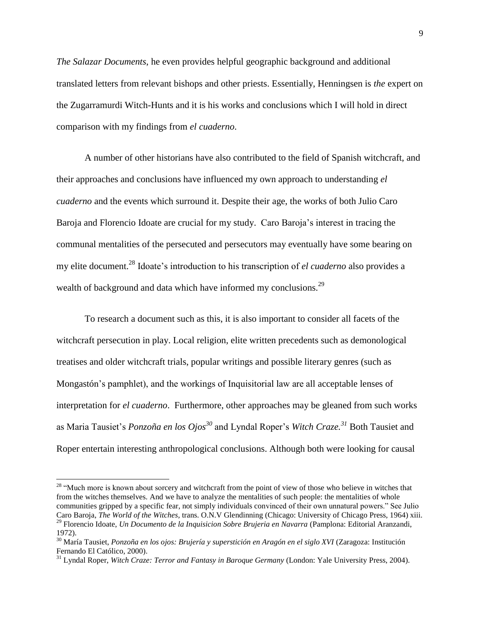*The Salazar Documents*, he even provides helpful geographic background and additional translated letters from relevant bishops and other priests. Essentially, Henningsen is *the* expert on the Zugarramurdi Witch-Hunts and it is his works and conclusions which I will hold in direct comparison with my findings from *el cuaderno*.

A number of other historians have also contributed to the field of Spanish witchcraft, and their approaches and conclusions have influenced my own approach to understanding *el cuaderno* and the events which surround it. Despite their age, the works of both Julio Caro Baroja and Florencio Idoate are crucial for my study. Caro Baroja"s interest in tracing the communal mentalities of the persecuted and persecutors may eventually have some bearing on my elite document. <sup>28</sup> Idoate"s introduction to his transcription of *el cuaderno* also provides a wealth of background and data which have informed my conclusions.<sup>29</sup>

To research a document such as this, it is also important to consider all facets of the witchcraft persecution in play. Local religion, elite written precedents such as demonological treatises and older witchcraft trials, popular writings and possible literary genres (such as Mongastón"s pamphlet), and the workings of Inquisitorial law are all acceptable lenses of interpretation for *el cuaderno*. Furthermore, other approaches may be gleaned from such works as Maria Tausiet"s *Ponzoña en los Ojos<sup>30</sup>* and Lyndal Roper"s *Witch Craze. <sup>31</sup>* Both Tausiet and Roper entertain interesting anthropological conclusions. Although both were looking for causal

<sup>&</sup>lt;sup>28</sup> "Much more is known about sorcery and witchcraft from the point of view of those who believe in witches that from the witches themselves. And we have to analyze the mentalities of such people: the mentalities of whole communities gripped by a specific fear, not simply individuals convinced of their own unnatural powers." See Julio Caro Baroja, *The World of the Witches*, trans. O.N.V Glendinning (Chicago: University of Chicago Press, 1964) xiii. <sup>29</sup> Florencio Idoate, *Un Documento de la Inquisicion Sobre Brujeria en Navarra* (Pamplona: Editorial Aranzandi, 1972).

<sup>30</sup> María Tausiet, *Ponzoña en los ojos: Brujería y superstición en Aragón en el siglo XVI* (Zaragoza: Institución Fernando El Católico, 2000).

<sup>31</sup> Lyndal Roper, *Witch Craze: Terror and Fantasy in Baroque Germany* (London: Yale University Press, 2004).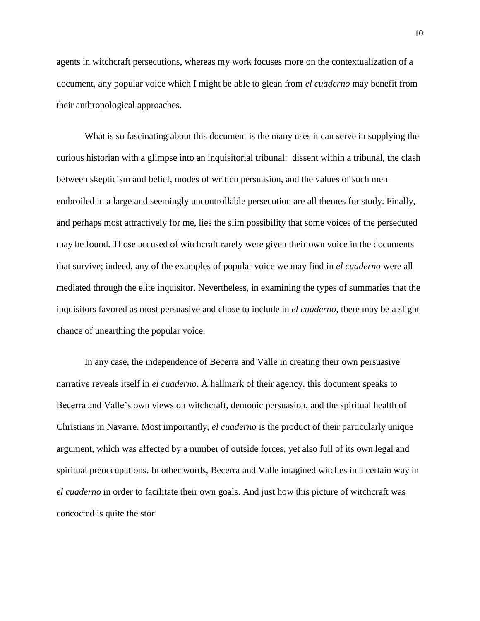agents in witchcraft persecutions, whereas my work focuses more on the contextualization of a document, any popular voice which I might be able to glean from *el cuaderno* may benefit from their anthropological approaches.

What is so fascinating about this document is the many uses it can serve in supplying the curious historian with a glimpse into an inquisitorial tribunal: dissent within a tribunal, the clash between skepticism and belief, modes of written persuasion, and the values of such men embroiled in a large and seemingly uncontrollable persecution are all themes for study. Finally, and perhaps most attractively for me, lies the slim possibility that some voices of the persecuted may be found. Those accused of witchcraft rarely were given their own voice in the documents that survive; indeed, any of the examples of popular voice we may find in *el cuaderno* were all mediated through the elite inquisitor. Nevertheless, in examining the types of summaries that the inquisitors favored as most persuasive and chose to include in *el cuaderno*, there may be a slight chance of unearthing the popular voice.

In any case, the independence of Becerra and Valle in creating their own persuasive narrative reveals itself in *el cuaderno*. A hallmark of their agency, this document speaks to Becerra and Valle's own views on witchcraft, demonic persuasion, and the spiritual health of Christians in Navarre. Most importantly, *el cuaderno* is the product of their particularly unique argument, which was affected by a number of outside forces, yet also full of its own legal and spiritual preoccupations. In other words, Becerra and Valle imagined witches in a certain way in *el cuaderno* in order to facilitate their own goals. And just how this picture of witchcraft was concocted is quite the stor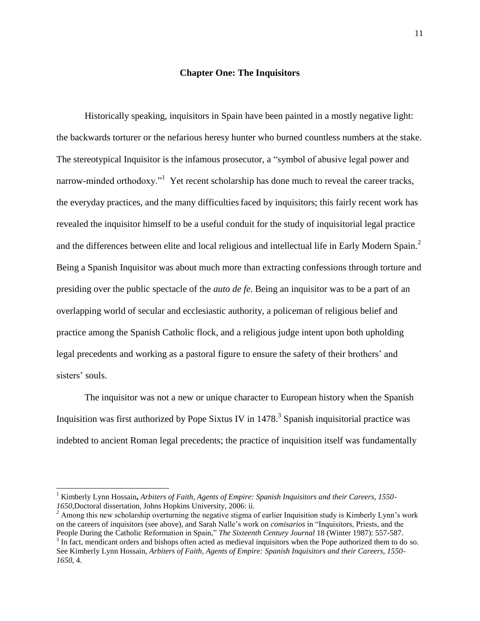## **Chapter One: The Inquisitors**

Historically speaking, inquisitors in Spain have been painted in a mostly negative light: the backwards torturer or the nefarious heresy hunter who burned countless numbers at the stake. The stereotypical Inquisitor is the infamous prosecutor, a "symbol of abusive legal power and narrow-minded orthodoxy."<sup>1</sup> Yet recent scholarship has done much to reveal the career tracks, the everyday practices, and the many difficulties faced by inquisitors; this fairly recent work has revealed the inquisitor himself to be a useful conduit for the study of inquisitorial legal practice and the differences between elite and local religious and intellectual life in Early Modern Spain.<sup>2</sup> Being a Spanish Inquisitor was about much more than extracting confessions through torture and presiding over the public spectacle of the *auto de fe*. Being an inquisitor was to be a part of an overlapping world of secular and ecclesiastic authority, a policeman of religious belief and practice among the Spanish Catholic flock, and a religious judge intent upon both upholding legal precedents and working as a pastoral figure to ensure the safety of their brothers" and sisters' souls.

The inquisitor was not a new or unique character to European history when the Spanish Inquisition was first authorized by Pope Sixtus IV in  $1478<sup>3</sup>$  Spanish inquisitorial practice was indebted to ancient Roman legal precedents; the practice of inquisition itself was fundamentally

<sup>1</sup> Kimberly Lynn Hossain**,** *Arbiters of Faith, Agents of Empire: Spanish Inquisitors and their Careers, 1550- 1650*,Doctoral dissertation, Johns Hopkins University, 2006: ii.

 $2 \text{ Among this new scholarship overturning the negative sigma of earlier Inquisition study is Kimberly Lynn's work}$ on the careers of inquisitors (see above), and Sarah Nalle"s work on *comisarios* in "Inquisitors, Priests, and the People During the Catholic Reformation in Spain," *The Sixteenth Century Journal* 18 (Winter 1987): 557-587.  $3 \text{ In fact, mendicant orders and bishop often acted as medieval inquistors when the Pope authorized them to do so.}$ 

See Kimberly Lynn Hossain, *Arbiters of Faith, Agents of Empire: Spanish Inquisitors and their Careers, 1550- 1650*, 4.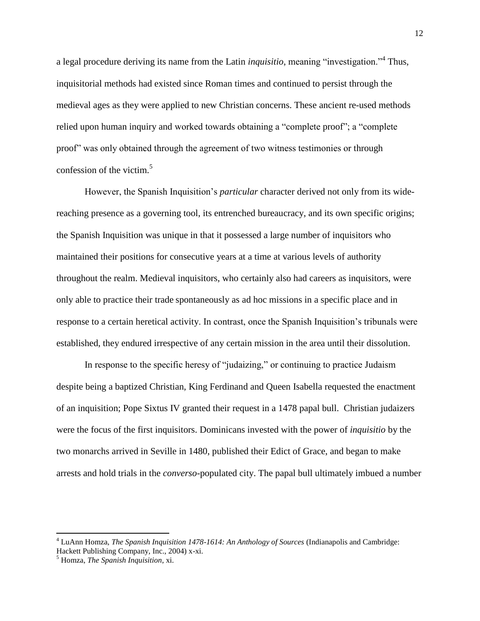a legal procedure deriving its name from the Latin *inquisitio*, meaning "investigation."<sup>4</sup> Thus, inquisitorial methods had existed since Roman times and continued to persist through the medieval ages as they were applied to new Christian concerns. These ancient re-used methods relied upon human inquiry and worked towards obtaining a "complete proof"; a "complete proof" was only obtained through the agreement of two witness testimonies or through confession of the victim. $5$ 

However, the Spanish Inquisition"s *particular* character derived not only from its widereaching presence as a governing tool, its entrenched bureaucracy, and its own specific origins; the Spanish Inquisition was unique in that it possessed a large number of inquisitors who maintained their positions for consecutive years at a time at various levels of authority throughout the realm. Medieval inquisitors, who certainly also had careers as inquisitors, were only able to practice their trade spontaneously as ad hoc missions in a specific place and in response to a certain heretical activity. In contrast, once the Spanish Inquisition"s tribunals were established, they endured irrespective of any certain mission in the area until their dissolution.

In response to the specific heresy of "judaizing," or continuing to practice Judaism despite being a baptized Christian, King Ferdinand and Queen Isabella requested the enactment of an inquisition; Pope Sixtus IV granted their request in a 1478 papal bull. Christian judaizers were the focus of the first inquisitors. Dominicans invested with the power of *inquisitio* by the two monarchs arrived in Seville in 1480, published their Edict of Grace, and began to make arrests and hold trials in the *converso*-populated city. The papal bull ultimately imbued a number

<sup>4</sup> LuAnn Homza, *The Spanish Inquisition 1478-1614: An Anthology of Sources* (Indianapolis and Cambridge: Hackett Publishing Company, Inc., 2004) x-xi.

<sup>5</sup> Homza, *The Spanish Inquisition*, xi.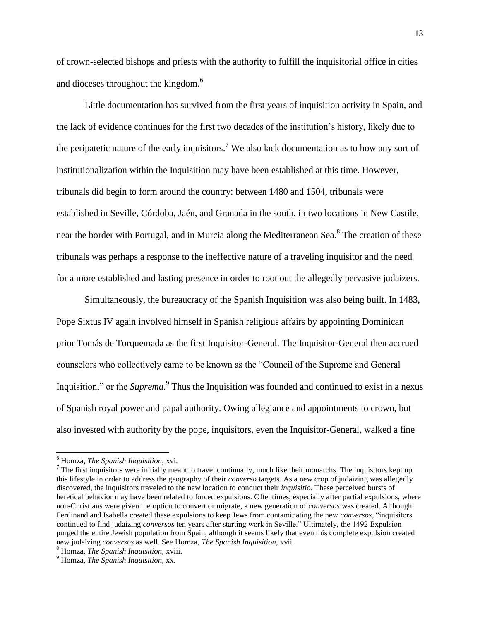of crown-selected bishops and priests with the authority to fulfill the inquisitorial office in cities and dioceses throughout the kingdom.<sup>6</sup>

Little documentation has survived from the first years of inquisition activity in Spain, and the lack of evidence continues for the first two decades of the institution"s history, likely due to the peripatetic nature of the early inquisitors.<sup>7</sup> We also lack documentation as to how any sort of institutionalization within the Inquisition may have been established at this time. However, tribunals did begin to form around the country: between 1480 and 1504, tribunals were established in Seville, Córdoba, Jaén, and Granada in the south, in two locations in New Castile, near the border with Portugal, and in Murcia along the Mediterranean Sea.<sup>8</sup> The creation of these tribunals was perhaps a response to the ineffective nature of a traveling inquisitor and the need for a more established and lasting presence in order to root out the allegedly pervasive judaizers.

Simultaneously, the bureaucracy of the Spanish Inquisition was also being built. In 1483, Pope Sixtus IV again involved himself in Spanish religious affairs by appointing Dominican prior Tomás de Torquemada as the first Inquisitor-General. The Inquisitor-General then accrued counselors who collectively came to be known as the "Council of the Supreme and General Inquisition," or the *Suprema*.<sup>9</sup> Thus the Inquisition was founded and continued to exist in a nexus of Spanish royal power and papal authority. Owing allegiance and appointments to crown, but also invested with authority by the pope, inquisitors, even the Inquisitor-General, walked a fine

<sup>6</sup> Homza, *The Spanish Inquisition,* xvi.

 $<sup>7</sup>$  The first inquisitors were initially meant to travel continually, much like their monarchs. The inquisitors kept up</sup> this lifestyle in order to address the geography of their *converso* targets. As a new crop of judaizing was allegedly discovered, the inquisitors traveled to the new location to conduct their *inquisitio.* These perceived bursts of heretical behavior may have been related to forced expulsions. Oftentimes, especially after partial expulsions, where non-Christians were given the option to convert or migrate, a new generation of *conversos* was created. Although Ferdinand and Isabella created these expulsions to keep Jews from contaminating the new *conversos*, "inquisitors continued to find judaizing *conversos* ten years after starting work in Seville." Ultimately, the 1492 Expulsion purged the entire Jewish population from Spain, although it seems likely that even this complete expulsion created new judaizing *conversos* as well. See Homza, *The Spanish Inquisition,* xvii.

<sup>8</sup> Homza, *The Spanish Inquisition,* xviii.

<sup>9</sup> Homza, *The Spanish Inquisition,* xx.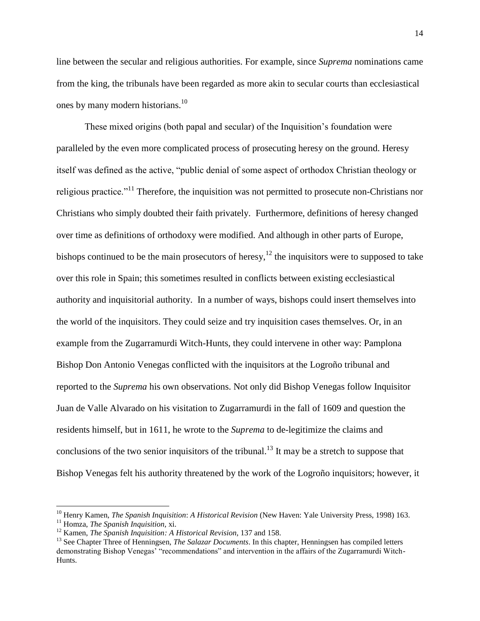line between the secular and religious authorities. For example, since *Suprema* nominations came from the king, the tribunals have been regarded as more akin to secular courts than ecclesiastical ones by many modern historians.<sup>10</sup>

These mixed origins (both papal and secular) of the Inquisition"s foundation were paralleled by the even more complicated process of prosecuting heresy on the ground. Heresy itself was defined as the active, "public denial of some aspect of orthodox Christian theology or religious practice."<sup>11</sup> Therefore, the inquisition was not permitted to prosecute non-Christians nor Christians who simply doubted their faith privately. Furthermore, definitions of heresy changed over time as definitions of orthodoxy were modified. And although in other parts of Europe, bishops continued to be the main prosecutors of heresy,<sup>12</sup> the inquisitors were to supposed to take over this role in Spain; this sometimes resulted in conflicts between existing ecclesiastical authority and inquisitorial authority. In a number of ways, bishops could insert themselves into the world of the inquisitors. They could seize and try inquisition cases themselves. Or, in an example from the Zugarramurdi Witch-Hunts, they could intervene in other way: Pamplona Bishop Don Antonio Venegas conflicted with the inquisitors at the Logroño tribunal and reported to the *Suprema* his own observations. Not only did Bishop Venegas follow Inquisitor Juan de Valle Alvarado on his visitation to Zugarramurdi in the fall of 1609 and question the residents himself, but in 1611, he wrote to the *Suprema* to de-legitimize the claims and conclusions of the two senior inquisitors of the tribunal.<sup>13</sup> It may be a stretch to suppose that Bishop Venegas felt his authority threatened by the work of the Logroño inquisitors; however, it

l

<sup>10</sup> Henry Kamen, *The Spanish Inquisition*: *A Historical Revision* (New Haven: Yale University Press, 1998) 163. <sup>11</sup> Homza, *The Spanish Inquisition,* xi.

<sup>12</sup> Kamen, *The Spanish Inquisition: A Historical Revision*, 137 and 158.

<sup>&</sup>lt;sup>13</sup> See Chapter Three of Henningsen, *The Salazar Documents*. In this chapter, Henningsen has compiled letters demonstrating Bishop Venegas" "recommendations" and intervention in the affairs of the Zugarramurdi Witch-Hunts.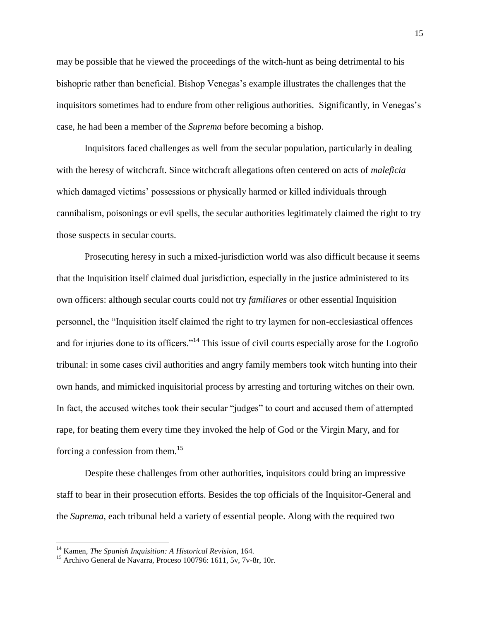may be possible that he viewed the proceedings of the witch-hunt as being detrimental to his bishopric rather than beneficial. Bishop Venegas's example illustrates the challenges that the inquisitors sometimes had to endure from other religious authorities. Significantly, in Venegas"s case, he had been a member of the *Suprema* before becoming a bishop.

Inquisitors faced challenges as well from the secular population, particularly in dealing with the heresy of witchcraft. Since witchcraft allegations often centered on acts of *maleficia* which damaged victims' possessions or physically harmed or killed individuals through cannibalism, poisonings or evil spells, the secular authorities legitimately claimed the right to try those suspects in secular courts.

Prosecuting heresy in such a mixed-jurisdiction world was also difficult because it seems that the Inquisition itself claimed dual jurisdiction, especially in the justice administered to its own officers: although secular courts could not try *familiares* or other essential Inquisition personnel, the "Inquisition itself claimed the right to try laymen for non-ecclesiastical offences and for injuries done to its officers."<sup>14</sup> This issue of civil courts especially arose for the Logroño tribunal: in some cases civil authorities and angry family members took witch hunting into their own hands, and mimicked inquisitorial process by arresting and torturing witches on their own. In fact, the accused witches took their secular "judges" to court and accused them of attempted rape, for beating them every time they invoked the help of God or the Virgin Mary, and for forcing a confession from them.<sup>15</sup>

Despite these challenges from other authorities, inquisitors could bring an impressive staff to bear in their prosecution efforts. Besides the top officials of the Inquisitor-General and the *Suprema*, each tribunal held a variety of essential people. Along with the required two

<sup>14</sup> Kamen, *The Spanish Inquisition: A Historical Revision*, 164.

<sup>15</sup> Archivo General de Navarra, Proceso 100796: 1611, 5v, 7v-8r, 10r.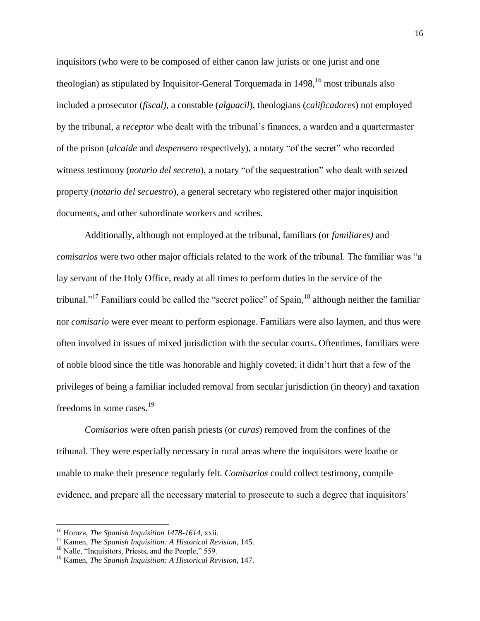inquisitors (who were to be composed of either canon law jurists or one jurist and one theologian) as stipulated by Inquisitor-General Torquemada in  $1498$ ,  $^{16}$  most tribunals also included a prosecutor (*fiscal),* a constable (*alguacil*), theologians (*calificadores*) not employed by the tribunal, a *receptor* who dealt with the tribunal"s finances, a warden and a quartermaster of the prison (*alcaide* and *despensero* respectively), a notary "of the secret" who recorded witness testimony (*notario del secreto*), a notary "of the sequestration" who dealt with seized property (*notario del secuestro*), a general secretary who registered other major inquisition documents, and other subordinate workers and scribes.

Additionally, although not employed at the tribunal, familiars (or *familiares)* and *comisarios* were two other major officials related to the work of the tribunal. The familiar was "a lay servant of the Holy Office, ready at all times to perform duties in the service of the tribunal."<sup>17</sup> Familiars could be called the "secret police" of Spain, <sup>18</sup> although neither the familiar nor *comisario* were ever meant to perform espionage. Familiars were also laymen, and thus were often involved in issues of mixed jurisdiction with the secular courts. Oftentimes, familiars were of noble blood since the title was honorable and highly coveted; it didn"t hurt that a few of the privileges of being a familiar included removal from secular jurisdiction (in theory) and taxation freedoms in some cases. $19$ 

*Comisarios* were often parish priests (or *curas*) removed from the confines of the tribunal. They were especially necessary in rural areas where the inquisitors were loathe or unable to make their presence regularly felt. *Comisarios* could collect testimony, compile evidence, and prepare all the necessary material to prosecute to such a degree that inquisitors'

<sup>16</sup> Homza, *The Spanish Inquisition 1478-1614*, xxii.

<sup>17</sup> Kamen, *The Spanish Inquisition: A Historical Revision*, 145.

<sup>&</sup>lt;sup>18</sup> Nalle, "Inquisitors, Priests, and the People," 559.

<sup>19</sup> Kamen, *The Spanish Inquisition: A Historical Revision*, 147.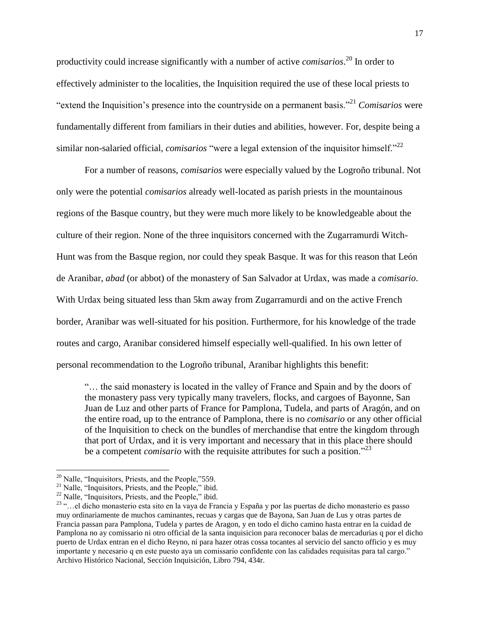productivity could increase significantly with a number of active *comisarios*. <sup>20</sup> In order to effectively administer to the localities, the Inquisition required the use of these local priests to "extend the Inquisition"s presence into the countryside on a permanent basis."<sup>21</sup> *Comisarios* were fundamentally different from familiars in their duties and abilities, however. For, despite being a similar non-salaried official, *comisarios* "were a legal extension of the inquisitor himself."<sup>22</sup>

For a number of reasons, *comisarios* were especially valued by the Logroño tribunal. Not only were the potential *comisarios* already well-located as parish priests in the mountainous regions of the Basque country, but they were much more likely to be knowledgeable about the culture of their region. None of the three inquisitors concerned with the Zugarramurdi Witch-Hunt was from the Basque region, nor could they speak Basque. It was for this reason that León de Aranibar, *abad* (or abbot) of the monastery of San Salvador at Urdax, was made a *comisario*. With Urdax being situated less than 5km away from Zugarramurdi and on the active French border, Aranibar was well-situated for his position. Furthermore, for his knowledge of the trade routes and cargo, Aranibar considered himself especially well-qualified. In his own letter of personal recommendation to the Logroño tribunal, Aranibar highlights this benefit:

"… the said monastery is located in the valley of France and Spain and by the doors of the monastery pass very typically many travelers, flocks, and cargoes of Bayonne, San Juan de Luz and other parts of France for Pamplona, Tudela, and parts of Aragón, and on the entire road, up to the entrance of Pamplona, there is no *comisario* or any other official of the Inquisition to check on the bundles of merchandise that entre the kingdom through that port of Urdax, and it is very important and necessary that in this place there should be a competent *comisario* with the requisite attributes for such a position."<sup>23</sup>

 $\overline{\phantom{a}}$ <sup>20</sup> Nalle, "Inquisitors, Priests, and the People,"559.

<sup>&</sup>lt;sup>21</sup> Nalle, "Inquisitors, Priests, and the People," ibid.

 $22$  Nalle, "Inquisitors, Priests, and the People," ibid.

<sup>23</sup> "…el dicho monasterio esta sito en la vaya de Francia y España y por las puertas de dicho monasterio es passo muy ordinariamente de muchos caminantes, recuas y cargas que de Bayona, San Juan de Lus y otras partes de Francia passan para Pamplona, Tudela y partes de Aragon, y en todo el dicho camino hasta entrar en la cuidad de Pamplona no ay comissario ni otro official de la santa inquisicion para reconocer balas de mercadurias q por el dicho puerto de Urdax entran en el dicho Reyno, ni para hazer otras cossa tocantes al servicio del sancto officio y es muy importante y necesario q en este puesto aya un comissario confidente con las calidades requisitas para tal cargo." Archivo Histórico Nacional, Sección Inquisición, Libro 794, 434r.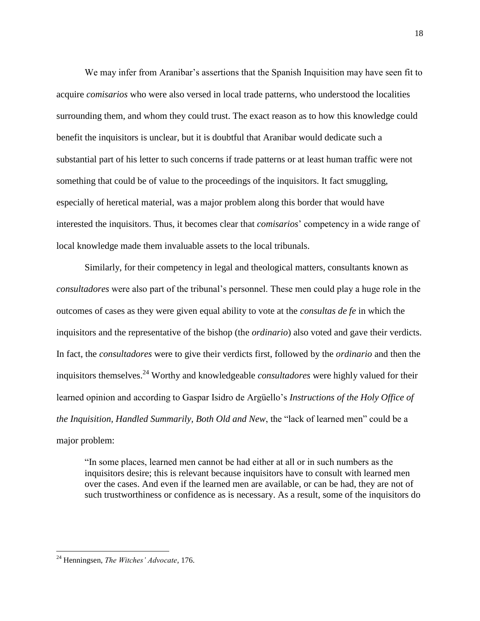We may infer from Aranibar's assertions that the Spanish Inquisition may have seen fit to acquire *comisarios* who were also versed in local trade patterns, who understood the localities surrounding them, and whom they could trust. The exact reason as to how this knowledge could benefit the inquisitors is unclear, but it is doubtful that Aranibar would dedicate such a substantial part of his letter to such concerns if trade patterns or at least human traffic were not something that could be of value to the proceedings of the inquisitors. It fact smuggling, especially of heretical material, was a major problem along this border that would have interested the inquisitors. Thus, it becomes clear that *comisarios*" competency in a wide range of local knowledge made them invaluable assets to the local tribunals.

Similarly, for their competency in legal and theological matters, consultants known as *consultadores* were also part of the tribunal"s personnel. These men could play a huge role in the outcomes of cases as they were given equal ability to vote at the *consultas de fe* in which the inquisitors and the representative of the bishop (the *ordinario*) also voted and gave their verdicts. In fact, the *consultadores* were to give their verdicts first, followed by the *ordinario* and then the inquisitors themselves.<sup>24</sup> Worthy and knowledgeable *consultadores* were highly valued for their learned opinion and according to Gaspar Isidro de Argüello"s *Instructions of the Holy Office of the Inquisition, Handled Summarily, Both Old and New*, the "lack of learned men" could be a major problem:

"In some places, learned men cannot be had either at all or in such numbers as the inquisitors desire; this is relevant because inquisitors have to consult with learned men over the cases. And even if the learned men are available, or can be had, they are not of such trustworthiness or confidence as is necessary. As a result, some of the inquisitors do

<sup>24</sup> Henningsen, *The Witches' Advocate,* 176.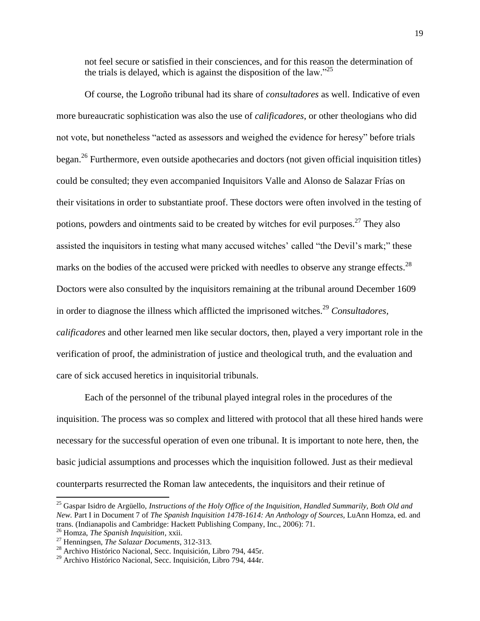not feel secure or satisfied in their consciences, and for this reason the determination of the trials is delayed, which is against the disposition of the law.<sup>225</sup>

Of course, the Logroño tribunal had its share of *consultadores* as well. Indicative of even more bureaucratic sophistication was also the use of *calificadores*, or other theologians who did not vote, but nonetheless "acted as assessors and weighed the evidence for heresy" before trials began.<sup>26</sup> Furthermore, even outside apothecaries and doctors (not given official inquisition titles) could be consulted; they even accompanied Inquisitors Valle and Alonso de Salazar Frías on their visitations in order to substantiate proof. These doctors were often involved in the testing of potions, powders and ointments said to be created by witches for evil purposes.<sup>27</sup> They also assisted the inquisitors in testing what many accused witches' called "the Devil's mark;" these marks on the bodies of the accused were pricked with needles to observe any strange effects.<sup>28</sup> Doctors were also consulted by the inquisitors remaining at the tribunal around December 1609 in order to diagnose the illness which afflicted the imprisoned witches. <sup>29</sup> *Consultadores, calificadores* and other learned men like secular doctors, then, played a very important role in the verification of proof, the administration of justice and theological truth, and the evaluation and care of sick accused heretics in inquisitorial tribunals.

Each of the personnel of the tribunal played integral roles in the procedures of the inquisition. The process was so complex and littered with protocol that all these hired hands were necessary for the successful operation of even one tribunal. It is important to note here, then, the basic judicial assumptions and processes which the inquisition followed. Just as their medieval counterparts resurrected the Roman law antecedents, the inquisitors and their retinue of

<sup>25</sup> Gaspar Isidro de Argüello, *Instructions of the Holy Office of the Inquisition, Handled Summarily, Both Old and New.* Part I in Document 7 of *The Spanish Inquisition 1478-1614: An Anthology of Sources,* LuAnn Homza, ed. and trans. (Indianapolis and Cambridge: Hackett Publishing Company, Inc., 2006): 71.

<sup>26</sup> Homza, *The Spanish Inquisition*, xxii.

<sup>27</sup> Henningsen, *The Salazar Documents*, 312-313.

<sup>28</sup> Archivo Histórico Nacional, Secc. Inquisición, Libro 794, 445r.

<sup>29</sup> Archivo Histórico Nacional, Secc. Inquisición, Libro 794, 444r.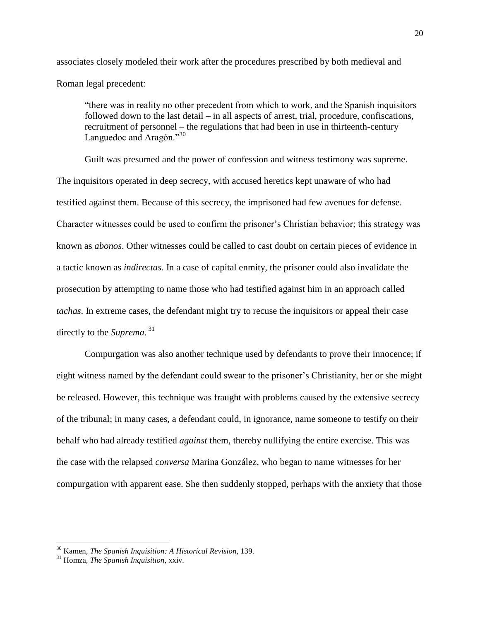associates closely modeled their work after the procedures prescribed by both medieval and Roman legal precedent:

"there was in reality no other precedent from which to work, and the Spanish inquisitors followed down to the last detail – in all aspects of arrest, trial, procedure, confiscations, recruitment of personnel – the regulations that had been in use in thirteenth-century Languedoc and Aragón."<sup>30</sup>

Guilt was presumed and the power of confession and witness testimony was supreme. The inquisitors operated in deep secrecy, with accused heretics kept unaware of who had testified against them. Because of this secrecy, the imprisoned had few avenues for defense. Character witnesses could be used to confirm the prisoner"s Christian behavior; this strategy was known as *abonos*. Other witnesses could be called to cast doubt on certain pieces of evidence in a tactic known as *indirectas*. In a case of capital enmity, the prisoner could also invalidate the prosecution by attempting to name those who had testified against him in an approach called *tachas*. In extreme cases, the defendant might try to recuse the inquisitors or appeal their case directly to the *Suprema*. 31

Compurgation was also another technique used by defendants to prove their innocence; if eight witness named by the defendant could swear to the prisoner"s Christianity, her or she might be released. However, this technique was fraught with problems caused by the extensive secrecy of the tribunal; in many cases, a defendant could, in ignorance, name someone to testify on their behalf who had already testified *against* them, thereby nullifying the entire exercise. This was the case with the relapsed *conversa* Marina González, who began to name witnesses for her compurgation with apparent ease. She then suddenly stopped, perhaps with the anxiety that those

<sup>30</sup> Kamen, *The Spanish Inquisition: A Historical Revision*, 139.

<sup>31</sup> Homza, *The Spanish Inquisition,* xxiv*.*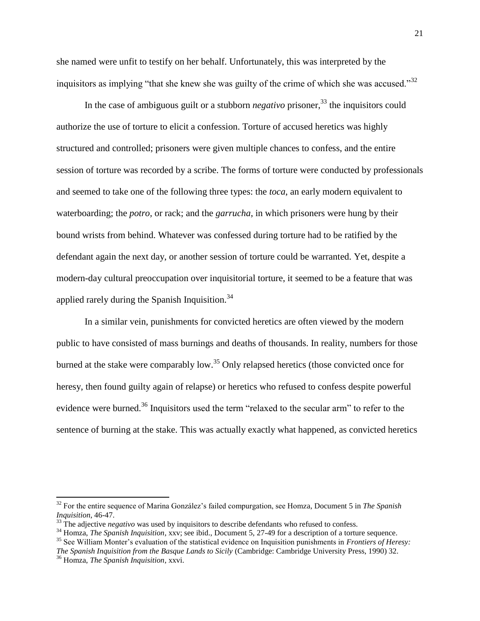she named were unfit to testify on her behalf. Unfortunately, this was interpreted by the inquisitors as implying "that she knew she was guilty of the crime of which she was accused."<sup>32</sup>

In the case of ambiguous guilt or a stubborn *negativo* prisoner, <sup>33</sup> the inquisitors could authorize the use of torture to elicit a confession. Torture of accused heretics was highly structured and controlled; prisoners were given multiple chances to confess, and the entire session of torture was recorded by a scribe. The forms of torture were conducted by professionals and seemed to take one of the following three types: the *toca*, an early modern equivalent to waterboarding; the *potro,* or rack; and the *garrucha*, in which prisoners were hung by their bound wrists from behind. Whatever was confessed during torture had to be ratified by the defendant again the next day, or another session of torture could be warranted. Yet, despite a modern-day cultural preoccupation over inquisitorial torture, it seemed to be a feature that was applied rarely during the Spanish Inquisition.<sup>34</sup>

In a similar vein, punishments for convicted heretics are often viewed by the modern public to have consisted of mass burnings and deaths of thousands. In reality, numbers for those burned at the stake were comparably low.<sup>35</sup> Only relapsed heretics (those convicted once for heresy, then found guilty again of relapse) or heretics who refused to confess despite powerful evidence were burned.<sup>36</sup> Inquisitors used the term "relaxed to the secular arm" to refer to the sentence of burning at the stake. This was actually exactly what happened, as convicted heretics

<sup>&</sup>lt;sup>32</sup> For the entire sequence of Marina González's failed compurgation, see Homza, Document 5 in *The Spanish Inquisition*, 46-47.

<sup>&</sup>lt;sup>33</sup> The adjective *negativo* was used by inquisitors to describe defendants who refused to confess.

<sup>&</sup>lt;sup>34</sup> Homza, *The Spanish Inquisition*, xxv; see ibid., Document 5, 27-49 for a description of a torture sequence.

<sup>35</sup> See William Monter"s evaluation of the statistical evidence on Inquisition punishments in *Frontiers of Heresy: The Spanish Inquisition from the Basque Lands to Sicily* (Cambridge: Cambridge University Press, 1990) 32. <sup>36</sup> Homza, *The Spanish Inquisition*, xxvi.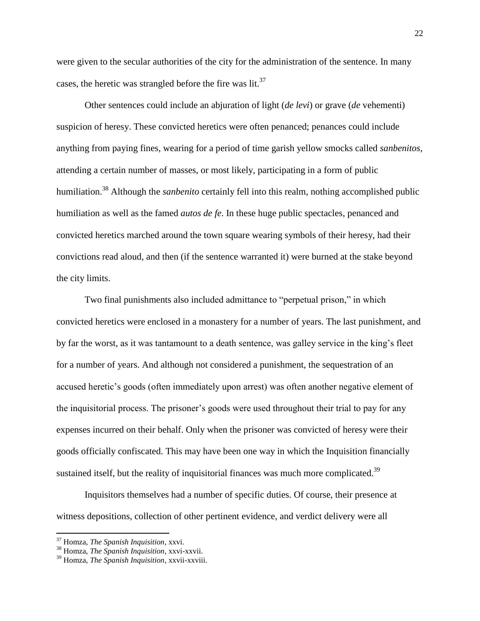were given to the secular authorities of the city for the administration of the sentence. In many cases, the heretic was strangled before the fire was  $lit.^{37}$ .

Other sentences could include an abjuration of light (*de levi*) or grave (*de* vehementi) suspicion of heresy. These convicted heretics were often penanced; penances could include anything from paying fines, wearing for a period of time garish yellow smocks called *sanbenitos*, attending a certain number of masses, or most likely, participating in a form of public humiliation.<sup>38</sup> Although the *sanbenito* certainly fell into this realm, nothing accomplished public humiliation as well as the famed *autos de fe*. In these huge public spectacles, penanced and convicted heretics marched around the town square wearing symbols of their heresy, had their convictions read aloud, and then (if the sentence warranted it) were burned at the stake beyond the city limits.

Two final punishments also included admittance to "perpetual prison," in which convicted heretics were enclosed in a monastery for a number of years. The last punishment, and by far the worst, as it was tantamount to a death sentence, was galley service in the king"s fleet for a number of years. And although not considered a punishment, the sequestration of an accused heretic's goods (often immediately upon arrest) was often another negative element of the inquisitorial process. The prisoner"s goods were used throughout their trial to pay for any expenses incurred on their behalf. Only when the prisoner was convicted of heresy were their goods officially confiscated. This may have been one way in which the Inquisition financially sustained itself, but the reality of inquisitorial finances was much more complicated.<sup>39</sup>

Inquisitors themselves had a number of specific duties. Of course, their presence at witness depositions, collection of other pertinent evidence, and verdict delivery were all

<sup>37</sup> Homza, *The Spanish Inquisition*, xxvi.

<sup>38</sup> Homza, *The Spanish Inquisition*, xxvi-xxvii.

<sup>39</sup> Homza, *The Spanish Inquisition,* xxvii-xxviii.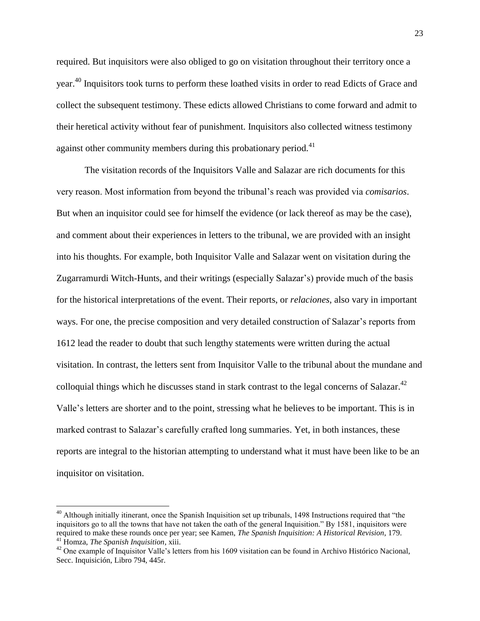required. But inquisitors were also obliged to go on visitation throughout their territory once a year.<sup>40</sup> Inquisitors took turns to perform these loathed visits in order to read Edicts of Grace and collect the subsequent testimony. These edicts allowed Christians to come forward and admit to their heretical activity without fear of punishment. Inquisitors also collected witness testimony against other community members during this probationary period. $41$ 

The visitation records of the Inquisitors Valle and Salazar are rich documents for this very reason. Most information from beyond the tribunal"s reach was provided via *comisarios*. But when an inquisitor could see for himself the evidence (or lack thereof as may be the case), and comment about their experiences in letters to the tribunal, we are provided with an insight into his thoughts. For example, both Inquisitor Valle and Salazar went on visitation during the Zugarramurdi Witch-Hunts, and their writings (especially Salazar"s) provide much of the basis for the historical interpretations of the event. Their reports, or *relaciones*, also vary in important ways. For one, the precise composition and very detailed construction of Salazar's reports from 1612 lead the reader to doubt that such lengthy statements were written during the actual visitation. In contrast, the letters sent from Inquisitor Valle to the tribunal about the mundane and colloquial things which he discusses stand in stark contrast to the legal concerns of Salazar.<sup>42</sup> Valle"s letters are shorter and to the point, stressing what he believes to be important. This is in marked contrast to Salazar's carefully crafted long summaries. Yet, in both instances, these reports are integral to the historian attempting to understand what it must have been like to be an inquisitor on visitation.

l

<sup>&</sup>lt;sup>40</sup> Although initially itinerant, once the Spanish Inquisition set up tribunals, 1498 Instructions required that "the inquisitors go to all the towns that have not taken the oath of the general Inquisition." By 1581, inquisitors were required to make these rounds once per year; see Kamen, *The Spanish Inquisition: A Historical Revision*, 179. <sup>41</sup> Homza, *The Spanish Inquisition*, xiii.

<sup>&</sup>lt;sup>42</sup> One example of Inquisitor Valle's letters from his 1609 visitation can be found in Archivo Histórico Nacional, Secc. Inquisición, Libro 794, 445r.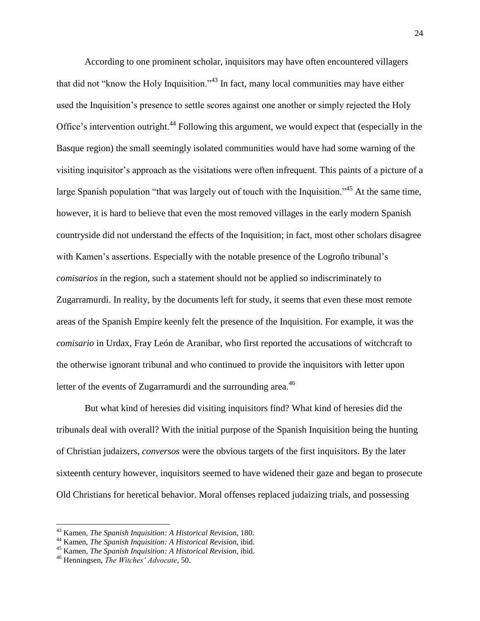According to one prominent scholar, inquisitors may have often encountered villagers that did not "know the Holy Inquisition."<sup>43</sup> In fact, many local communities may have either used the Inquisition"s presence to settle scores against one another or simply rejected the Holy Office's intervention outright.<sup>44</sup> Following this argument, we would expect that (especially in the Basque region) the small seemingly isolated communities would have had some warning of the visiting inquisitor"s approach as the visitations were often infrequent. This paints of a picture of a large Spanish population "that was largely out of touch with the Inquisition."<sup>45</sup> At the same time, however, it is hard to believe that even the most removed villages in the early modern Spanish countryside did not understand the effects of the Inquisition; in fact, most other scholars disagree with Kamen's assertions. Especially with the notable presence of the Logroño tribunal's *comisarios* in the region, such a statement should not be applied so indiscriminately to Zugarramurdi. In reality, by the documents left for study, it seems that even these most remote areas of the Spanish Empire keenly felt the presence of the Inquisition. For example, it was the *comisario* in Urdax, Fray León de Aranibar, who first reported the accusations of witchcraft to the otherwise ignorant tribunal and who continued to provide the inquisitors with letter upon letter of the events of Zugarramurdi and the surrounding area.<sup>46</sup>

But what kind of heresies did visiting inquisitors find? What kind of heresies did the tribunals deal with overall? With the initial purpose of the Spanish Inquisition being the hunting of Christian judaizers, *conversos* were the obvious targets of the first inquisitors. By the later sixteenth century however, inquisitors seemed to have widened their gaze and began to prosecute Old Christians for heretical behavior. Moral offenses replaced judaizing trials, and possessing

<sup>43</sup> Kamen, *The Spanish Inquisition: A Historical Revision*, 180.

<sup>44</sup> Kamen, *The Spanish Inquisition: A Historical Revision*, ibid.

<sup>45</sup> Kamen, *The Spanish Inquisition: A Historical Revision*, ibid.

<sup>46</sup> Henningsen, *The Witches' Advocate*, 50.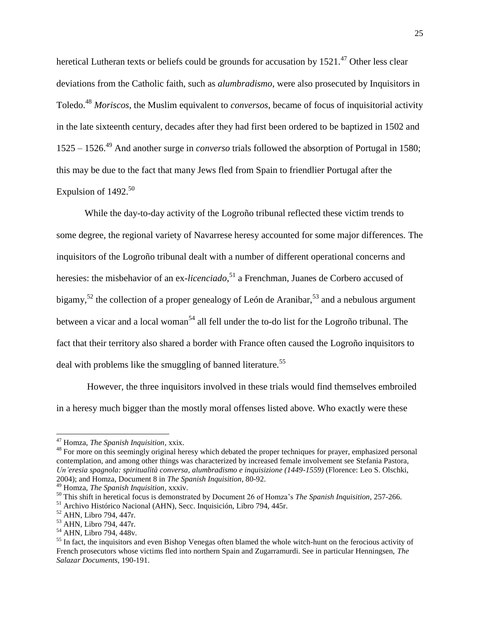heretical Lutheran texts or beliefs could be grounds for accusation by  $1521<sup>47</sup>$  Other less clear deviations from the Catholic faith, such as *alumbradismo*, were also prosecuted by Inquisitors in Toledo.<sup>48</sup> *Moriscos*, the Muslim equivalent to *conversos*, became of focus of inquisitorial activity in the late sixteenth century, decades after they had first been ordered to be baptized in 1502 and 1525 – 1526.<sup>49</sup> And another surge in *converso* trials followed the absorption of Portugal in 1580; this may be due to the fact that many Jews fled from Spain to friendlier Portugal after the Expulsion of 1492.<sup>50</sup>

While the day-to-day activity of the Logroño tribunal reflected these victim trends to some degree, the regional variety of Navarrese heresy accounted for some major differences. The inquisitors of the Logroño tribunal dealt with a number of different operational concerns and heresies: the misbehavior of an ex-*licenciado*, <sup>51</sup> a Frenchman, Juanes de Corbero accused of bigamy,<sup>52</sup> the collection of a proper genealogy of León de Aranibar,<sup>53</sup> and a nebulous argument between a vicar and a local woman<sup>54</sup> all fell under the to-do list for the Logroño tribunal. The fact that their territory also shared a border with France often caused the Logroño inquisitors to deal with problems like the smuggling of banned literature.<sup>55</sup>

However, the three inquisitors involved in these trials would find themselves embroiled in a heresy much bigger than the mostly moral offenses listed above. Who exactly were these

<sup>47</sup> Homza, *The Spanish Inquisition,* xxix.

<sup>&</sup>lt;sup>48</sup> For more on this seemingly original heresy which debated the proper techniques for prayer, emphasized personal contemplation, and among other things was characterized by increased female involvement see Stefania Pastora, *Un'eresia spagnola: spiritualità conversa, alumbradismo e inquisizione (1449-1559)* (Florence: Leo S. Olschki, 2004); and Homza, Document 8 in *The Spanish Inquisition*, 80-92.

<sup>49</sup> Homza, *The Spanish Inquisition*, xxxiv.

<sup>50</sup> This shift in heretical focus is demonstrated by Document 26 of Homza"s *The Spanish Inquisition*, 257-266.

<sup>51</sup> Archivo Histórico Nacional (AHN), Secc. Inquisición, Libro 794, 445r.

<sup>52</sup> AHN, Libro 794, 447r.

<sup>53</sup> AHN, Libro 794, 447r.

<sup>54</sup> AHN, Libro 794, 448v.

<sup>&</sup>lt;sup>55</sup> In fact, the inquisitors and even Bishop Venegas often blamed the whole witch-hunt on the ferocious activity of French prosecutors whose victims fled into northern Spain and Zugarramurdi. See in particular Henningsen, *The Salazar Documents*, 190-191.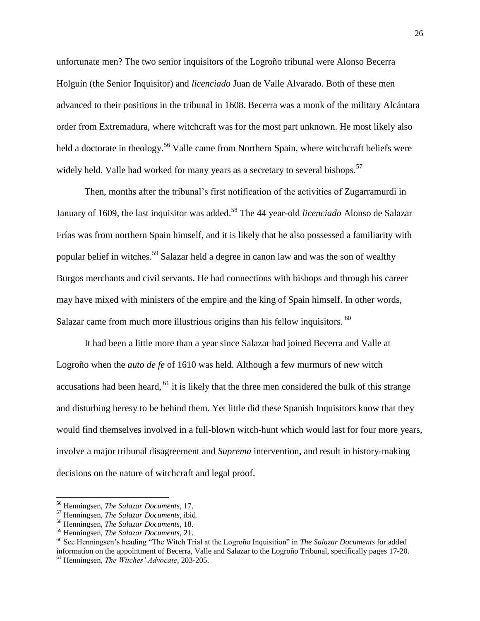unfortunate men? The two senior inquisitors of the Logroño tribunal were Alonso Becerra Holguín (the Senior Inquisitor) and *licenciado* Juan de Valle Alvarado. Both of these men advanced to their positions in the tribunal in 1608. Becerra was a monk of the military Alcántara order from Extremadura, where witchcraft was for the most part unknown. He most likely also held a doctorate in theology.<sup>56</sup> Valle came from Northern Spain, where witchcraft beliefs were widely held. Valle had worked for many years as a secretary to several bishops.<sup>57</sup>

Then, months after the tribunal"s first notification of the activities of Zugarramurdi in January of 1609, the last inquisitor was added. <sup>58</sup> The 44 year-old *licenciado* Alonso de Salazar Frías was from northern Spain himself, and it is likely that he also possessed a familiarity with popular belief in witches.<sup>59</sup> Salazar held a degree in canon law and was the son of wealthy Burgos merchants and civil servants. He had connections with bishops and through his career may have mixed with ministers of the empire and the king of Spain himself. In other words, Salazar came from much more illustrious origins than his fellow inquisitors. <sup>60</sup>

It had been a little more than a year since Salazar had joined Becerra and Valle at Logroño when the *auto de fe* of 1610 was held. Although a few murmurs of new witch accusations had been heard,  $61$  it is likely that the three men considered the bulk of this strange and disturbing heresy to be behind them. Yet little did these Spanish Inquisitors know that they would find themselves involved in a full-blown witch-hunt which would last for four more years, involve a major tribunal disagreement and *Suprema* intervention, and result in history-making decisions on the nature of witchcraft and legal proof.

<sup>56</sup> Henningsen, *The Salazar Documents*, 17.

<sup>57</sup> Henningsen, *The Salazar Documents*, ibid.

<sup>58</sup> Henningsen, *The Salazar Documents*, 18.

<sup>59</sup> Henningsen, *The Salazar Documents,* 21.

<sup>60</sup> See Henningsen"s heading "The Witch Trial at the Logroño Inquisition" in *The Salazar Documents* for added information on the appointment of Becerra, Valle and Salazar to the Logroño Tribunal, specifically pages 17-20.

<sup>61</sup> Henningsen, *The Witches' Advocate*, 203-205.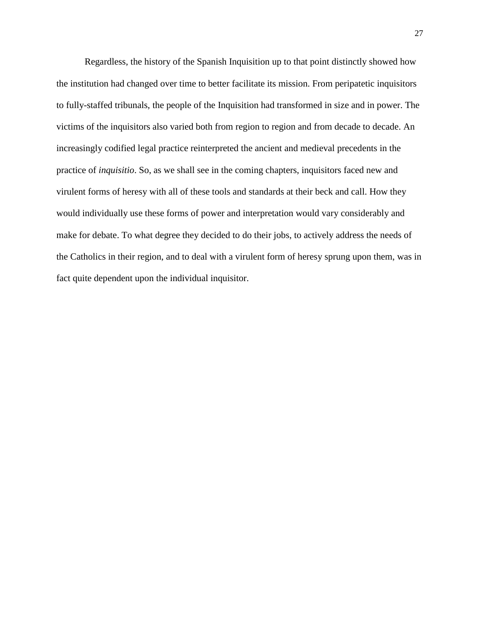Regardless, the history of the Spanish Inquisition up to that point distinctly showed how the institution had changed over time to better facilitate its mission. From peripatetic inquisitors to fully-staffed tribunals, the people of the Inquisition had transformed in size and in power. The victims of the inquisitors also varied both from region to region and from decade to decade. An increasingly codified legal practice reinterpreted the ancient and medieval precedents in the practice of *inquisitio*. So, as we shall see in the coming chapters, inquisitors faced new and virulent forms of heresy with all of these tools and standards at their beck and call. How they would individually use these forms of power and interpretation would vary considerably and make for debate. To what degree they decided to do their jobs, to actively address the needs of the Catholics in their region, and to deal with a virulent form of heresy sprung upon them, was in fact quite dependent upon the individual inquisitor.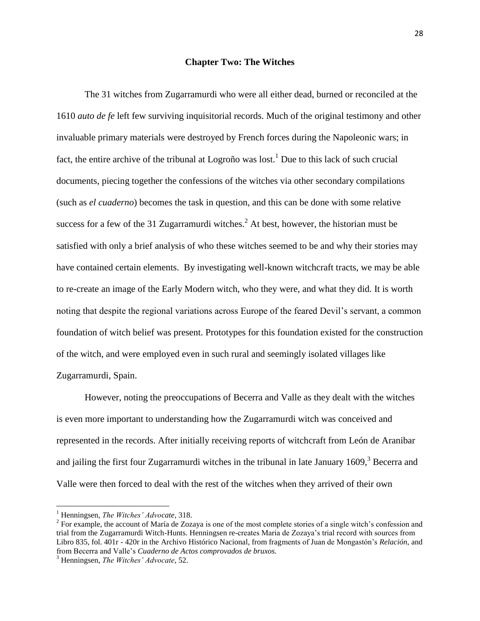#### **Chapter Two: The Witches**

The 31 witches from Zugarramurdi who were all either dead, burned or reconciled at the 1610 *auto de fe* left few surviving inquisitorial records. Much of the original testimony and other invaluable primary materials were destroyed by French forces during the Napoleonic wars; in fact, the entire archive of the tribunal at Logroño was lost.<sup>1</sup> Due to this lack of such crucial documents, piecing together the confessions of the witches via other secondary compilations (such as *el cuaderno*) becomes the task in question, and this can be done with some relative success for a few of the 31 Zugarramurdi witches.<sup>2</sup> At best, however, the historian must be satisfied with only a brief analysis of who these witches seemed to be and why their stories may have contained certain elements. By investigating well-known witchcraft tracts, we may be able to re-create an image of the Early Modern witch, who they were, and what they did. It is worth noting that despite the regional variations across Europe of the feared Devil"s servant, a common foundation of witch belief was present. Prototypes for this foundation existed for the construction of the witch, and were employed even in such rural and seemingly isolated villages like Zugarramurdi, Spain.

However, noting the preoccupations of Becerra and Valle as they dealt with the witches is even more important to understanding how the Zugarramurdi witch was conceived and represented in the records. After initially receiving reports of witchcraft from León de Aranibar and jailing the first four Zugarramurdi witches in the tribunal in late January  $1609$ , Becerra and Valle were then forced to deal with the rest of the witches when they arrived of their own

l

<sup>1</sup> Henningsen, *The Witches' Advocate,* 318.

 $2^2$  For example, the account of María de Zozaya is one of the most complete stories of a single witch's confession and trial from the Zugarramurdi Witch-Hunts. Henningsen re-creates Maria de Zozaya"s trial record with sources from Libro 835, fol. 401r - 420r in the Archivo Histórico Nacional, from fragments of Juan de Mongastón"s *Relación,* and from Becerra and Valle"s *Cuaderno de Actos comprovados de bruxos.*

<sup>3</sup> Henningsen, *The Witches' Advocate*, 52.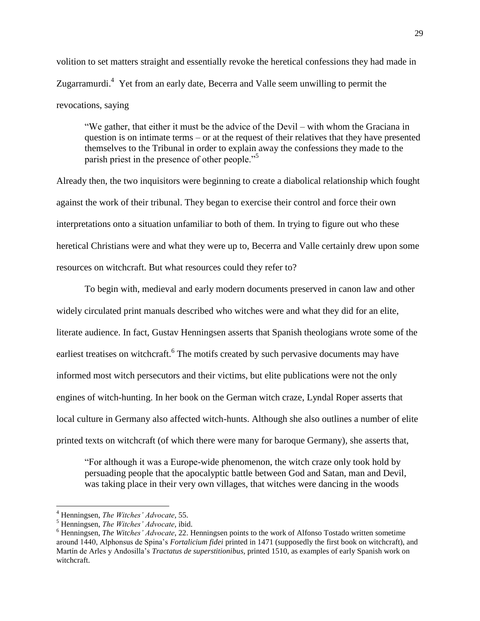volition to set matters straight and essentially revoke the heretical confessions they had made in Zugarramurdi.<sup>4</sup> Yet from an early date, Becerra and Valle seem unwilling to permit the revocations, saying

"We gather, that either it must be the advice of the Devil – with whom the Graciana in question is on intimate terms – or at the request of their relatives that they have presented themselves to the Tribunal in order to explain away the confessions they made to the parish priest in the presence of other people."<sup>5</sup>

Already then, the two inquisitors were beginning to create a diabolical relationship which fought against the work of their tribunal. They began to exercise their control and force their own interpretations onto a situation unfamiliar to both of them. In trying to figure out who these heretical Christians were and what they were up to, Becerra and Valle certainly drew upon some resources on witchcraft. But what resources could they refer to?

To begin with, medieval and early modern documents preserved in canon law and other widely circulated print manuals described who witches were and what they did for an elite, literate audience. In fact, Gustav Henningsen asserts that Spanish theologians wrote some of the earliest treatises on witchcraft.<sup>6</sup> The motifs created by such pervasive documents may have informed most witch persecutors and their victims, but elite publications were not the only engines of witch-hunting. In her book on the German witch craze, Lyndal Roper asserts that local culture in Germany also affected witch-hunts. Although she also outlines a number of elite printed texts on witchcraft (of which there were many for baroque Germany), she asserts that,

"For although it was a Europe-wide phenomenon, the witch craze only took hold by persuading people that the apocalyptic battle between God and Satan, man and Devil, was taking place in their very own villages, that witches were dancing in the woods

l

<sup>4</sup> Henningsen, *The Witches' Advocate,* 55.

<sup>5</sup> Henningsen, *The Witches' Advocate,* ibid.

<sup>6</sup> Henningsen, *The Witches' Advocate*, 22. Henningsen points to the work of Alfonso Tostado written sometime around 1440, Alphonsus de Spina"s *Fortalicium fidei* printed in 1471 (supposedly the first book on witchcraft), and Martín de Arles y Andosilla"s *Tractatus de superstitionibus,* printed 1510, as examples of early Spanish work on witchcraft.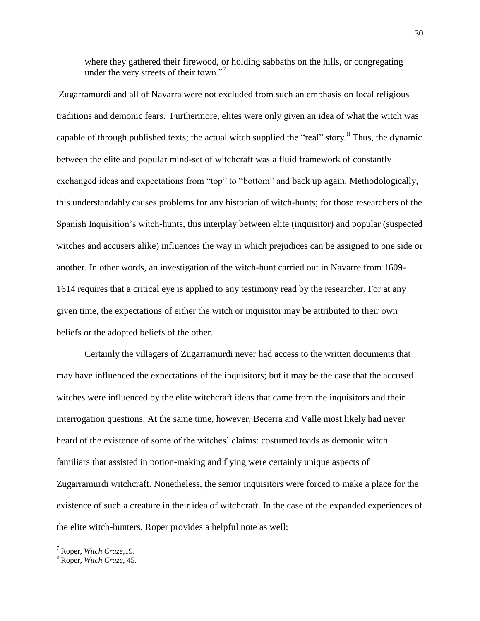where they gathered their firewood, or holding sabbaths on the hills, or congregating under the very streets of their town."<sup>7</sup>

Zugarramurdi and all of Navarra were not excluded from such an emphasis on local religious traditions and demonic fears. Furthermore, elites were only given an idea of what the witch was capable of through published texts; the actual witch supplied the "real" story.<sup>8</sup> Thus, the dynamic between the elite and popular mind-set of witchcraft was a fluid framework of constantly exchanged ideas and expectations from "top" to "bottom" and back up again. Methodologically, this understandably causes problems for any historian of witch-hunts; for those researchers of the Spanish Inquisition"s witch-hunts, this interplay between elite (inquisitor) and popular (suspected witches and accusers alike) influences the way in which prejudices can be assigned to one side or another. In other words, an investigation of the witch-hunt carried out in Navarre from 1609- 1614 requires that a critical eye is applied to any testimony read by the researcher. For at any given time, the expectations of either the witch or inquisitor may be attributed to their own beliefs or the adopted beliefs of the other.

Certainly the villagers of Zugarramurdi never had access to the written documents that may have influenced the expectations of the inquisitors; but it may be the case that the accused witches were influenced by the elite witchcraft ideas that came from the inquisitors and their interrogation questions. At the same time, however, Becerra and Valle most likely had never heard of the existence of some of the witches" claims: costumed toads as demonic witch familiars that assisted in potion-making and flying were certainly unique aspects of Zugarramurdi witchcraft. Nonetheless, the senior inquisitors were forced to make a place for the existence of such a creature in their idea of witchcraft. In the case of the expanded experiences of the elite witch-hunters, Roper provides a helpful note as well:

<sup>7</sup> Roper, *Witch Craze,*19.

<sup>8</sup> Roper, *Witch Craze*, 45.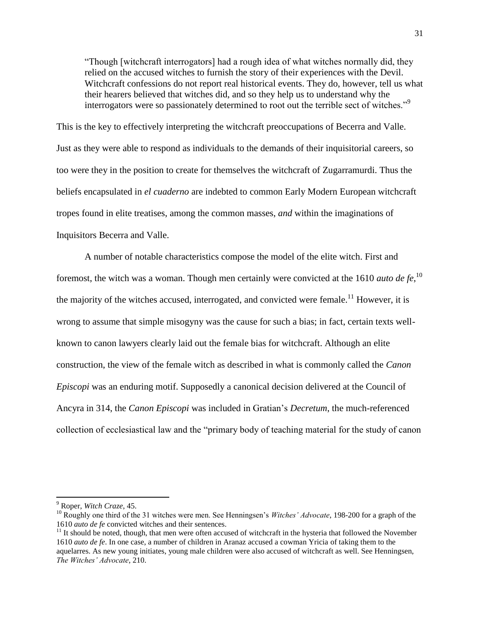"Though [witchcraft interrogators] had a rough idea of what witches normally did, they relied on the accused witches to furnish the story of their experiences with the Devil. Witchcraft confessions do not report real historical events. They do, however, tell us what their hearers believed that witches did, and so they help us to understand why the interrogators were so passionately determined to root out the terrible sect of witches."<sup>9</sup>

This is the key to effectively interpreting the witchcraft preoccupations of Becerra and Valle. Just as they were able to respond as individuals to the demands of their inquisitorial careers, so too were they in the position to create for themselves the witchcraft of Zugarramurdi. Thus the beliefs encapsulated in *el cuaderno* are indebted to common Early Modern European witchcraft tropes found in elite treatises, among the common masses, *and* within the imaginations of Inquisitors Becerra and Valle.

A number of notable characteristics compose the model of the elite witch. First and foremost, the witch was a woman. Though men certainly were convicted at the 1610 *auto de fe*,<sup>10</sup> the majority of the witches accused, interrogated, and convicted were female.<sup>11</sup> However, it is wrong to assume that simple misogyny was the cause for such a bias; in fact, certain texts wellknown to canon lawyers clearly laid out the female bias for witchcraft. Although an elite construction, the view of the female witch as described in what is commonly called the *Canon Episcopi* was an enduring motif. Supposedly a canonical decision delivered at the Council of Ancyra in 314, the *Canon Episcopi* was included in Gratian"s *Decretum*, the much-referenced collection of ecclesiastical law and the "primary body of teaching material for the study of canon

<sup>9</sup> Roper, *Witch Craze*, 45.

<sup>&</sup>lt;sup>10</sup> Roughly one third of the 31 witches were men. See Henningsen's *Witches' Advocate*, 198-200 for a graph of the 1610 *auto de fe* convicted witches and their sentences.

 $11$  It should be noted, though, that men were often accused of witchcraft in the hysteria that followed the November 1610 *auto de fe*. In one case, a number of children in Aranaz accused a cowman Yricia of taking them to the aquelarres. As new young initiates, young male children were also accused of witchcraft as well. See Henningsen, *The Witches' Advocate*, 210.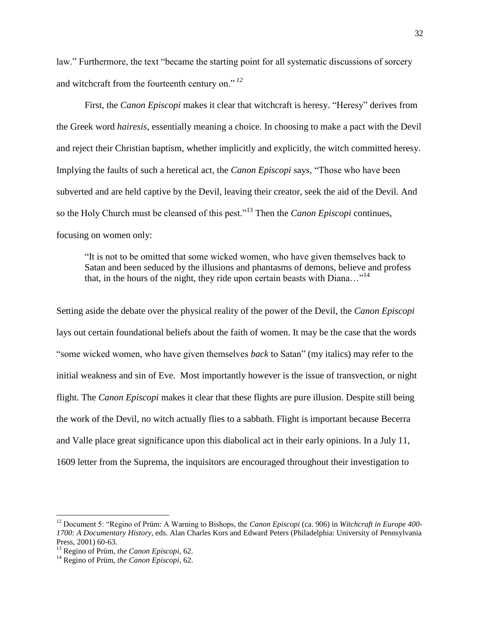law." Furthermore, the text "became the starting point for all systematic discussions of sorcery and witchcraft from the fourteenth century on." *<sup>12</sup>*

First, the *Canon Episcopi* makes it clear that witchcraft is heresy. "Heresy" derives from the Greek word *hairesis*, essentially meaning a choice. In choosing to make a pact with the Devil and reject their Christian baptism, whether implicitly and explicitly, the witch committed heresy. Implying the faults of such a heretical act, the *Canon Episcopi* says, "Those who have been subverted and are held captive by the Devil, leaving their creator, seek the aid of the Devil. And so the Holy Church must be cleansed of this pest."<sup>13</sup> Then the *Canon Episcopi* continues, focusing on women only:

"It is not to be omitted that some wicked women, who have given themselves back to Satan and been seduced by the illusions and phantasms of demons, believe and profess that, in the hours of the night, they ride upon certain beasts with Diana…" 14

Setting aside the debate over the physical reality of the power of the Devil, the *Canon Episcopi* lays out certain foundational beliefs about the faith of women. It may be the case that the words "some wicked women, who have given themselves *back* to Satan" (my italics) may refer to the initial weakness and sin of Eve. Most importantly however is the issue of transvection, or night flight. The *Canon Episcopi* makes it clear that these flights are pure illusion. Despite still being the work of the Devil, no witch actually flies to a sabbath. Flight is important because Becerra and Valle place great significance upon this diabolical act in their early opinions. In a July 11, 1609 letter from the Suprema, the inquisitors are encouraged throughout their investigation to

<sup>12</sup> Document 5: "Regino of Prüm: A Warning to Bishops, the *Canon Episcopi* (ca. 906) in *Witchcraft in Europe 400- 1700: A Documentary History*, eds. Alan Charles Kors and Edward Peters (Philadelphia: University of Pennsylvania Press, 2001) 60-63.

<sup>13</sup> Regino of Prüm, *the Canon Episcopi*, 62.

<sup>14</sup> Regino of Prüm, *the Canon Episcopi*, 62.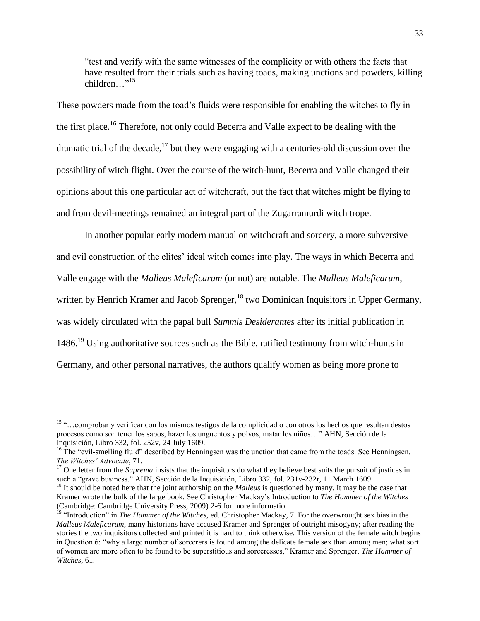"test and verify with the same witnesses of the complicity or with others the facts that have resulted from their trials such as having toads, making unctions and powders, killing children<sup>"15</sup>

These powders made from the toad"s fluids were responsible for enabling the witches to fly in the first place.<sup>16</sup> Therefore, not only could Becerra and Valle expect to be dealing with the dramatic trial of the decade,<sup>17</sup> but they were engaging with a centuries-old discussion over the possibility of witch flight. Over the course of the witch-hunt, Becerra and Valle changed their opinions about this one particular act of witchcraft, but the fact that witches might be flying to and from devil-meetings remained an integral part of the Zugarramurdi witch trope.

In another popular early modern manual on witchcraft and sorcery, a more subversive and evil construction of the elites' ideal witch comes into play. The ways in which Becerra and Valle engage with the *Malleus Maleficarum* (or not) are notable. The *Malleus Maleficarum*, written by Henrich Kramer and Jacob Sprenger,  $18$  two Dominican Inquisitors in Upper Germany, was widely circulated with the papal bull *Summis Desiderantes* after its initial publication in 1486.<sup>19</sup> Using authoritative sources such as the Bible, ratified testimony from witch-hunts in Germany, and other personal narratives, the authors qualify women as being more prone to

 $\overline{\phantom{a}}$ 

<sup>17</sup> One letter from the *Suprema* insists that the inquisitors do what they believe best suits the pursuit of justices in such a "grave business." AHN, Sección de la Inquisición, Libro 332, fol. 231v-232r, 11 March 1609.

<sup>15</sup> "…comprobar y verificar con los mismos testigos de la complicidad o con otros los hechos que resultan destos procesos como son tener los sapos, hazer los unguentos y polvos, matar los niños…" AHN, Sección de la Inquisición, Libro 332, fol. 252v, 24 July 1609.

<sup>&</sup>lt;sup>16</sup> The "evil-smelling fluid" described by Henningsen was the unction that came from the toads. See Henningsen, *The Witches' Advocate*, 71.

<sup>&</sup>lt;sup>18</sup> It should be noted here that the joint authorship on the *Malleus* is questioned by many. It may be the case that Kramer wrote the bulk of the large book. See Christopher Mackay"s Introduction to *The Hammer of the Witches*  (Cambridge: Cambridge University Press, 2009) 2-6 for more information.

<sup>&</sup>lt;sup>19</sup> "Introduction" in *The Hammer of the Witches*, ed. Christopher Mackay, 7. For the overwrought sex bias in the *Malleus Maleficarum*, many historians have accused Kramer and Sprenger of outright misogyny; after reading the stories the two inquisitors collected and printed it is hard to think otherwise. This version of the female witch begins in Question 6: "why a large number of sorcerers is found among the delicate female sex than among men; what sort of women are more often to be found to be superstitious and sorceresses," Kramer and Sprenger, *The Hammer of Witches*, 61.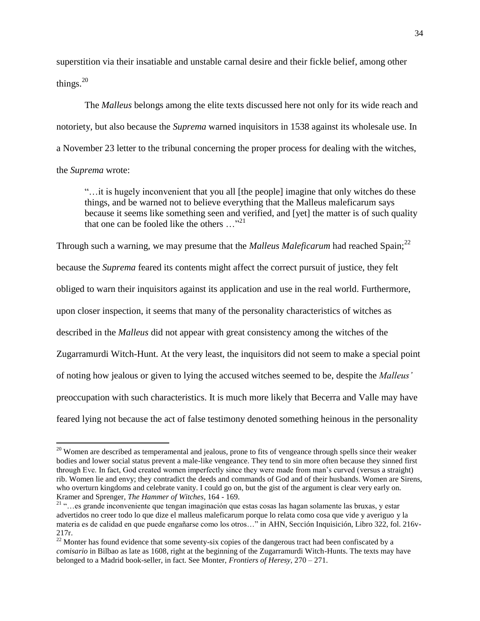superstition via their insatiable and unstable carnal desire and their fickle belief, among other things. $20$ 

The *Malleus* belongs among the elite texts discussed here not only for its wide reach and notoriety, but also because the *Suprema* warned inquisitors in 1538 against its wholesale use. In a November 23 letter to the tribunal concerning the proper process for dealing with the witches, the *Suprema* wrote:

"…it is hugely inconvenient that you all [the people] imagine that only witches do these things, and be warned not to believe everything that the Malleus maleficarum says because it seems like something seen and verified, and [yet] the matter is of such quality that one can be fooled like the others  $\ldots$ <sup>21</sup>

Through such a warning, we may presume that the *Malleus Maleficarum* had reached Spain;<sup>22</sup> because the *Suprema* feared its contents might affect the correct pursuit of justice, they felt obliged to warn their inquisitors against its application and use in the real world. Furthermore, upon closer inspection, it seems that many of the personality characteristics of witches as described in the *Malleus* did not appear with great consistency among the witches of the Zugarramurdi Witch-Hunt. At the very least, the inquisitors did not seem to make a special point of noting how jealous or given to lying the accused witches seemed to be, despite the *Malleus'* preoccupation with such characteristics. It is much more likely that Becerra and Valle may have feared lying not because the act of false testimony denoted something heinous in the personality

<sup>&</sup>lt;sup>20</sup> Women are described as temperamental and jealous, prone to fits of vengeance through spells since their weaker bodies and lower social status prevent a male-like vengeance. They tend to sin more often because they sinned first through Eve. In fact, God created women imperfectly since they were made from man"s curved (versus a straight) rib. Women lie and envy; they contradict the deeds and commands of God and of their husbands. Women are Sirens, who overturn kingdoms and celebrate vanity. I could go on, but the gist of the argument is clear very early on. Kramer and Sprenger, *The Hammer of Witches*, 164 - 169.

<sup>21</sup> "…es grande inconveniente que tengan imaginación que estas cosas las hagan solamente las bruxas, y estar advertidos no creer todo lo que dize el malleus maleficarum porque lo relata como cosa que vide y averiguo y la materia es de calidad en que puede engañarse como los otros…" in AHN, Sección Inquisición, Libro 322, fol. 216v-217r.

 $22$  Monter has found evidence that some seventy-six copies of the dangerous tract had been confiscated by a *comisario* in Bilbao as late as 1608, right at the beginning of the Zugarramurdi Witch-Hunts. The texts may have belonged to a Madrid book-seller, in fact. See Monter, *Frontiers of Heresy,* 270 – 271.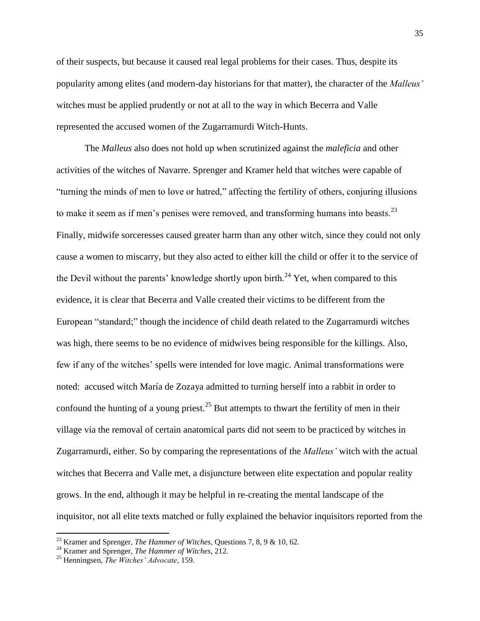of their suspects, but because it caused real legal problems for their cases. Thus, despite its popularity among elites (and modern-day historians for that matter), the character of the *Malleus'* witches must be applied prudently or not at all to the way in which Becerra and Valle represented the accused women of the Zugarramurdi Witch-Hunts.

The *Malleus* also does not hold up when scrutinized against the *maleficia* and other activities of the witches of Navarre. Sprenger and Kramer held that witches were capable of "turning the minds of men to love or hatred," affecting the fertility of others, conjuring illusions to make it seem as if men's penises were removed, and transforming humans into beasts. $^{23}$ Finally, midwife sorceresses caused greater harm than any other witch, since they could not only cause a women to miscarry, but they also acted to either kill the child or offer it to the service of the Devil without the parents' knowledge shortly upon birth.<sup>24</sup> Yet, when compared to this evidence, it is clear that Becerra and Valle created their victims to be different from the European "standard;" though the incidence of child death related to the Zugarramurdi witches was high, there seems to be no evidence of midwives being responsible for the killings. Also, few if any of the witches" spells were intended for love magic. Animal transformations were noted: accused witch María de Zozaya admitted to turning herself into a rabbit in order to confound the hunting of a young priest.<sup>25</sup> But attempts to thwart the fertility of men in their village via the removal of certain anatomical parts did not seem to be practiced by witches in Zugarramurdi, either. So by comparing the representations of the *Malleus'* witch with the actual witches that Becerra and Valle met, a disjuncture between elite expectation and popular reality grows. In the end, although it may be helpful in re-creating the mental landscape of the inquisitor, not all elite texts matched or fully explained the behavior inquisitors reported from the

<sup>23</sup> Kramer and Sprenger, *The Hammer of Witches*, Questions 7, 8, 9 & 10, 62.

<sup>24</sup> Kramer and Sprenger, *The Hammer of Witches*, 212.

<sup>25</sup> Henningsen, *The Witches' Advocate*, 159.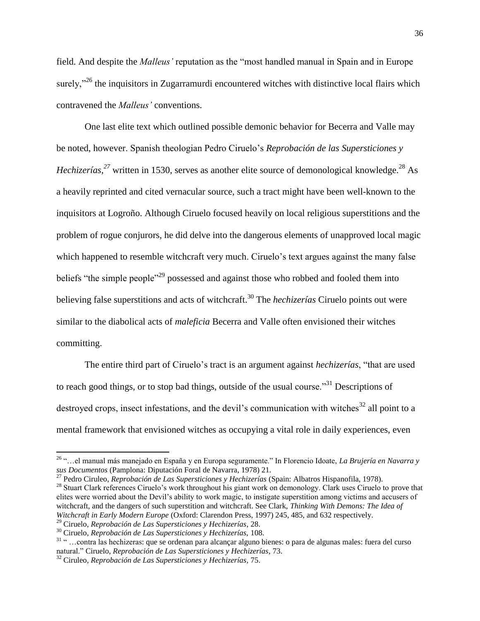field. And despite the *Malleus'* reputation as the "most handled manual in Spain and in Europe surely,<sup>"26</sup> the inquisitors in Zugarramurdi encountered witches with distinctive local flairs which contravened the *Malleus'* conventions.

One last elite text which outlined possible demonic behavior for Becerra and Valle may be noted, however. Spanish theologian Pedro Ciruelo"s *Reprobación de las Supersticiones y Hechizerías*,<sup>27</sup> written in 1530, serves as another elite source of demonological knowledge.<sup>28</sup> As a heavily reprinted and cited vernacular source, such a tract might have been well-known to the inquisitors at Logroño. Although Ciruelo focused heavily on local religious superstitions and the problem of rogue conjurors, he did delve into the dangerous elements of unapproved local magic which happened to resemble witchcraft very much. Ciruelo's text argues against the many false beliefs "the simple people"<sup>29</sup> possessed and against those who robbed and fooled them into believing false superstitions and acts of witchcraft.<sup>30</sup> The *hechizerías* Ciruelo points out were similar to the diabolical acts of *maleficia* Becerra and Valle often envisioned their witches committing.

The entire third part of Ciruelo"s tract is an argument against *hechizerías*, "that are used to reach good things, or to stop bad things, outside of the usual course.<sup>31</sup> Descriptions of destroyed crops, insect infestations, and the devil's communication with witches<sup>32</sup> all point to a mental framework that envisioned witches as occupying a vital role in daily experiences, even

 $\overline{a}$ 

<sup>26</sup> "…el manual más manejado en España y en Europa seguramente." In Florencio Idoate, *La Brujería en Navarra y sus Documentos* (Pamplona: Diputación Foral de Navarra, 1978) 21.

<sup>27</sup> Pedro Ciruleo, *Reprobación de Las Supersticiones y Hechizerías* (Spain: Albatros Hispanofila, 1978).

<sup>&</sup>lt;sup>28</sup> Stuart Clark references Ciruelo's work throughout his giant work on demonology. Clark uses Ciruelo to prove that elites were worried about the Devil"s ability to work magic, to instigate superstition among victims and accusers of witchcraft, and the dangers of such superstition and witchcraft. See Clark, *Thinking With Demons: The Idea of Witchcraft in Early Modern Europe* (Oxford: Clarendon Press, 1997) 245, 485, and 632 respectively.

<sup>29</sup> Ciruelo, *Reprobación de Las Supersticiones y Hechizerías,* 28.

<sup>30</sup> Ciruelo, *Reprobación de Las Supersticiones y Hechizerías,* 108.

<sup>31</sup> " …contra las hechizeras: que se ordenan para alcançar alguno bienes: o para de algunas males: fuera del curso natural." Ciruelo, *Reprobación de Las Supersticiones y Hechizerías,* 73.

<sup>32</sup> Ciruleo, *Reprobación de Las Supersticiones y Hechizerías,* 75.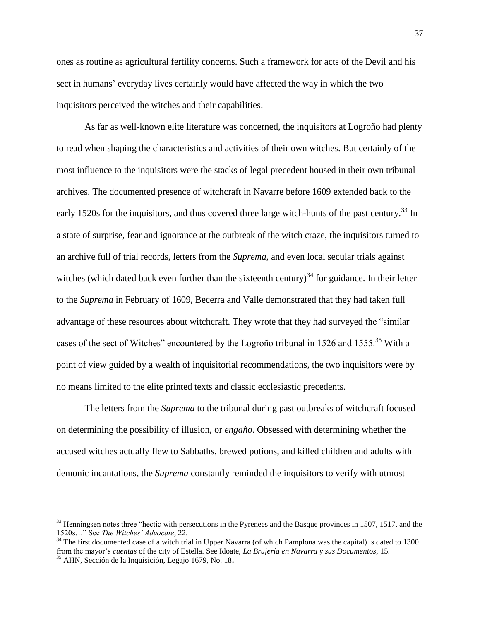ones as routine as agricultural fertility concerns. Such a framework for acts of the Devil and his sect in humans' everyday lives certainly would have affected the way in which the two inquisitors perceived the witches and their capabilities.

As far as well-known elite literature was concerned, the inquisitors at Logroño had plenty to read when shaping the characteristics and activities of their own witches. But certainly of the most influence to the inquisitors were the stacks of legal precedent housed in their own tribunal archives. The documented presence of witchcraft in Navarre before 1609 extended back to the early 1520s for the inquisitors, and thus covered three large witch-hunts of the past century.<sup>33</sup> In a state of surprise, fear and ignorance at the outbreak of the witch craze, the inquisitors turned to an archive full of trial records, letters from the *Suprema*, and even local secular trials against witches (which dated back even further than the sixteenth century)<sup>34</sup> for guidance. In their letter to the *Suprema* in February of 1609, Becerra and Valle demonstrated that they had taken full advantage of these resources about witchcraft. They wrote that they had surveyed the "similar cases of the sect of Witches" encountered by the Logroño tribunal in 1526 and 1555.<sup>35</sup> With a point of view guided by a wealth of inquisitorial recommendations, the two inquisitors were by no means limited to the elite printed texts and classic ecclesiastic precedents.

The letters from the *Suprema* to the tribunal during past outbreaks of witchcraft focused on determining the possibility of illusion, or *engaño*. Obsessed with determining whether the accused witches actually flew to Sabbaths, brewed potions, and killed children and adults with demonic incantations, the *Suprema* constantly reminded the inquisitors to verify with utmost

 $\overline{a}$ 

<sup>&</sup>lt;sup>33</sup> Henningsen notes three "hectic with persecutions in the Pyrenees and the Basque provinces in 1507, 1517, and the 1520s…" See *The Witches' Advocate*, 22.

 $34$  The first documented case of a witch trial in Upper Navarra (of which Pamplona was the capital) is dated to 1300 from the mayor"s *cuentas* of the city of Estella. See Idoate, *La Brujería en Navarra y sus Documentos*, 15. <sup>35</sup> AHN, Sección de la Inquisición, Legajo 1679, No. 18**.**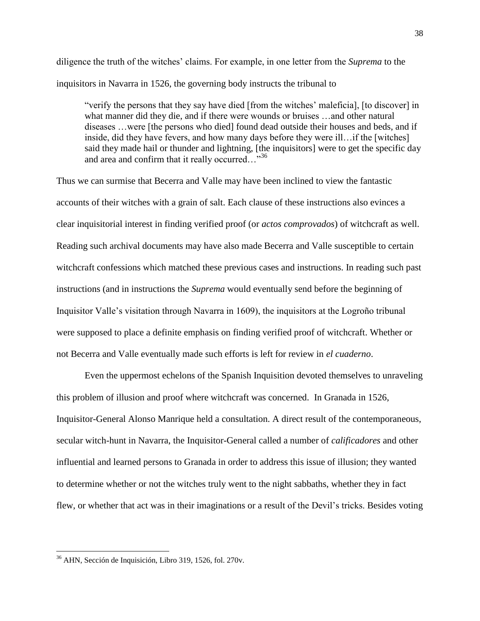diligence the truth of the witches" claims. For example, in one letter from the *Suprema* to the inquisitors in Navarra in 1526, the governing body instructs the tribunal to

"verify the persons that they say have died [from the witches" maleficia], [to discover] in what manner did they die, and if there were wounds or bruises ...and other natural diseases …were [the persons who died] found dead outside their houses and beds, and if inside, did they have fevers, and how many days before they were ill…if the [witches] said they made hail or thunder and lightning, [the inquisitors] were to get the specific day and area and confirm that it really occurred..."<sup>36</sup>

Thus we can surmise that Becerra and Valle may have been inclined to view the fantastic accounts of their witches with a grain of salt. Each clause of these instructions also evinces a clear inquisitorial interest in finding verified proof (or *actos comprovados*) of witchcraft as well. Reading such archival documents may have also made Becerra and Valle susceptible to certain witchcraft confessions which matched these previous cases and instructions. In reading such past instructions (and in instructions the *Suprema* would eventually send before the beginning of Inquisitor Valle"s visitation through Navarra in 1609), the inquisitors at the Logroño tribunal were supposed to place a definite emphasis on finding verified proof of witchcraft. Whether or not Becerra and Valle eventually made such efforts is left for review in *el cuaderno*.

Even the uppermost echelons of the Spanish Inquisition devoted themselves to unraveling this problem of illusion and proof where witchcraft was concerned. In Granada in 1526, Inquisitor-General Alonso Manrique held a consultation. A direct result of the contemporaneous, secular witch-hunt in Navarra, the Inquisitor-General called a number of *calificadores* and other influential and learned persons to Granada in order to address this issue of illusion; they wanted to determine whether or not the witches truly went to the night sabbaths, whether they in fact flew, or whether that act was in their imaginations or a result of the Devil"s tricks. Besides voting

<sup>36</sup> AHN, Sección de Inquisición, Libro 319, 1526, fol. 270v.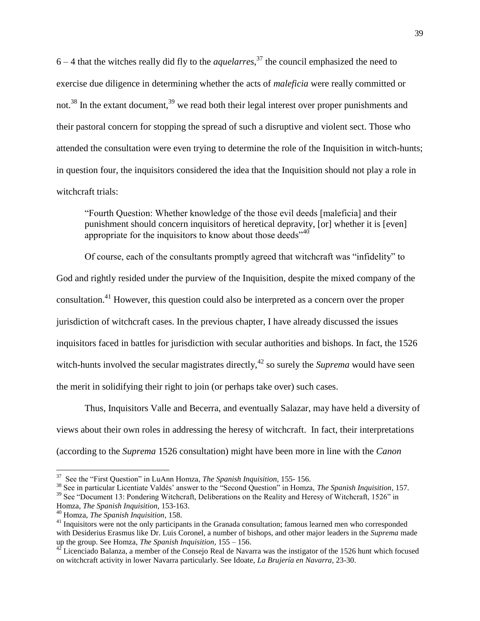$6 - 4$  that the witches really did fly to the *aquelarres*,<sup>37</sup> the council emphasized the need to exercise due diligence in determining whether the acts of *maleficia* were really committed or not.<sup>38</sup> In the extant document,<sup>39</sup> we read both their legal interest over proper punishments and their pastoral concern for stopping the spread of such a disruptive and violent sect. Those who attended the consultation were even trying to determine the role of the Inquisition in witch-hunts; in question four, the inquisitors considered the idea that the Inquisition should not play a role in witchcraft trials:

"Fourth Question: Whether knowledge of the those evil deeds [maleficia] and their punishment should concern inquisitors of heretical depravity, [or] whether it is [even] appropriate for the inquisitors to know about those deeds<sup>740</sup>

Of course, each of the consultants promptly agreed that witchcraft was "infidelity" to God and rightly resided under the purview of the Inquisition, despite the mixed company of the consultation.<sup>41</sup> However, this question could also be interpreted as a concern over the proper jurisdiction of witchcraft cases. In the previous chapter, I have already discussed the issues inquisitors faced in battles for jurisdiction with secular authorities and bishops. In fact, the 1526 witch-hunts involved the secular magistrates directly,<sup> $42$ </sup> so surely the *Suprema* would have seen the merit in solidifying their right to join (or perhaps take over) such cases.

Thus, Inquisitors Valle and Becerra, and eventually Salazar, may have held a diversity of views about their own roles in addressing the heresy of witchcraft. In fact, their interpretations (according to the *Suprema* 1526 consultation) might have been more in line with the *Canon* 

<sup>37</sup> See the "First Question" in LuAnn Homza, *The Spanish Inquisition,* 155- 156.

<sup>&</sup>lt;sup>38</sup> See in particular Licentiate Valdés' answer to the "Second Question" in Homza, *The Spanish Inquisition*, 157.

<sup>&</sup>lt;sup>39</sup> See "Document 13: Pondering Witchcraft, Deliberations on the Reality and Heresy of Witchcraft, 1526" in Homza, *The Spanish Inquisition,* 153-163.

<sup>40</sup> Homza, *The Spanish Inquisition,* 158.

<sup>&</sup>lt;sup>41</sup> Inquisitors were not the only participants in the Granada consultation; famous learned men who corresponded with Desiderius Erasmus like Dr. Luis Coronel, a number of bishops, and other major leaders in the *Suprema* made up the group. See Homza, *The Spanish Inquisition,* 155 – 156.

 $42$  Licenciado Balanza, a member of the Consejo Real de Navarra was the instigator of the 1526 hunt which focused on witchcraft activity in lower Navarra particularly. See Idoate, *La Brujería en Navarra*, 23-30.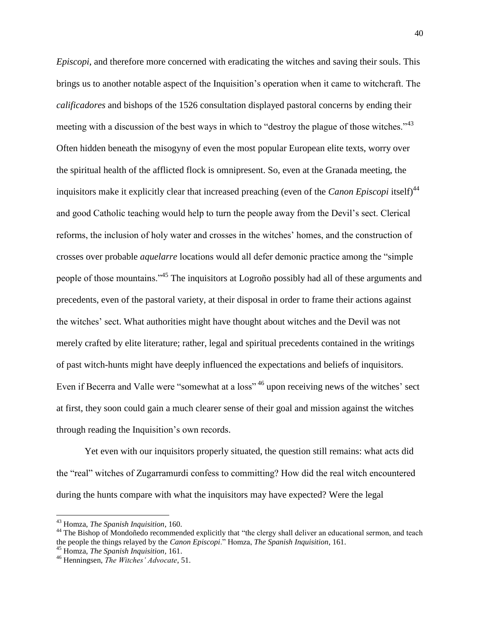*Episcopi*, and therefore more concerned with eradicating the witches and saving their souls. This brings us to another notable aspect of the Inquisition"s operation when it came to witchcraft. The *calificadores* and bishops of the 1526 consultation displayed pastoral concerns by ending their meeting with a discussion of the best ways in which to "destroy the plague of those witches."<sup>43</sup> Often hidden beneath the misogyny of even the most popular European elite texts, worry over the spiritual health of the afflicted flock is omnipresent. So, even at the Granada meeting, the inquisitors make it explicitly clear that increased preaching (even of the *Canon Episcopi* itself)<sup>44</sup> and good Catholic teaching would help to turn the people away from the Devil"s sect. Clerical reforms, the inclusion of holy water and crosses in the witches" homes, and the construction of crosses over probable *aquelarre* locations would all defer demonic practice among the "simple people of those mountains."<sup>45</sup> The inquisitors at Logroño possibly had all of these arguments and precedents, even of the pastoral variety, at their disposal in order to frame their actions against the witches" sect. What authorities might have thought about witches and the Devil was not merely crafted by elite literature; rather, legal and spiritual precedents contained in the writings of past witch-hunts might have deeply influenced the expectations and beliefs of inquisitors. Even if Becerra and Valle were "somewhat at a loss"<sup>46</sup> upon receiving news of the witches' sect at first, they soon could gain a much clearer sense of their goal and mission against the witches through reading the Inquisition"s own records.

Yet even with our inquisitors properly situated, the question still remains: what acts did the "real" witches of Zugarramurdi confess to committing? How did the real witch encountered during the hunts compare with what the inquisitors may have expected? Were the legal

 $\overline{a}$ 

<sup>45</sup> Homza, *The Spanish Inquisition,* 161.

<sup>43</sup> Homza, *The Spanish Inquisition*, 160.

<sup>&</sup>lt;sup>44</sup> The Bishop of Mondoñedo recommended explicitly that "the clergy shall deliver an educational sermon, and teach the people the things relayed by the *Canon Episcopi*." Homza, *The Spanish Inquisition*, 161.

<sup>46</sup> Henningsen, *The Witches' Advocate*, 51.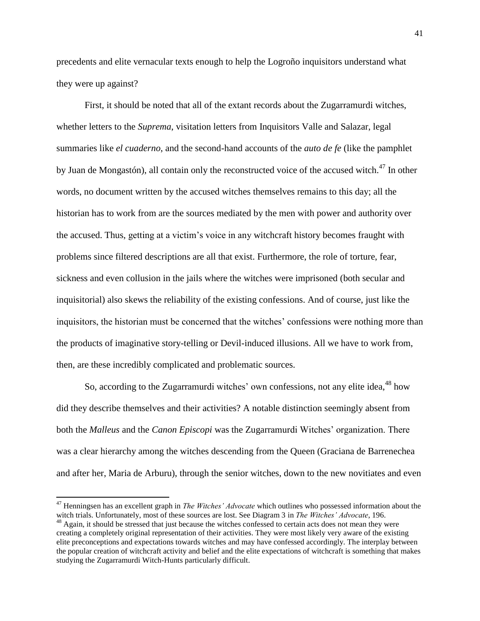precedents and elite vernacular texts enough to help the Logroño inquisitors understand what they were up against?

First, it should be noted that all of the extant records about the Zugarramurdi witches, whether letters to the *Suprema*, visitation letters from Inquisitors Valle and Salazar, legal summaries like *el cuaderno*, and the second-hand accounts of the *auto de fe* (like the pamphlet by Juan de Mongastón), all contain only the reconstructed voice of the accused witch.<sup>47</sup> In other words, no document written by the accused witches themselves remains to this day; all the historian has to work from are the sources mediated by the men with power and authority over the accused. Thus, getting at a victim"s voice in any witchcraft history becomes fraught with problems since filtered descriptions are all that exist. Furthermore, the role of torture, fear, sickness and even collusion in the jails where the witches were imprisoned (both secular and inquisitorial) also skews the reliability of the existing confessions. And of course, just like the inquisitors, the historian must be concerned that the witches" confessions were nothing more than the products of imaginative story-telling or Devil-induced illusions. All we have to work from, then, are these incredibly complicated and problematic sources.

So, according to the Zugarramurdi witches' own confessions, not any elite idea,<sup>48</sup> how did they describe themselves and their activities? A notable distinction seemingly absent from both the *Malleus* and the *Canon Episcopi* was the Zugarramurdi Witches" organization. There was a clear hierarchy among the witches descending from the Queen (Graciana de Barrenechea and after her, Maria de Arburu), through the senior witches, down to the new novitiates and even

<sup>47</sup> Henningsen has an excellent graph in *The Witches' Advocate* which outlines who possessed information about the witch trials. Unfortunately, most of these sources are lost. See Diagram 3 in *The Witches' Advocate*, 196. <sup>48</sup> Again, it should be stressed that just because the witches confessed to certain acts does not mean they were creating a completely original representation of their activities. They were most likely very aware of the existing elite preconceptions and expectations towards witches and may have confessed accordingly. The interplay between the popular creation of witchcraft activity and belief and the elite expectations of witchcraft is something that makes studying the Zugarramurdi Witch-Hunts particularly difficult.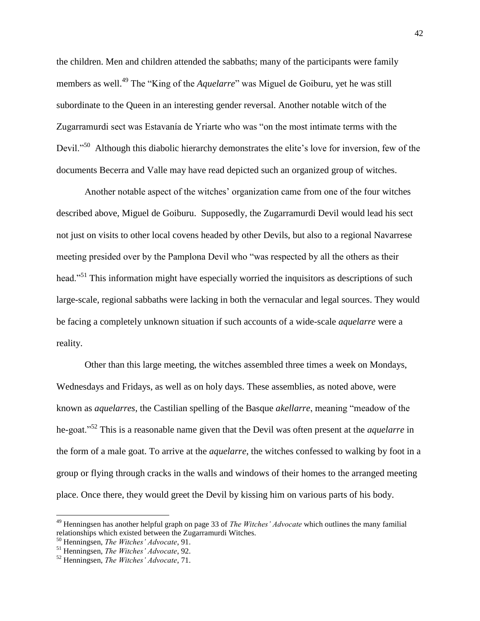the children. Men and children attended the sabbaths; many of the participants were family members as well.<sup>49</sup> The "King of the *Aquelarre*" was Miguel de Goiburu, yet he was still subordinate to the Queen in an interesting gender reversal. Another notable witch of the Zugarramurdi sect was Estavanía de Yriarte who was "on the most intimate terms with the Devil."<sup>50</sup> Although this diabolic hierarchy demonstrates the elite's love for inversion, few of the documents Becerra and Valle may have read depicted such an organized group of witches.

Another notable aspect of the witches" organization came from one of the four witches described above, Miguel de Goiburu. Supposedly, the Zugarramurdi Devil would lead his sect not just on visits to other local covens headed by other Devils, but also to a regional Navarrese meeting presided over by the Pamplona Devil who "was respected by all the others as their head."<sup>51</sup> This information might have especially worried the inquisitors as descriptions of such large-scale, regional sabbaths were lacking in both the vernacular and legal sources. They would be facing a completely unknown situation if such accounts of a wide-scale *aquelarre* were a reality.

Other than this large meeting, the witches assembled three times a week on Mondays, Wednesdays and Fridays, as well as on holy days. These assemblies, as noted above, were known as *aquelarres*, the Castilian spelling of the Basque *akellarre*, meaning "meadow of the he-goat."<sup>52</sup> This is a reasonable name given that the Devil was often present at the *aquelarre* in the form of a male goat. To arrive at the *aquelarre*, the witches confessed to walking by foot in a group or flying through cracks in the walls and windows of their homes to the arranged meeting place. Once there, they would greet the Devil by kissing him on various parts of his body.

 $\overline{a}$ 

<sup>49</sup> Henningsen has another helpful graph on page 33 of *The Witches' Advocate* which outlines the many familial relationships which existed between the Zugarramurdi Witches.

<sup>50</sup> Henningsen, *The Witches' Advocate*, 91.

<sup>51</sup> Henningsen, *The Witches' Advocate*, 92.

<sup>52</sup> Henningsen, *The Witches' Advocate*, 71.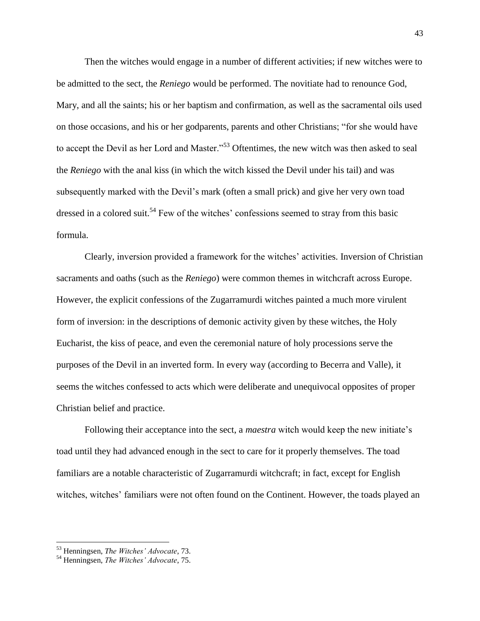Then the witches would engage in a number of different activities; if new witches were to be admitted to the sect, the *Reniego* would be performed. The novitiate had to renounce God, Mary, and all the saints; his or her baptism and confirmation, as well as the sacramental oils used on those occasions, and his or her godparents, parents and other Christians; "for she would have to accept the Devil as her Lord and Master."<sup>53</sup> Oftentimes, the new witch was then asked to seal the *Reniego* with the anal kiss (in which the witch kissed the Devil under his tail) and was subsequently marked with the Devil"s mark (often a small prick) and give her very own toad dressed in a colored suit.<sup>54</sup> Few of the witches' confessions seemed to stray from this basic formula.

Clearly, inversion provided a framework for the witches" activities. Inversion of Christian sacraments and oaths (such as the *Reniego*) were common themes in witchcraft across Europe. However, the explicit confessions of the Zugarramurdi witches painted a much more virulent form of inversion: in the descriptions of demonic activity given by these witches, the Holy Eucharist, the kiss of peace, and even the ceremonial nature of holy processions serve the purposes of the Devil in an inverted form. In every way (according to Becerra and Valle), it seems the witches confessed to acts which were deliberate and unequivocal opposites of proper Christian belief and practice.

Following their acceptance into the sect, a *maestra* witch would keep the new initiate's toad until they had advanced enough in the sect to care for it properly themselves. The toad familiars are a notable characteristic of Zugarramurdi witchcraft; in fact, except for English witches, witches' familiars were not often found on the Continent. However, the toads played an

<sup>53</sup> Henningsen, *The Witches' Advocate*, 73.

<sup>54</sup> Henningsen, *The Witches' Advocate*, 75.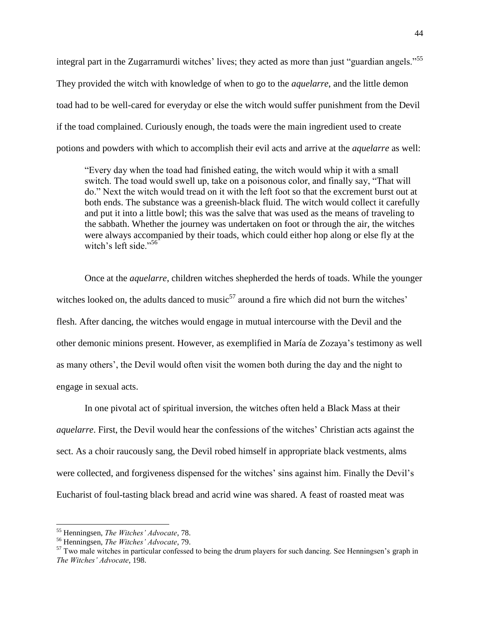integral part in the Zugarramurdi witches' lives; they acted as more than just "guardian angels."<sup>55</sup> They provided the witch with knowledge of when to go to the *aquelarre*, and the little demon toad had to be well-cared for everyday or else the witch would suffer punishment from the Devil if the toad complained. Curiously enough, the toads were the main ingredient used to create potions and powders with which to accomplish their evil acts and arrive at the *aquelarre* as well:

"Every day when the toad had finished eating, the witch would whip it with a small switch. The toad would swell up, take on a poisonous color, and finally say, "That will do." Next the witch would tread on it with the left foot so that the excrement burst out at both ends. The substance was a greenish-black fluid. The witch would collect it carefully and put it into a little bowl; this was the salve that was used as the means of traveling to the sabbath. Whether the journey was undertaken on foot or through the air, the witches were always accompanied by their toads, which could either hop along or else fly at the witch's left side."<sup>56</sup>

Once at the *aquelarre*, children witches shepherded the herds of toads. While the younger witches looked on, the adults danced to music<sup>57</sup> around a fire which did not burn the witches' flesh. After dancing, the witches would engage in mutual intercourse with the Devil and the other demonic minions present. However, as exemplified in María de Zozaya"s testimony as well as many others", the Devil would often visit the women both during the day and the night to engage in sexual acts.

In one pivotal act of spiritual inversion, the witches often held a Black Mass at their *aquelarre*. First, the Devil would hear the confessions of the witches' Christian acts against the sect. As a choir raucously sang, the Devil robed himself in appropriate black vestments, alms were collected, and forgiveness dispensed for the witches' sins against him. Finally the Devil's Eucharist of foul-tasting black bread and acrid wine was shared. A feast of roasted meat was

<sup>55</sup> Henningsen, *The Witches' Advocate*, 78.

<sup>56</sup> Henningsen, *The Witches' Advocate*, 79.

 $57$  Two male witches in particular confessed to being the drum players for such dancing. See Henningsen's graph in *The Witches' Advocate*, 198.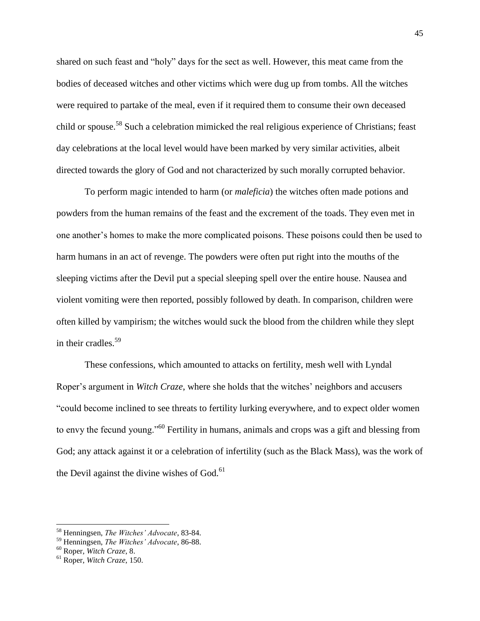shared on such feast and "holy" days for the sect as well. However, this meat came from the bodies of deceased witches and other victims which were dug up from tombs. All the witches were required to partake of the meal, even if it required them to consume their own deceased child or spouse.<sup>58</sup> Such a celebration mimicked the real religious experience of Christians; feast day celebrations at the local level would have been marked by very similar activities, albeit directed towards the glory of God and not characterized by such morally corrupted behavior.

To perform magic intended to harm (or *maleficia*) the witches often made potions and powders from the human remains of the feast and the excrement of the toads. They even met in one another"s homes to make the more complicated poisons. These poisons could then be used to harm humans in an act of revenge. The powders were often put right into the mouths of the sleeping victims after the Devil put a special sleeping spell over the entire house. Nausea and violent vomiting were then reported, possibly followed by death. In comparison, children were often killed by vampirism; the witches would suck the blood from the children while they slept in their cradles.<sup>59</sup>

These confessions, which amounted to attacks on fertility, mesh well with Lyndal Roper's argument in *Witch Craze*, where she holds that the witches' neighbors and accusers "could become inclined to see threats to fertility lurking everywhere, and to expect older women to envy the fecund young."<sup>60</sup> Fertility in humans, animals and crops was a gift and blessing from God; any attack against it or a celebration of infertility (such as the Black Mass), was the work of the Devil against the divine wishes of God.<sup>61</sup>

<sup>58</sup> Henningsen, *The Witches' Advocate*, 83-84.

<sup>59</sup> Henningsen, *The Witches' Advocate*, 86-88.

<sup>60</sup> Roper, *Witch Craze*, 8.

<sup>61</sup> Roper, *Witch Craze*, 150.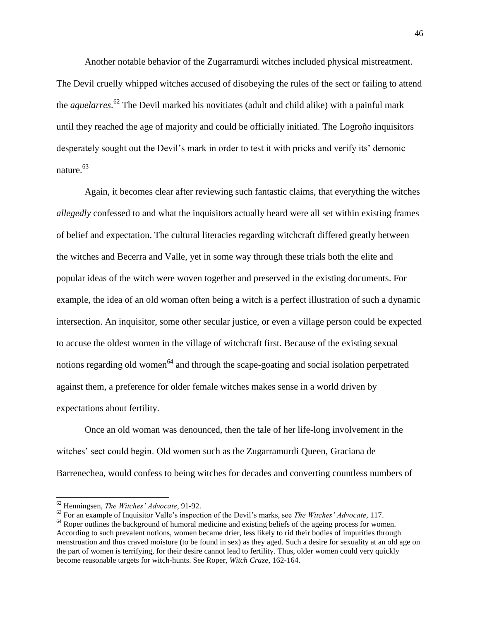Another notable behavior of the Zugarramurdi witches included physical mistreatment. The Devil cruelly whipped witches accused of disobeying the rules of the sect or failing to attend the *aquelarres*. <sup>62</sup> The Devil marked his novitiates (adult and child alike) with a painful mark until they reached the age of majority and could be officially initiated. The Logroño inquisitors desperately sought out the Devil's mark in order to test it with pricks and verify its' demonic nature.<sup>63</sup>

Again, it becomes clear after reviewing such fantastic claims, that everything the witches *allegedly* confessed to and what the inquisitors actually heard were all set within existing frames of belief and expectation. The cultural literacies regarding witchcraft differed greatly between the witches and Becerra and Valle, yet in some way through these trials both the elite and popular ideas of the witch were woven together and preserved in the existing documents. For example, the idea of an old woman often being a witch is a perfect illustration of such a dynamic intersection. An inquisitor, some other secular justice, or even a village person could be expected to accuse the oldest women in the village of witchcraft first. Because of the existing sexual notions regarding old women<sup>64</sup> and through the scape-goating and social isolation perpetrated against them, a preference for older female witches makes sense in a world driven by expectations about fertility.

Once an old woman was denounced, then the tale of her life-long involvement in the witches" sect could begin. Old women such as the Zugarramurdi Queen, Graciana de Barrenechea, would confess to being witches for decades and converting countless numbers of

 $\overline{\phantom{a}}$ 

<sup>63</sup> For an example of Inquisitor Valle"s inspection of the Devil"s marks, see *The Witches' Advocate*, 117.

<sup>62</sup> Henningsen, *The Witches' Advocate*, 91-92.

<sup>&</sup>lt;sup>64</sup> Roper outlines the background of humoral medicine and existing beliefs of the ageing process for women. According to such prevalent notions, women became drier, less likely to rid their bodies of impurities through menstruation and thus craved moisture (to be found in sex) as they aged. Such a desire for sexuality at an old age on the part of women is terrifying, for their desire cannot lead to fertility. Thus, older women could very quickly become reasonable targets for witch-hunts. See Roper, *Witch Craze*, 162-164.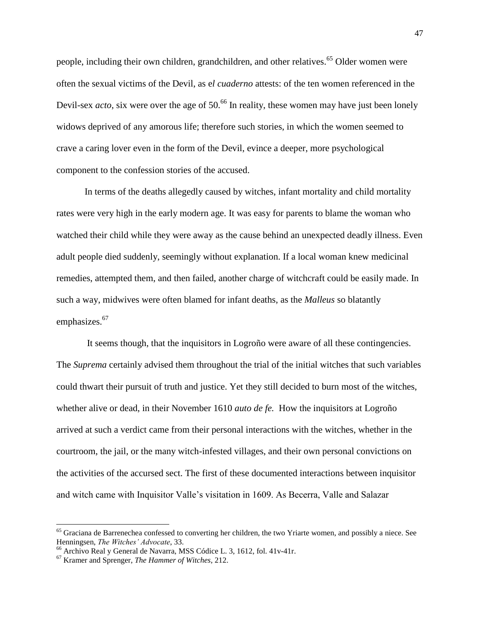people, including their own children, grandchildren, and other relatives.<sup>65</sup> Older women were often the sexual victims of the Devil, as e*l cuaderno* attests: of the ten women referenced in the Devil-sex *acto*, six were over the age of 50.<sup>66</sup> In reality, these women may have just been lonely widows deprived of any amorous life; therefore such stories, in which the women seemed to crave a caring lover even in the form of the Devil, evince a deeper, more psychological component to the confession stories of the accused.

In terms of the deaths allegedly caused by witches, infant mortality and child mortality rates were very high in the early modern age. It was easy for parents to blame the woman who watched their child while they were away as the cause behind an unexpected deadly illness. Even adult people died suddenly, seemingly without explanation. If a local woman knew medicinal remedies, attempted them, and then failed, another charge of witchcraft could be easily made. In such a way, midwives were often blamed for infant deaths, as the *Malleus* so blatantly emphasizes.<sup>67</sup>

It seems though, that the inquisitors in Logroño were aware of all these contingencies. The *Suprema* certainly advised them throughout the trial of the initial witches that such variables could thwart their pursuit of truth and justice. Yet they still decided to burn most of the witches, whether alive or dead, in their November 1610 *auto de fe.* How the inquisitors at Logroño arrived at such a verdict came from their personal interactions with the witches, whether in the courtroom, the jail, or the many witch-infested villages, and their own personal convictions on the activities of the accursed sect. The first of these documented interactions between inquisitor and witch came with Inquisitor Valle"s visitation in 1609. As Becerra, Valle and Salazar

<sup>&</sup>lt;sup>65</sup> Graciana de Barrenechea confessed to converting her children, the two Yriarte women, and possibly a niece. See Henningsen, *The Witches' Advocate*, 33.

<sup>66</sup> Archivo Real y General de Navarra, MSS Códice L. 3, 1612, fol. 41v-41r.

<sup>67</sup> Kramer and Sprenger, *The Hammer of Witches*, 212.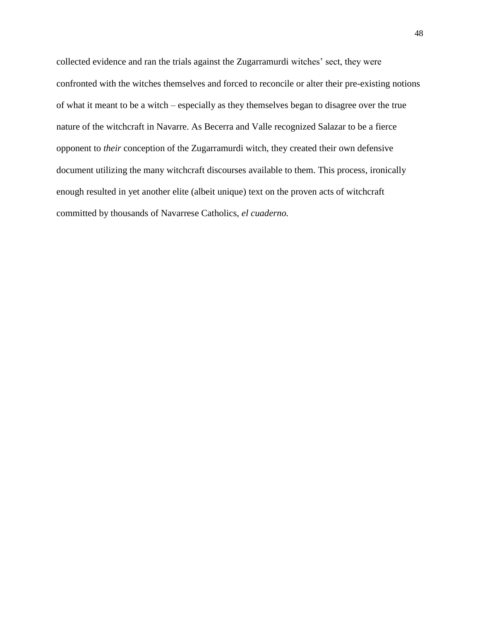collected evidence and ran the trials against the Zugarramurdi witches' sect, they were confronted with the witches themselves and forced to reconcile or alter their pre-existing notions of what it meant to be a witch – especially as they themselves began to disagree over the true nature of the witchcraft in Navarre. As Becerra and Valle recognized Salazar to be a fierce opponent to *their* conception of the Zugarramurdi witch, they created their own defensive document utilizing the many witchcraft discourses available to them. This process, ironically enough resulted in yet another elite (albeit unique) text on the proven acts of witchcraft committed by thousands of Navarrese Catholics, *el cuaderno.*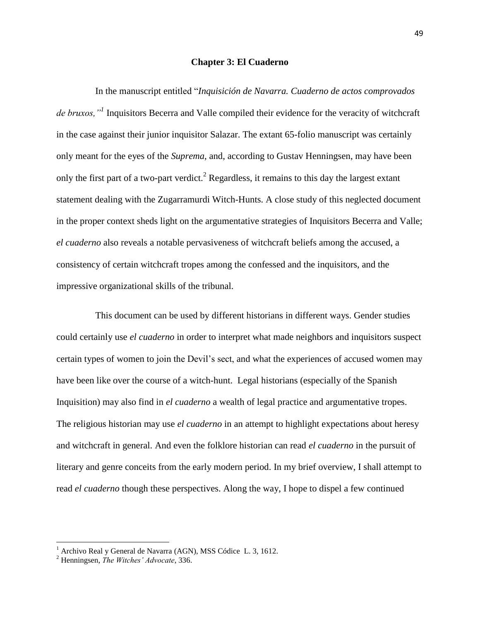## **Chapter 3: El Cuaderno**

In the manuscript entitled "*Inquisición de Navarra. Cuaderno de actos comprovados de bruxos,"<sup>1</sup>* Inquisitors Becerra and Valle compiled their evidence for the veracity of witchcraft in the case against their junior inquisitor Salazar. The extant 65-folio manuscript was certainly only meant for the eyes of the *Suprema*, and, according to Gustav Henningsen, may have been only the first part of a two-part verdict.<sup>2</sup> Regardless, it remains to this day the largest extant statement dealing with the Zugarramurdi Witch-Hunts. A close study of this neglected document in the proper context sheds light on the argumentative strategies of Inquisitors Becerra and Valle; *el cuaderno* also reveals a notable pervasiveness of witchcraft beliefs among the accused, a consistency of certain witchcraft tropes among the confessed and the inquisitors, and the impressive organizational skills of the tribunal.

This document can be used by different historians in different ways. Gender studies could certainly use *el cuaderno* in order to interpret what made neighbors and inquisitors suspect certain types of women to join the Devil"s sect, and what the experiences of accused women may have been like over the course of a witch-hunt. Legal historians (especially of the Spanish Inquisition) may also find in *el cuaderno* a wealth of legal practice and argumentative tropes. The religious historian may use *el cuaderno* in an attempt to highlight expectations about heresy and witchcraft in general. And even the folklore historian can read *el cuaderno* in the pursuit of literary and genre conceits from the early modern period. In my brief overview, I shall attempt to read *el cuaderno* though these perspectives. Along the way, I hope to dispel a few continued

<sup>&</sup>lt;sup>1</sup> Archivo Real y General de Navarra (AGN), MSS Códice L. 3, 1612.

<sup>2</sup> Henningsen, *The Witches' Advocate*, 336.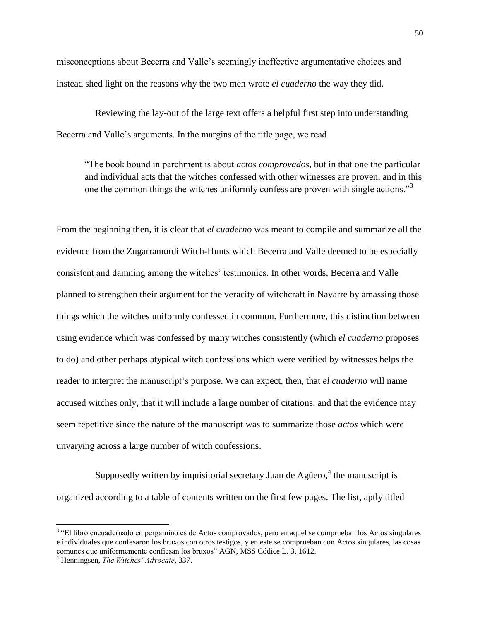misconceptions about Becerra and Valle"s seemingly ineffective argumentative choices and instead shed light on the reasons why the two men wrote *el cuaderno* the way they did.

Reviewing the lay-out of the large text offers a helpful first step into understanding Becerra and Valle's arguments. In the margins of the title page, we read

"The book bound in parchment is about *actos comprovados*, but in that one the particular and individual acts that the witches confessed with other witnesses are proven, and in this one the common things the witches uniformly confess are proven with single actions."<sup>3</sup>

From the beginning then, it is clear that *el cuaderno* was meant to compile and summarize all the evidence from the Zugarramurdi Witch-Hunts which Becerra and Valle deemed to be especially consistent and damning among the witches" testimonies. In other words, Becerra and Valle planned to strengthen their argument for the veracity of witchcraft in Navarre by amassing those things which the witches uniformly confessed in common. Furthermore, this distinction between using evidence which was confessed by many witches consistently (which *el cuaderno* proposes to do) and other perhaps atypical witch confessions which were verified by witnesses helps the reader to interpret the manuscript's purpose. We can expect, then, that *el cuaderno* will name accused witches only, that it will include a large number of citations, and that the evidence may seem repetitive since the nature of the manuscript was to summarize those *actos* which were unvarying across a large number of witch confessions.

Supposedly written by inquisitorial secretary Juan de Agüero, $4$  the manuscript is organized according to a table of contents written on the first few pages. The list, aptly titled

<sup>&</sup>lt;sup>3</sup> "El libro encuadernado en pergamino es de Actos comprovados, pero en aquel se comprueban los Actos singulares e individuales que confesaron los bruxos con otros testigos, y en este se comprueban con Actos singulares, las cosas comunes que uniformemente confiesan los bruxos" AGN, MSS Códice L. 3, 1612.

<sup>4</sup> Henningsen, *The Witches' Advocate*, 337.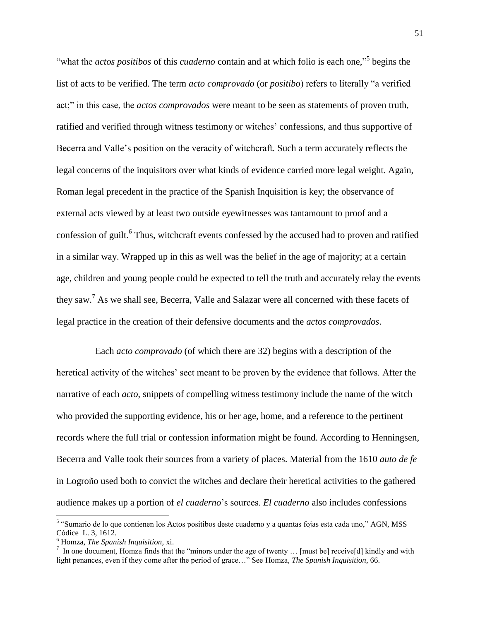"what the *actos positibos* of this *cuaderno* contain and at which folio is each one," 5 begins the list of acts to be verified. The term *acto comprovado* (or *positibo*) refers to literally "a verified act;" in this case, the *actos comprovados* were meant to be seen as statements of proven truth, ratified and verified through witness testimony or witches" confessions, and thus supportive of Becerra and Valle's position on the veracity of witchcraft. Such a term accurately reflects the legal concerns of the inquisitors over what kinds of evidence carried more legal weight. Again, Roman legal precedent in the practice of the Spanish Inquisition is key; the observance of external acts viewed by at least two outside eyewitnesses was tantamount to proof and a confession of guilt.<sup>6</sup> Thus, witchcraft events confessed by the accused had to proven and ratified in a similar way. Wrapped up in this as well was the belief in the age of majority; at a certain age, children and young people could be expected to tell the truth and accurately relay the events they saw.<sup>7</sup> As we shall see, Becerra, Valle and Salazar were all concerned with these facets of legal practice in the creation of their defensive documents and the *actos comprovados*.

Each *acto comprovado* (of which there are 32) begins with a description of the heretical activity of the witches' sect meant to be proven by the evidence that follows. After the narrative of each *acto*, snippets of compelling witness testimony include the name of the witch who provided the supporting evidence, his or her age, home, and a reference to the pertinent records where the full trial or confession information might be found. According to Henningsen, Becerra and Valle took their sources from a variety of places. Material from the 1610 *auto de fe* in Logroño used both to convict the witches and declare their heretical activities to the gathered audience makes up a portion of *el cuaderno*"s sources. *El cuaderno* also includes confessions

<sup>&</sup>lt;sup>5</sup> "Sumario de lo que contienen los Actos positibos deste cuaderno y a quantas fojas esta cada uno," AGN, MSS Códice L. 3, 1612.

<sup>6</sup> Homza, *The Spanish Inquisition,* xi.

<sup>&</sup>lt;sup>7</sup> In one document, Homza finds that the "minors under the age of twenty ... [must be] receive[d] kindly and with light penances, even if they come after the period of grace…" See Homza, *The Spanish Inquisition*, 66.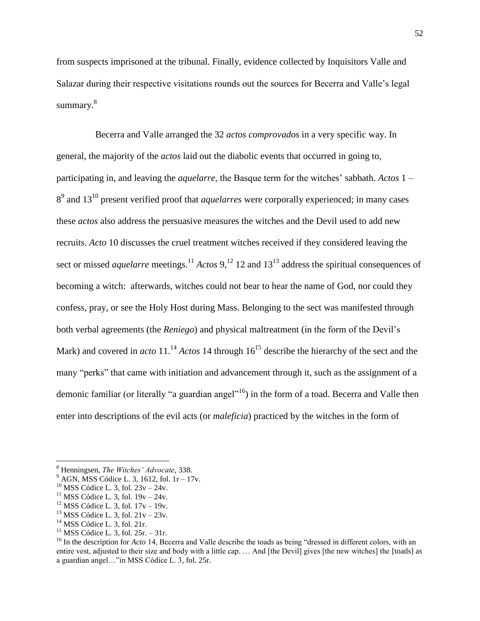from suspects imprisoned at the tribunal. Finally, evidence collected by Inquisitors Valle and Salazar during their respective visitations rounds out the sources for Becerra and Valle"s legal summary.<sup>8</sup>

Becerra and Valle arranged the 32 *actos comprovados* in a very specific way. In general, the majority of the *actos* laid out the diabolic events that occurred in going to, participating in, and leaving the *aquelarre*, the Basque term for the witches" sabbath. *Actos* 1 – 8 9 and 13<sup>10</sup> present verified proof that *aquelarres* were corporally experienced; in many cases these *actos* also address the persuasive measures the witches and the Devil used to add new recruits. *Acto* 10 discusses the cruel treatment witches received if they considered leaving the sect or missed *aquelarre* meetings.<sup>11</sup> *Actos*  $9$ ,<sup>12</sup> 12 and  $13^{13}$  address the spiritual consequences of becoming a witch: afterwards, witches could not bear to hear the name of God, nor could they confess, pray, or see the Holy Host during Mass. Belonging to the sect was manifested through both verbal agreements (the *Reniego*) and physical maltreatment (in the form of the Devil"s Mark) and covered in *acto* 11.<sup>14</sup> *Actos* 14 through  $16^{15}$  describe the hierarchy of the sect and the many "perks" that came with initiation and advancement through it, such as the assignment of a demonic familiar (or literally "a guardian angel"<sup>16</sup>) in the form of a toad. Becerra and Valle then enter into descriptions of the evil acts (or *maleficia*) practiced by the witches in the form of

 $12$  MSS Códice L. 3, fol.  $17v - 19v$ .

 $14$  MSS Códice L. 3, fol. 21r.

 $\overline{\phantom{a}}$ 

<sup>15</sup> MSS Códice L. 3, fol.  $25r. - 31r$ .

<sup>8</sup> Henningsen, *The Witches' Advocate*, 338.

 $9$  AGN, MSS Códice L. 3, 1612, fol. 1r – 17v.

 $10$  MSS Códice L. 3, fol.  $23v - 24v$ .

<sup>&</sup>lt;sup>11</sup> MSS Códice L. 3, fol.  $19v - 24v$ .

<sup>&</sup>lt;sup>13</sup> MSS Códice L. 3, fol.  $21v - 23v$ .

<sup>&</sup>lt;sup>16</sup> In the description for *Acto* 14, Becerra and Valle describe the toads as being "dressed in different colors, with an entire vest, adjusted to their size and body with a little cap. … And [the Devil] gives [the new witches] the [toads] as a guardian angel…"in MSS Códice L. 3, fol. 25r.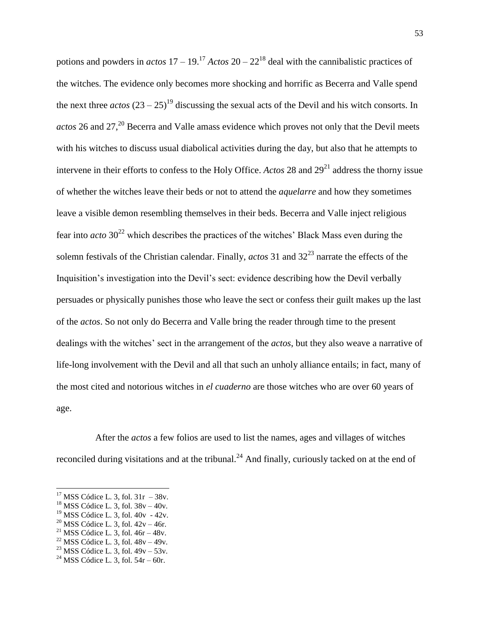potions and powders in  $actos$  17 – 19.<sup>17</sup>  $Actos$  20 – 22<sup>18</sup> deal with the cannibalistic practices of the witches. The evidence only becomes more shocking and horrific as Becerra and Valle spend the next three  $\arccos (23 - 25)^{19}$  discussing the sexual acts of the Devil and his witch consorts. In *actos* 26 and 27,<sup>20</sup> Becerra and Valle amass evidence which proves not only that the Devil meets with his witches to discuss usual diabolical activities during the day, but also that he attempts to intervene in their efforts to confess to the Holy Office. *Actos* 28 and  $29<sup>21</sup>$  address the thorny issue of whether the witches leave their beds or not to attend the *aquelarre* and how they sometimes leave a visible demon resembling themselves in their beds. Becerra and Valle inject religious fear into *acto*  $30^{22}$  which describes the practices of the witches' Black Mass even during the solemn festivals of the Christian calendar. Finally, *actos* 31 and 32<sup>23</sup> narrate the effects of the Inquisition"s investigation into the Devil"s sect: evidence describing how the Devil verbally persuades or physically punishes those who leave the sect or confess their guilt makes up the last of the *actos*. So not only do Becerra and Valle bring the reader through time to the present dealings with the witches' sect in the arrangement of the *actos*, but they also weave a narrative of life-long involvement with the Devil and all that such an unholy alliance entails; in fact, many of the most cited and notorious witches in *el cuaderno* are those witches who are over 60 years of age.

After the *actos* a few folios are used to list the names, ages and villages of witches reconciled during visitations and at the tribunal.<sup>24</sup> And finally, curiously tacked on at the end of

 $\overline{a}$ 

 $17$  MSS Códice L. 3, fol.  $31r - 38v$ .

 $18$  MSS Códice L. 3, fol.  $38v - 40v$ .

 $19$  MSS Códice L. 3, fol.  $40v - 42v$ .

<sup>&</sup>lt;sup>20</sup> MSS Códice L. 3, fol.  $42v - 46r$ .

<sup>&</sup>lt;sup>21</sup> MSS Códice L. 3, fol.  $46r - 48v$ .

<sup>&</sup>lt;sup>22</sup> MSS Códice L. 3, fol.  $48v - 49v$ . <sup>23</sup> MSS Códice L. 3, fol.  $49v - 53v$ .

<sup>&</sup>lt;sup>24</sup> MSS Códice L. 3, fol.  $54r - 60r$ .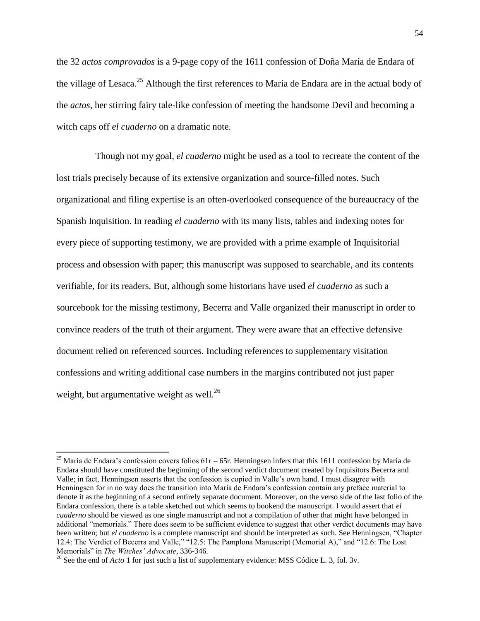the 32 *actos comprovados* is a 9-page copy of the 1611 confession of Doña María de Endara of the village of Lesaca.<sup>25</sup> Although the first references to María de Endara are in the actual body of the *actos*, her stirring fairy tale-like confession of meeting the handsome Devil and becoming a witch caps off *el cuaderno* on a dramatic note.

Though not my goal, *el cuaderno* might be used as a tool to recreate the content of the lost trials precisely because of its extensive organization and source-filled notes. Such organizational and filing expertise is an often-overlooked consequence of the bureaucracy of the Spanish Inquisition. In reading *el cuaderno* with its many lists, tables and indexing notes for every piece of supporting testimony, we are provided with a prime example of Inquisitorial process and obsession with paper; this manuscript was supposed to searchable, and its contents verifiable, for its readers. But, although some historians have used *el cuaderno* as such a sourcebook for the missing testimony, Becerra and Valle organized their manuscript in order to convince readers of the truth of their argument. They were aware that an effective defensive document relied on referenced sources. Including references to supplementary visitation confessions and writing additional case numbers in the margins contributed not just paper weight, but argumentative weight as well. $^{26}$ 

 $\overline{a}$ 

<sup>&</sup>lt;sup>25</sup> María de Endara's confession covers folios  $61r - 65r$ . Henningsen infers that this 1611 confession by María de Endara should have constituted the beginning of the second verdict document created by Inquisitors Becerra and Valle; in fact, Henningsen asserts that the confession is copied in Valle"s own hand. I must disagree with Henningsen for in no way does the transition into María de Endara"s confession contain any preface material to denote it as the beginning of a second entirely separate document. Moreover, on the verso side of the last folio of the Endara confession, there is a table sketched out which seems to bookend the manuscript. I would assert that *el cuaderno* should be viewed as one single manuscript and not a compilation of other that might have belonged in additional "memorials." There does seem to be sufficient evidence to suggest that other verdict documents may have been written; but *el cuaderno* is a complete manuscript and should be interpreted as such. See Henningsen, "Chapter 12.4: The Verdict of Becerra and Valle," "12.5: The Pamplona Manuscript (Memorial A)," and "12.6: The Lost Memorials" in *The Witches' Advocate*, 336-346.

<sup>26</sup> See the end of *Acto* 1 for just such a list of supplementary evidence: MSS Códice L. 3, fol. 3v.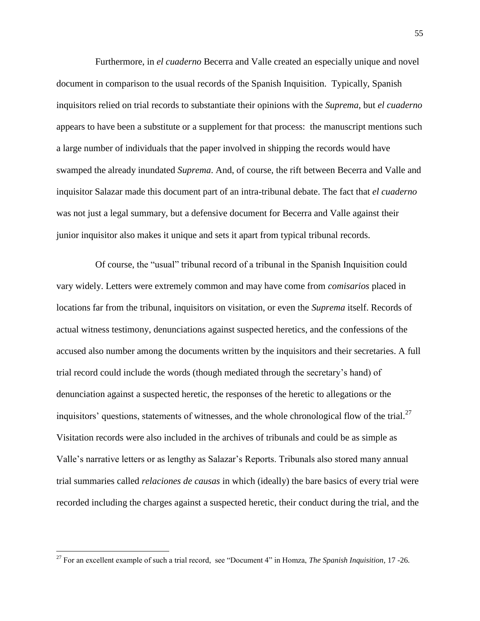Furthermore, in *el cuaderno* Becerra and Valle created an especially unique and novel document in comparison to the usual records of the Spanish Inquisition. Typically, Spanish inquisitors relied on trial records to substantiate their opinions with the *Suprema*, but *el cuaderno*  appears to have been a substitute or a supplement for that process: the manuscript mentions such a large number of individuals that the paper involved in shipping the records would have swamped the already inundated *Suprema*. And, of course, the rift between Becerra and Valle and inquisitor Salazar made this document part of an intra-tribunal debate. The fact that *el cuaderno* was not just a legal summary, but a defensive document for Becerra and Valle against their junior inquisitor also makes it unique and sets it apart from typical tribunal records.

Of course, the "usual" tribunal record of a tribunal in the Spanish Inquisition could vary widely. Letters were extremely common and may have come from *comisarios* placed in locations far from the tribunal, inquisitors on visitation, or even the *Suprema* itself. Records of actual witness testimony, denunciations against suspected heretics, and the confessions of the accused also number among the documents written by the inquisitors and their secretaries. A full trial record could include the words (though mediated through the secretary"s hand) of denunciation against a suspected heretic, the responses of the heretic to allegations or the inquisitors' questions, statements of witnesses, and the whole chronological flow of the trial. $^{27}$ Visitation records were also included in the archives of tribunals and could be as simple as Valle"s narrative letters or as lengthy as Salazar"s Reports. Tribunals also stored many annual trial summaries called *relaciones de causas* in which (ideally) the bare basics of every trial were recorded including the charges against a suspected heretic, their conduct during the trial, and the

<sup>27</sup> For an excellent example of such a trial record, see "Document 4" in Homza, *The Spanish Inquisition,* 17 -26.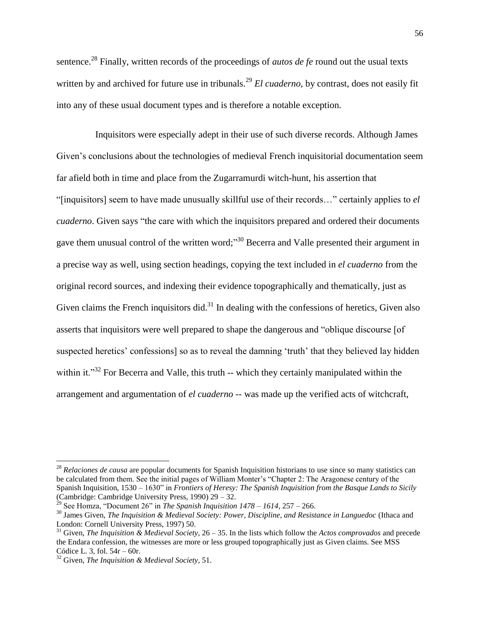sentence. <sup>28</sup> Finally, written records of the proceedings of *autos de fe* round out the usual texts written by and archived for future use in tribunals.<sup>29</sup> *El cuaderno*, by contrast, does not easily fit into any of these usual document types and is therefore a notable exception.

Inquisitors were especially adept in their use of such diverse records. Although James Given"s conclusions about the technologies of medieval French inquisitorial documentation seem far afield both in time and place from the Zugarramurdi witch-hunt, his assertion that "[inquisitors] seem to have made unusually skillful use of their records…" certainly applies to *el cuaderno*. Given says "the care with which the inquisitors prepared and ordered their documents gave them unusual control of the written word;"<sup>30</sup> Becerra and Valle presented their argument in a precise way as well, using section headings, copying the text included in *el cuaderno* from the original record sources, and indexing their evidence topographically and thematically, just as Given claims the French inquisitors did. $31$  In dealing with the confessions of heretics, Given also asserts that inquisitors were well prepared to shape the dangerous and "oblique discourse [of suspected heretics' confessions] so as to reveal the damning 'truth' that they believed lay hidden within it."<sup>32</sup> For Becerra and Valle, this truth -- which they certainly manipulated within the arrangement and argumentation of *el cuaderno* -- was made up the verified acts of witchcraft,

<sup>28</sup> *Relaciones de causa* are popular documents for Spanish Inquisition historians to use since so many statistics can be calculated from them. See the initial pages of William Monter"s "Chapter 2: The Aragonese century of the Spanish Inquisition, 1530 – 1630" in *Frontiers of Heresy: The Spanish Inquisition from the Basque Lands to Sicily* (Cambridge: Cambridge University Press, 1990) 29 – 32.

<sup>&</sup>lt;sup>29</sup> See Homza, "Document 26" in *The Spanish Inquisition 1478 – 1614*, 257 – 266.

<sup>30</sup> James Given, *The Inquisition & Medieval Society: Power, Discipline, and Resistance in Languedoc* (Ithaca and London: Cornell University Press, 1997) 50.

<sup>31</sup> Given, *The Inquisition & Medieval Society*, 26 – 35. In the lists which follow the *Actos comprovados* and precede the Endara confession, the witnesses are more or less grouped topographically just as Given claims. See MSS Códice L. 3, fol. 54r – 60r.

<sup>32</sup> Given, *The Inquisition & Medieval Society*, 51.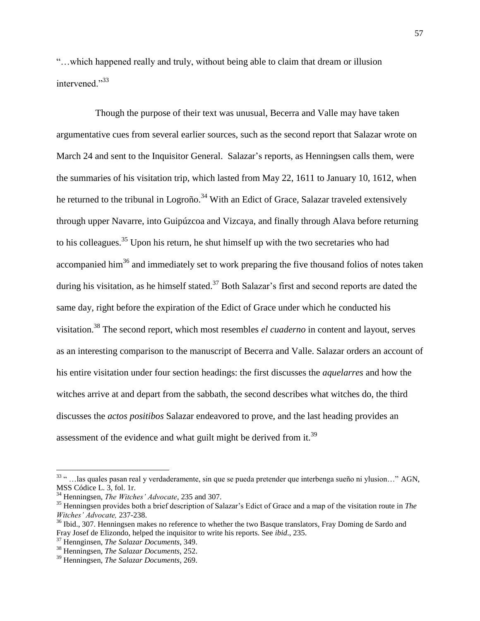"…which happened really and truly, without being able to claim that dream or illusion intervened<sup>"33</sup>

Though the purpose of their text was unusual, Becerra and Valle may have taken argumentative cues from several earlier sources, such as the second report that Salazar wrote on March 24 and sent to the Inquisitor General. Salazar's reports, as Henningsen calls them, were the summaries of his visitation trip, which lasted from May 22, 1611 to January 10, 1612, when he returned to the tribunal in Logroño.<sup>34</sup> With an Edict of Grace, Salazar traveled extensively through upper Navarre, into Guipúzcoa and Vizcaya, and finally through Alava before returning to his colleagues.<sup>35</sup> Upon his return, he shut himself up with the two secretaries who had accompanied him<sup>36</sup> and immediately set to work preparing the five thousand folios of notes taken during his visitation, as he himself stated.<sup>37</sup> Both Salazar's first and second reports are dated the same day, right before the expiration of the Edict of Grace under which he conducted his visitation.<sup>38</sup> The second report, which most resembles *el cuaderno* in content and layout, serves as an interesting comparison to the manuscript of Becerra and Valle. Salazar orders an account of his entire visitation under four section headings: the first discusses the *aquelarres* and how the witches arrive at and depart from the sabbath, the second describes what witches do, the third discusses the *actos positibos* Salazar endeavored to prove, and the last heading provides an assessment of the evidence and what guilt might be derived from it.<sup>39</sup>

<sup>33</sup> " …las quales pasan real y verdaderamente, sin que se pueda pretender que interbenga sueño ni ylusion…" AGN, MSS Códice L. 3, fol. 1r.

<sup>34</sup> Henningsen, *The Witches' Advocate*, 235 and 307.

<sup>&</sup>lt;sup>35</sup> Henningsen provides both a brief description of Salazar's Edict of Grace and a map of the visitation route in *The Witches' Advocate,* 237-238.

<sup>&</sup>lt;sup>36</sup> Ibid., 307. Henningsen makes no reference to whether the two Basque translators, Fray Doming de Sardo and Fray Josef de Elizondo, helped the inquisitor to write his reports. See *ibid*., 235.

<sup>37</sup> Hennginsen, *The Salazar Documents*, 349.

<sup>38</sup> Henningsen, *The Salazar Documents,* 252.

<sup>39</sup> Henningsen, *The Salazar Documents*, 269.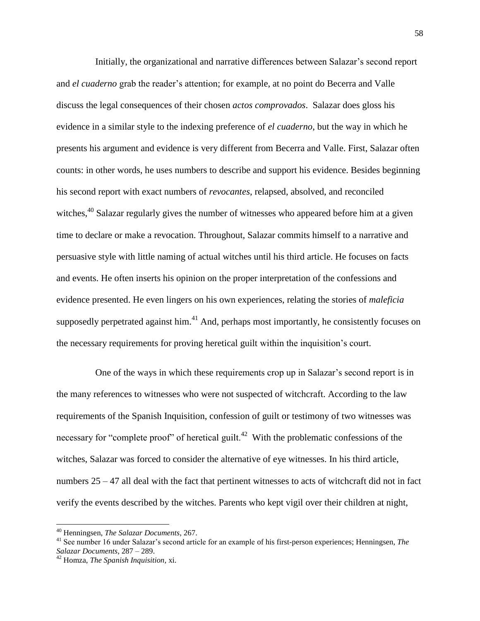Initially, the organizational and narrative differences between Salazar"s second report and *el cuaderno* grab the reader"s attention; for example, at no point do Becerra and Valle discuss the legal consequences of their chosen *actos comprovados*. Salazar does gloss his evidence in a similar style to the indexing preference of *el cuaderno*, but the way in which he presents his argument and evidence is very different from Becerra and Valle. First, Salazar often counts: in other words, he uses numbers to describe and support his evidence. Besides beginning his second report with exact numbers of *revocantes*, relapsed, absolved, and reconciled witches,<sup>40</sup> Salazar regularly gives the number of witnesses who appeared before him at a given time to declare or make a revocation. Throughout, Salazar commits himself to a narrative and persuasive style with little naming of actual witches until his third article. He focuses on facts and events. He often inserts his opinion on the proper interpretation of the confessions and evidence presented. He even lingers on his own experiences, relating the stories of *maleficia* supposedly perpetrated against him.<sup>41</sup> And, perhaps most importantly, he consistently focuses on the necessary requirements for proving heretical guilt within the inquisition"s court.

One of the ways in which these requirements crop up in Salazar"s second report is in the many references to witnesses who were not suspected of witchcraft. According to the law requirements of the Spanish Inquisition, confession of guilt or testimony of two witnesses was necessary for "complete proof" of heretical guilt.<sup>42</sup> With the problematic confessions of the witches, Salazar was forced to consider the alternative of eye witnesses. In his third article, numbers  $25 - 47$  all deal with the fact that pertinent witnesses to acts of witchcraft did not in fact verify the events described by the witches. Parents who kept vigil over their children at night,

<sup>40</sup> Henningsen, *The Salazar Documents*, 267.

<sup>&</sup>lt;sup>41</sup> See number 16 under Salazar's second article for an example of his first-person experiences; Henningsen, *The Salazar Documents*, 287 – 289.

<sup>42</sup> Homza, *The Spanish Inquisition,* xi.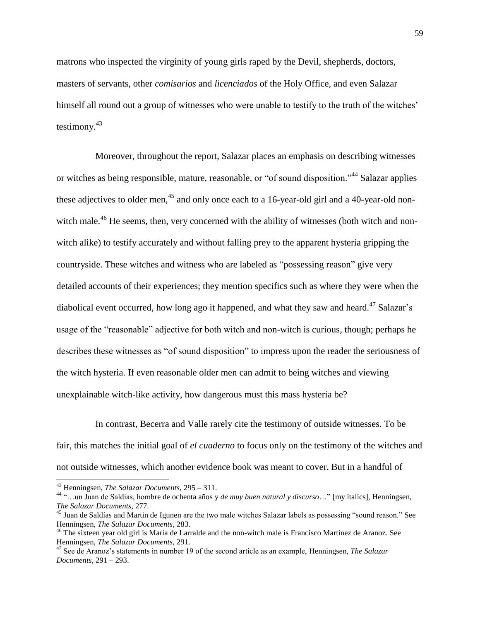matrons who inspected the virginity of young girls raped by the Devil, shepherds, doctors, masters of servants, other *comisarios* and *licenciados* of the Holy Office, and even Salazar himself all round out a group of witnesses who were unable to testify to the truth of the witches' testimony. 43

Moreover, throughout the report, Salazar places an emphasis on describing witnesses or witches as being responsible, mature, reasonable, or "of sound disposition."<sup>44</sup> Salazar applies these adjectives to older men, $45$  and only once each to a 16-year-old girl and a 40-year-old nonwitch male.<sup>46</sup> He seems, then, very concerned with the ability of witnesses (both witch and nonwitch alike) to testify accurately and without falling prey to the apparent hysteria gripping the countryside. These witches and witness who are labeled as "possessing reason" give very detailed accounts of their experiences; they mention specifics such as where they were when the diabolical event occurred, how long ago it happened, and what they saw and heard.<sup>47</sup> Salazar's usage of the "reasonable" adjective for both witch and non-witch is curious, though; perhaps he describes these witnesses as "of sound disposition" to impress upon the reader the seriousness of the witch hysteria. If even reasonable older men can admit to being witches and viewing unexplainable witch-like activity, how dangerous must this mass hysteria be?

In contrast, Becerra and Valle rarely cite the testimony of outside witnesses. To be fair, this matches the initial goal of *el cuaderno* to focus only on the testimony of the witches and not outside witnesses, which another evidence book was meant to cover. But in a handful of

<sup>43</sup> Henningsen, *The Salazar Documents*, 295 – 311.

<sup>44</sup> "…un Juan de Saldías, hombre de ochenta años y *de muy buen natural y discurso*…" [my italics], Henningsen, *The Salazar Documents*, 277.

<sup>&</sup>lt;sup>45</sup> Juan de Saldías and Martin de Igunen are the two male witches Salazar labels as possessing "sound reason." See Henningsen, *The Salazar Documents*, 283.

<sup>&</sup>lt;sup>46</sup> The sixteen year old girl is María de Larralde and the non-witch male is Francisco Martínez de Aranoz. See Henningsen, *The Salazar Documents*, 291.

<sup>47</sup> See de Aranoz"s statements in number 19 of the second article as an example, Henningsen, *The Salazar Documents*, 291 – 293.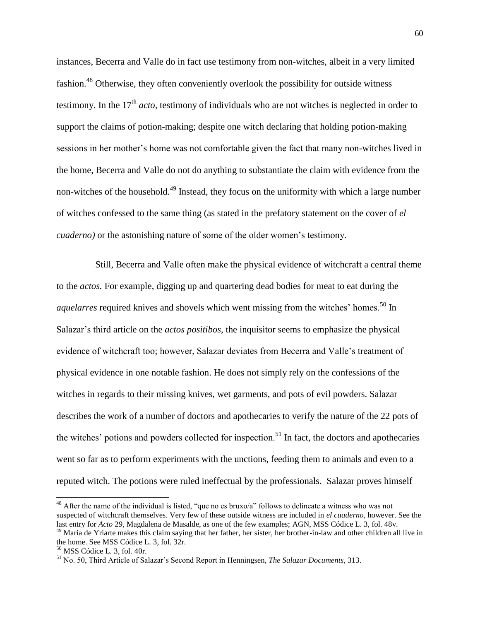instances, Becerra and Valle do in fact use testimony from non-witches, albeit in a very limited fashion.<sup>48</sup> Otherwise, they often conveniently overlook the possibility for outside witness testimony. In the  $17<sup>th</sup>$  *acto*, testimony of individuals who are not witches is neglected in order to support the claims of potion-making; despite one witch declaring that holding potion-making sessions in her mother"s home was not comfortable given the fact that many non-witches lived in the home, Becerra and Valle do not do anything to substantiate the claim with evidence from the non-witches of the household.<sup>49</sup> Instead, they focus on the uniformity with which a large number of witches confessed to the same thing (as stated in the prefatory statement on the cover of *el cuaderno*) or the astonishing nature of some of the older women's testimony.

Still, Becerra and Valle often make the physical evidence of witchcraft a central theme to the *actos.* For example, digging up and quartering dead bodies for meat to eat during the *aquelarres* required knives and shovels which went missing from the witches' homes.<sup>50</sup> In Salazar"s third article on the *actos positibos*, the inquisitor seems to emphasize the physical evidence of witchcraft too; however, Salazar deviates from Becerra and Valle"s treatment of physical evidence in one notable fashion. He does not simply rely on the confessions of the witches in regards to their missing knives, wet garments, and pots of evil powders. Salazar describes the work of a number of doctors and apothecaries to verify the nature of the 22 pots of the witches' potions and powders collected for inspection.<sup>51</sup> In fact, the doctors and apothecaries went so far as to perform experiments with the unctions, feeding them to animals and even to a reputed witch. The potions were ruled ineffectual by the professionals. Salazar proves himself

<sup>&</sup>lt;sup>48</sup> After the name of the individual is listed, "que no es bruxo/a" follows to delineate a witness who was not suspected of witchcraft themselves. Very few of these outside witness are included in *el cuaderno,* however. See the last entry for *Acto* 29, Magdalena de Masalde, as one of the few examples; AGN, MSS Códice L. 3, fol. 48v.

<sup>&</sup>lt;sup>49</sup> Maria de Yriarte makes this claim saying that her father, her sister, her brother-in-law and other children all live in the home. See MSS Códice L. 3, fol. 32r.

<sup>50</sup> MSS Códice L. 3, fol. 40r.

<sup>51</sup> No. 50, Third Article of Salazar"s Second Report in Henningsen*, The Salazar Documents*, 313.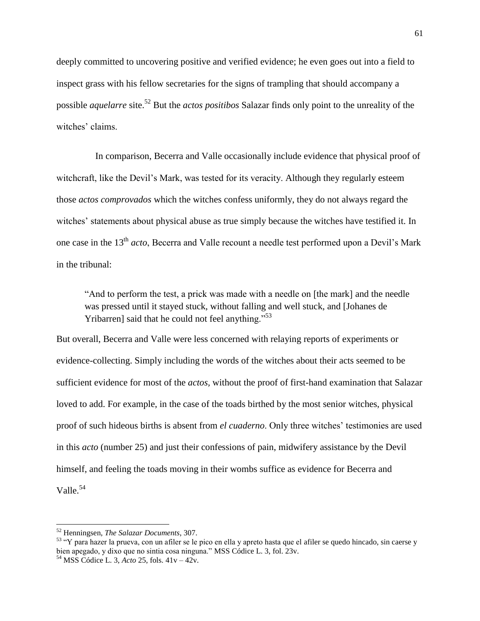deeply committed to uncovering positive and verified evidence; he even goes out into a field to inspect grass with his fellow secretaries for the signs of trampling that should accompany a possible *aquelarre* site.<sup>52</sup> But the *actos positibos* Salazar finds only point to the unreality of the witches' claims.

In comparison, Becerra and Valle occasionally include evidence that physical proof of witchcraft, like the Devil"s Mark, was tested for its veracity. Although they regularly esteem those *actos comprovados* which the witches confess uniformly, they do not always regard the witches" statements about physical abuse as true simply because the witches have testified it. In one case in the 13th *acto*, Becerra and Valle recount a needle test performed upon a Devil"s Mark in the tribunal:

"And to perform the test, a prick was made with a needle on [the mark] and the needle was pressed until it stayed stuck, without falling and well stuck, and [Johanes de Yribarren] said that he could not feel anything."<sup>53</sup>

But overall, Becerra and Valle were less concerned with relaying reports of experiments or evidence-collecting. Simply including the words of the witches about their acts seemed to be sufficient evidence for most of the *actos,* without the proof of first-hand examination that Salazar loved to add. For example, in the case of the toads birthed by the most senior witches, physical proof of such hideous births is absent from *el cuaderno*. Only three witches" testimonies are used in this *acto* (number 25) and just their confessions of pain, midwifery assistance by the Devil himself, and feeling the toads moving in their wombs suffice as evidence for Becerra and Valle.<sup>54</sup>

<sup>52</sup> Henningsen*, The Salazar Documents*, 307.

<sup>&</sup>lt;sup>53</sup> "Y para hazer la prueva, con un afiler se le pico en ella y apreto hasta que el afiler se quedo hincado, sin caerse y bien apegado, y dixo que no sintia cosa ninguna." MSS Códice L. 3, fol. 23v.

<sup>54</sup> MSS Códice L. 3, *Acto* 25, fols. 41v – 42v.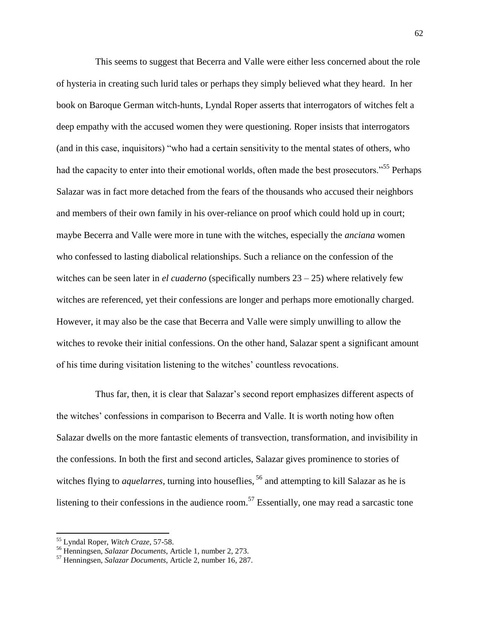This seems to suggest that Becerra and Valle were either less concerned about the role of hysteria in creating such lurid tales or perhaps they simply believed what they heard. In her book on Baroque German witch-hunts, Lyndal Roper asserts that interrogators of witches felt a deep empathy with the accused women they were questioning. Roper insists that interrogators (and in this case, inquisitors) "who had a certain sensitivity to the mental states of others, who had the capacity to enter into their emotional worlds, often made the best prosecutors."<sup>55</sup> Perhaps Salazar was in fact more detached from the fears of the thousands who accused their neighbors and members of their own family in his over-reliance on proof which could hold up in court; maybe Becerra and Valle were more in tune with the witches, especially the *anciana* women who confessed to lasting diabolical relationships. Such a reliance on the confession of the witches can be seen later in *el cuaderno* (specifically numbers  $23 - 25$ ) where relatively few witches are referenced, yet their confessions are longer and perhaps more emotionally charged. However, it may also be the case that Becerra and Valle were simply unwilling to allow the witches to revoke their initial confessions. On the other hand, Salazar spent a significant amount of his time during visitation listening to the witches" countless revocations.

Thus far, then, it is clear that Salazar's second report emphasizes different aspects of the witches" confessions in comparison to Becerra and Valle. It is worth noting how often Salazar dwells on the more fantastic elements of transvection, transformation, and invisibility in the confessions. In both the first and second articles, Salazar gives prominence to stories of witches flying to *aquelarres*, turning into houseflies, <sup>56</sup> and attempting to kill Salazar as he is listening to their confessions in the audience room.<sup>57</sup> Essentially, one may read a sarcastic tone

<sup>55</sup> Lyndal Roper, *Witch Craze,* 57-58.

<sup>56</sup> Henningsen, *Salazar Documents*, Article 1, number 2, 273.

<sup>57</sup> Henningsen, *Salazar Documents*, Article 2, number 16, 287.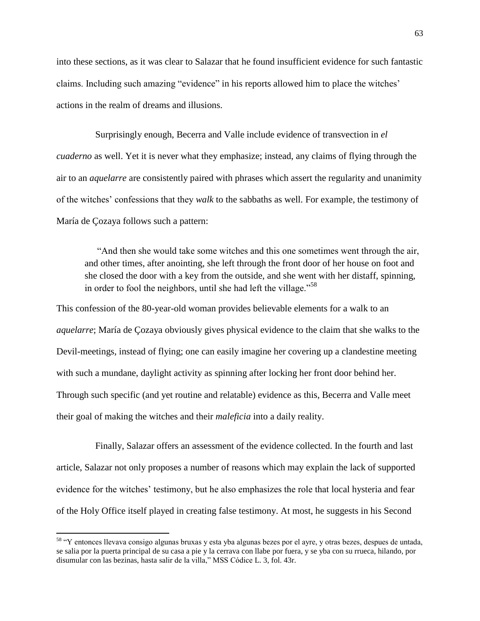into these sections, as it was clear to Salazar that he found insufficient evidence for such fantastic claims. Including such amazing "evidence" in his reports allowed him to place the witches" actions in the realm of dreams and illusions.

Surprisingly enough, Becerra and Valle include evidence of transvection in *el cuaderno* as well. Yet it is never what they emphasize; instead, any claims of flying through the air to an *aquelarre* are consistently paired with phrases which assert the regularity and unanimity of the witches" confessions that they *walk* to the sabbaths as well. For example, the testimony of María de Çozaya follows such a pattern:

"And then she would take some witches and this one sometimes went through the air, and other times, after anointing, she left through the front door of her house on foot and she closed the door with a key from the outside, and she went with her distaff, spinning, in order to fool the neighbors, until she had left the village."<sup>58</sup>

This confession of the 80-year-old woman provides believable elements for a walk to an *aquelarre*; María de Çozaya obviously gives physical evidence to the claim that she walks to the Devil-meetings, instead of flying; one can easily imagine her covering up a clandestine meeting with such a mundane, daylight activity as spinning after locking her front door behind her. Through such specific (and yet routine and relatable) evidence as this, Becerra and Valle meet their goal of making the witches and their *maleficia* into a daily reality.

Finally, Salazar offers an assessment of the evidence collected. In the fourth and last article, Salazar not only proposes a number of reasons which may explain the lack of supported evidence for the witches' testimony, but he also emphasizes the role that local hysteria and fear of the Holy Office itself played in creating false testimony. At most, he suggests in his Second

<sup>&</sup>lt;sup>58</sup> "Y entonces llevava consigo algunas bruxas y esta yba algunas bezes por el ayre, y otras bezes, despues de untada, se salia por la puerta principal de su casa a pie y la cerrava con llabe por fuera, y se yba con su rrueca, hilando, por disumular con las bezinas, hasta salir de la villa," MSS Códice L. 3, fol. 43r.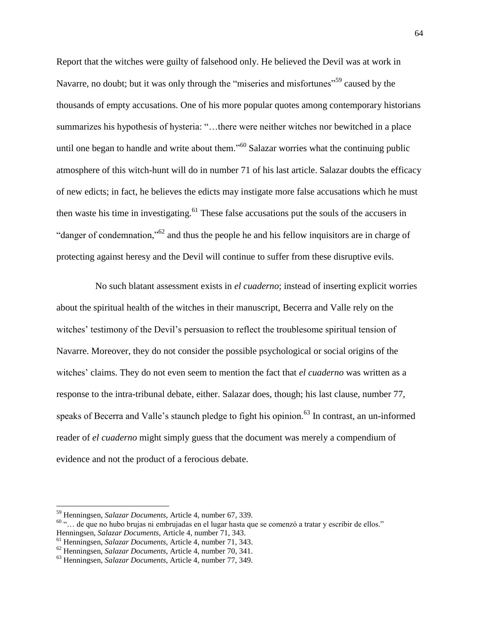Report that the witches were guilty of falsehood only. He believed the Devil was at work in Navarre, no doubt; but it was only through the "miseries and misfortunes"<sup>59</sup> caused by the thousands of empty accusations. One of his more popular quotes among contemporary historians summarizes his hypothesis of hysteria: "…there were neither witches nor bewitched in a place until one began to handle and write about them."<sup>60</sup> Salazar worries what the continuing public atmosphere of this witch-hunt will do in number 71 of his last article. Salazar doubts the efficacy of new edicts; in fact, he believes the edicts may instigate more false accusations which he must then waste his time in investigating.<sup>61</sup> These false accusations put the souls of the accusers in "danger of condemnation,"<sup>62</sup> and thus the people he and his fellow inquisitors are in charge of protecting against heresy and the Devil will continue to suffer from these disruptive evils.

No such blatant assessment exists in *el cuaderno*; instead of inserting explicit worries about the spiritual health of the witches in their manuscript, Becerra and Valle rely on the witches' testimony of the Devil's persuasion to reflect the troublesome spiritual tension of Navarre. Moreover, they do not consider the possible psychological or social origins of the witches" claims. They do not even seem to mention the fact that *el cuaderno* was written as a response to the intra-tribunal debate, either. Salazar does, though; his last clause, number 77, speaks of Becerra and Valle's staunch pledge to fight his opinion.<sup>63</sup> In contrast, an un-informed reader of *el cuaderno* might simply guess that the document was merely a compendium of evidence and not the product of a ferocious debate.

l

<sup>59</sup> Henningsen, *Salazar Documents*, Article 4, number 67, 339.

<sup>60</sup> "… de que no hubo brujas ni embrujadas en el lugar hasta que se comenzó a tratar y escribir de ellos." Henningsen, *Salazar Documents*, Article 4, number 71, 343.

<sup>61</sup> Henningsen, *Salazar Documents*, Article 4, number 71, 343.

<sup>62</sup> Henningsen, *Salazar Documents*, Article 4, number 70, 341.

<sup>63</sup> Henningsen, *Salazar Documents*, Article 4, number 77, 349.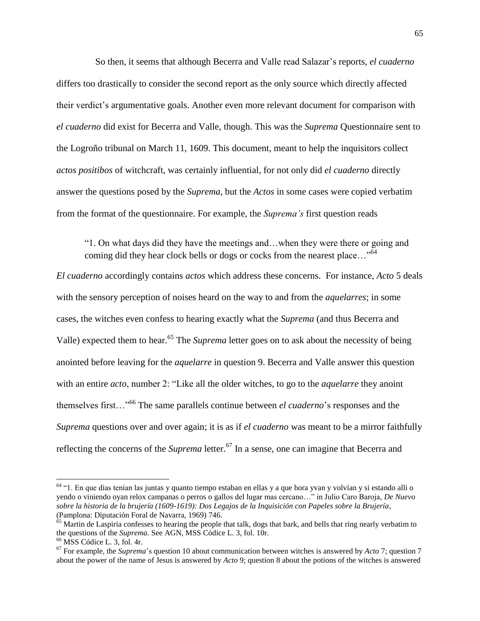So then, it seems that although Becerra and Valle read Salazar"s reports, *el cuaderno* differs too drastically to consider the second report as the only source which directly affected their verdict"s argumentative goals. Another even more relevant document for comparison with *el cuaderno* did exist for Becerra and Valle, though. This was the *Suprema* Questionnaire sent to the Logroño tribunal on March 11, 1609. This document, meant to help the inquisitors collect *actos positibos* of witchcraft, was certainly influential, for not only did *el cuaderno* directly answer the questions posed by the *Suprema*, but the *Actos* in some cases were copied verbatim from the format of the questionnaire. For example, the *Suprema's* first question reads

"1. On what days did they have the meetings and…when they were there or going and coming did they hear clock bells or dogs or cocks from the nearest place..."<sup>64</sup>

*El cuaderno* accordingly contains *actos* which address these concerns. For instance, *Acto* 5 deals with the sensory perception of noises heard on the way to and from the *aquelarres*; in some cases, the witches even confess to hearing exactly what the *Suprema* (and thus Becerra and Valle) expected them to hear.<sup>65</sup> The *Suprema* letter goes on to ask about the necessity of being anointed before leaving for the *aquelarre* in question 9. Becerra and Valle answer this question with an entire *acto*, number 2: "Like all the older witches, to go to the *aquelarre* they anoint themselves first…"<sup>66</sup> The same parallels continue between *el cuaderno*"s responses and the *Suprema* questions over and over again; it is as if *el cuaderno* was meant to be a mirror faithfully reflecting the concerns of the *Suprema* letter.<sup>67</sup> In a sense, one can imagine that Becerra and

<sup>&</sup>lt;sup>64</sup> "1. En que días tenían las juntas y quanto tiempo estaban en ellas y a que hora yvan y volvían y si estando alli o yendo o viniendo oyan relox campanas o perros o gallos del lugar mas cercano…" in Julio Caro Baroja, *De Nuevo sobre la historia de la brujería (1609-1619): Dos Legajos de la Inquisición con Papeles sobre la Brujería*, (Pamplona: Diputación Foral de Navarra, 1969) 746.

 $65$  Martin de Laspiria confesses to hearing the people that talk, dogs that bark, and bells that ring nearly verbatim to the questions of the *Suprema*. See AGN, MSS Códice L. 3, fol. 10r.

 $66$  MSS Códice L. 3, fol. 4r.

<sup>67</sup> For example, the *Suprema*"s question 10 about communication between witches is answered by *Acto* 7; question 7 about the power of the name of Jesus is answered by *Acto* 9; question 8 about the potions of the witches is answered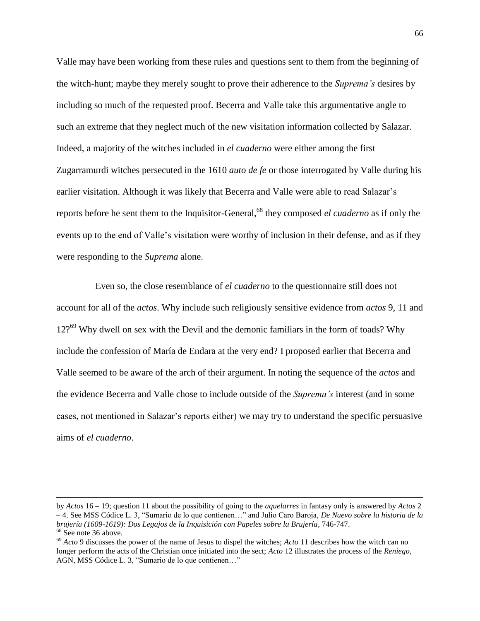Valle may have been working from these rules and questions sent to them from the beginning of the witch-hunt; maybe they merely sought to prove their adherence to the *Suprema's* desires by including so much of the requested proof. Becerra and Valle take this argumentative angle to such an extreme that they neglect much of the new visitation information collected by Salazar. Indeed, a majority of the witches included in *el cuaderno* were either among the first Zugarramurdi witches persecuted in the 1610 *auto de fe* or those interrogated by Valle during his earlier visitation. Although it was likely that Becerra and Valle were able to read Salazar's reports before he sent them to the Inquisitor-General,<sup>68</sup> they composed *el cuaderno* as if only the events up to the end of Valle"s visitation were worthy of inclusion in their defense, and as if they were responding to the *Suprema* alone.

Even so, the close resemblance of *el cuaderno* to the questionnaire still does not account for all of the *actos*. Why include such religiously sensitive evidence from *actos* 9, 11 and 12?<sup>69</sup> Why dwell on sex with the Devil and the demonic familiars in the form of toads? Why include the confession of María de Endara at the very end? I proposed earlier that Becerra and Valle seemed to be aware of the arch of their argument. In noting the sequence of the *actos* and the evidence Becerra and Valle chose to include outside of the *Suprema's* interest (and in some cases, not mentioned in Salazar"s reports either) we may try to understand the specific persuasive aims of *el cuaderno*.

by *Actos* 16 – 19; question 11 about the possibility of going to the *aquelarres* in fantasy only is answered by *Actos* 2 – 4. See MSS Códice L. 3, "Sumario de lo que contienen…" and Julio Caro Baroja, *De Nuevo sobre la historia de la brujería (1609-1619): Dos Legajos de la Inquisición con Papeles sobre la Brujería*, 746-747. <sup>68</sup> See note 36 above.

<sup>69</sup> *Acto* 9 discusses the power of the name of Jesus to dispel the witches; *Acto* 11 describes how the witch can no longer perform the acts of the Christian once initiated into the sect; *Acto* 12 illustrates the process of the *Reniego*, AGN, MSS Códice L. 3, "Sumario de lo que contienen…"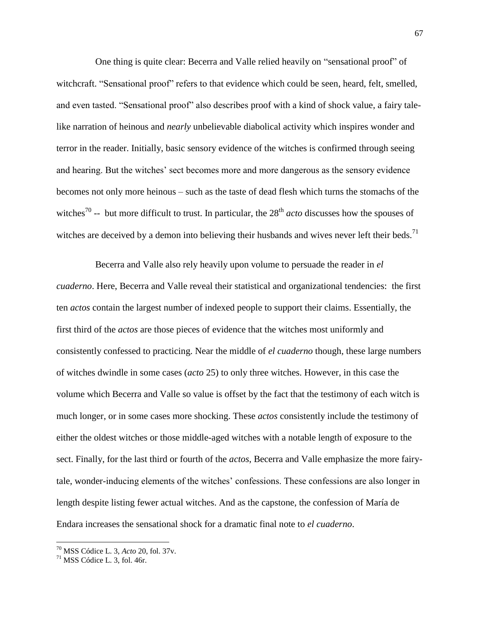One thing is quite clear: Becerra and Valle relied heavily on "sensational proof" of witchcraft. "Sensational proof" refers to that evidence which could be seen, heard, felt, smelled, and even tasted. "Sensational proof" also describes proof with a kind of shock value, a fairy talelike narration of heinous and *nearly* unbelievable diabolical activity which inspires wonder and terror in the reader. Initially, basic sensory evidence of the witches is confirmed through seeing and hearing. But the witches' sect becomes more and more dangerous as the sensory evidence becomes not only more heinous – such as the taste of dead flesh which turns the stomachs of the witches<sup>70</sup> -- but more difficult to trust. In particular, the  $28<sup>th</sup> acto$  discusses how the spouses of witches are deceived by a demon into believing their husbands and wives never left their beds.<sup>71</sup>

Becerra and Valle also rely heavily upon volume to persuade the reader in *el cuaderno*. Here, Becerra and Valle reveal their statistical and organizational tendencies: the first ten *actos* contain the largest number of indexed people to support their claims. Essentially, the first third of the *actos* are those pieces of evidence that the witches most uniformly and consistently confessed to practicing. Near the middle of *el cuaderno* though*,* these large numbers of witches dwindle in some cases (*acto* 25) to only three witches. However, in this case the volume which Becerra and Valle so value is offset by the fact that the testimony of each witch is much longer, or in some cases more shocking. These *actos* consistently include the testimony of either the oldest witches or those middle-aged witches with a notable length of exposure to the sect. Finally, for the last third or fourth of the *actos*, Becerra and Valle emphasize the more fairytale, wonder-inducing elements of the witches" confessions. These confessions are also longer in length despite listing fewer actual witches. And as the capstone, the confession of María de Endara increases the sensational shock for a dramatic final note to *el cuaderno*.

<sup>70</sup> MSS Códice L. 3, *Acto* 20, fol. 37v.

 $71$  MSS Códice L. 3, fol. 46r.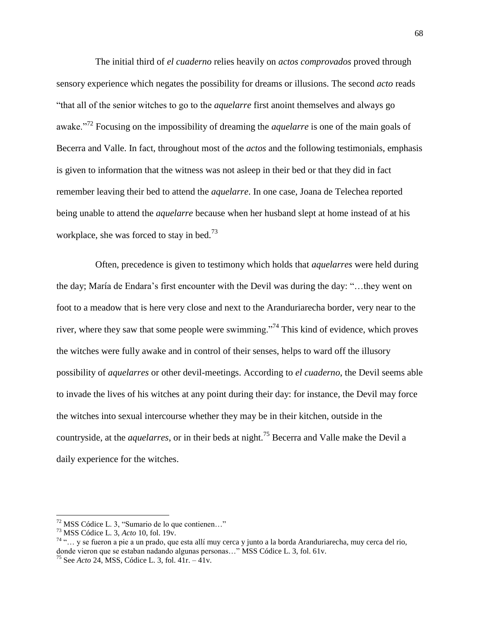The initial third of *el cuaderno* relies heavily on *actos comprovados* proved through sensory experience which negates the possibility for dreams or illusions. The second *acto* reads "that all of the senior witches to go to the *aquelarre* first anoint themselves and always go awake."<sup>72</sup> Focusing on the impossibility of dreaming the *aquelarre* is one of the main goals of Becerra and Valle. In fact, throughout most of the *actos* and the following testimonials, emphasis is given to information that the witness was not asleep in their bed or that they did in fact remember leaving their bed to attend the *aquelarre*. In one case, Joana de Telechea reported being unable to attend the *aquelarre* because when her husband slept at home instead of at his workplace, she was forced to stay in bed.<sup>73</sup>

Often, precedence is given to testimony which holds that *aquelarres* were held during the day; María de Endara"s first encounter with the Devil was during the day: "…they went on foot to a meadow that is here very close and next to the Aranduriarecha border, very near to the river, where they saw that some people were swimming."<sup>74</sup> This kind of evidence, which proves the witches were fully awake and in control of their senses, helps to ward off the illusory possibility of *aquelarres* or other devil-meetings. According to *el cuaderno*, the Devil seems able to invade the lives of his witches at any point during their day: for instance, the Devil may force the witches into sexual intercourse whether they may be in their kitchen, outside in the countryside, at the *aquelarres*, or in their beds at night.<sup>75</sup> Becerra and Valle make the Devil a daily experience for the witches.

 $\overline{a}$ 

 $72$  MSS Códice L. 3, "Sumario de lo que contienen..."

<sup>73</sup> MSS Códice L. 3, *Acto* 10, fol. 19v.

<sup>74</sup> "… y se fueron a pie a un prado, que esta allí muy cerca y junto a la borda Aranduriarecha, muy cerca del rio, donde vieron que se estaban nadando algunas personas…" MSS Códice L. 3, fol. 61v.

<sup>75</sup> See *Acto* 24, MSS, Códice L. 3, fol. 41r. – 41v.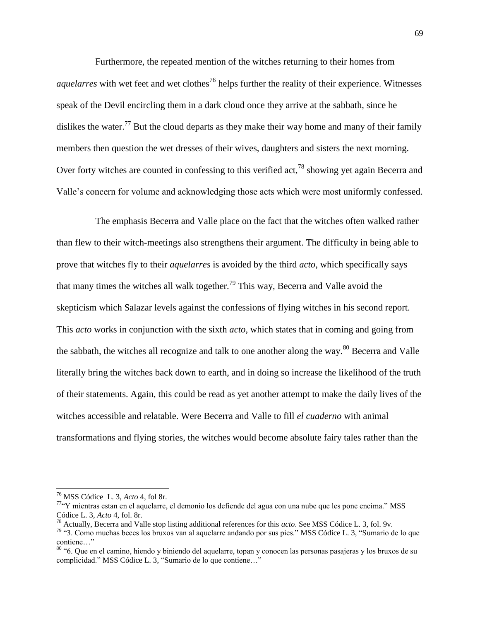Furthermore, the repeated mention of the witches returning to their homes from *aquelarres* with wet feet and wet clothes<sup>76</sup> helps further the reality of their experience. Witnesses speak of the Devil encircling them in a dark cloud once they arrive at the sabbath, since he dislikes the water.<sup>77</sup> But the cloud departs as they make their way home and many of their family members then question the wet dresses of their wives, daughters and sisters the next morning. Over forty witches are counted in confessing to this verified act,  $^{78}$  showing yet again Becerra and Valle"s concern for volume and acknowledging those acts which were most uniformly confessed.

The emphasis Becerra and Valle place on the fact that the witches often walked rather than flew to their witch-meetings also strengthens their argument. The difficulty in being able to prove that witches fly to their *aquelarres* is avoided by the third *acto*, which specifically says that many times the witches all walk together.<sup>79</sup> This way, Becerra and Valle avoid the skepticism which Salazar levels against the confessions of flying witches in his second report. This *acto* works in conjunction with the sixth *acto,* which states that in coming and going from the sabbath, the witches all recognize and talk to one another along the way.<sup>80</sup> Becerra and Valle literally bring the witches back down to earth, and in doing so increase the likelihood of the truth of their statements. Again, this could be read as yet another attempt to make the daily lives of the witches accessible and relatable. Were Becerra and Valle to fill *el cuaderno* with animal transformations and flying stories, the witches would become absolute fairy tales rather than the

<sup>76</sup> MSS Códice L. 3, *Acto* 4, fol 8r.

<sup>77</sup>"Y mientras estan en el aquelarre, el demonio los defiende del agua con una nube que les pone encima." MSS Códice L. 3, *Acto* 4, fol. 8r.

<sup>78</sup> Actually, Becerra and Valle stop listing additional references for this *acto*. See MSS Códice L. 3, fol. 9v.

<sup>79</sup> "3. Como muchas beces los bruxos van al aquelarre andando por sus pies." MSS Códice L. 3, "Sumario de lo que contiene…"

<sup>&</sup>lt;sup>80</sup> "6. Que en el camino, hiendo y biniendo del aquelarre, topan y conocen las personas pasajeras y los bruxos de su complicidad." MSS Códice L. 3, "Sumario de lo que contiene…"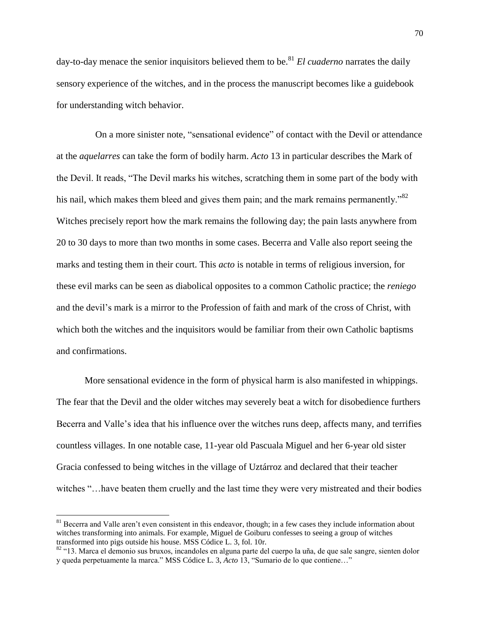day-to-day menace the senior inquisitors believed them to be.<sup>81</sup> *El cuaderno* narrates the daily sensory experience of the witches, and in the process the manuscript becomes like a guidebook for understanding witch behavior.

On a more sinister note, "sensational evidence" of contact with the Devil or attendance at the *aquelarres* can take the form of bodily harm. *Acto* 13 in particular describes the Mark of the Devil. It reads, "The Devil marks his witches, scratching them in some part of the body with his nail, which makes them bleed and gives them pain; and the mark remains permanently."<sup>82</sup> Witches precisely report how the mark remains the following day; the pain lasts anywhere from 20 to 30 days to more than two months in some cases. Becerra and Valle also report seeing the marks and testing them in their court. This *acto* is notable in terms of religious inversion, for these evil marks can be seen as diabolical opposites to a common Catholic practice; the *reniego* and the devil"s mark is a mirror to the Profession of faith and mark of the cross of Christ, with which both the witches and the inquisitors would be familiar from their own Catholic baptisms and confirmations.

More sensational evidence in the form of physical harm is also manifested in whippings. The fear that the Devil and the older witches may severely beat a witch for disobedience furthers Becerra and Valle"s idea that his influence over the witches runs deep, affects many, and terrifies countless villages. In one notable case, 11-year old Pascuala Miguel and her 6-year old sister Gracia confessed to being witches in the village of Uztárroz and declared that their teacher witches "…have beaten them cruelly and the last time they were very mistreated and their bodies

 $81$  Becerra and Valle aren't even consistent in this endeavor, though; in a few cases they include information about witches transforming into animals. For example, Miguel de Goiburu confesses to seeing a group of witches transformed into pigs outside his house. MSS Códice L. 3, fol. 10r.

<sup>&</sup>lt;sup>82</sup> "13. Marca el demonio sus bruxos, incandoles en alguna parte del cuerpo la uña, de que sale sangre, sienten dolor y queda perpetuamente la marca." MSS Códice L. 3, *Acto* 13, "Sumario de lo que contiene…"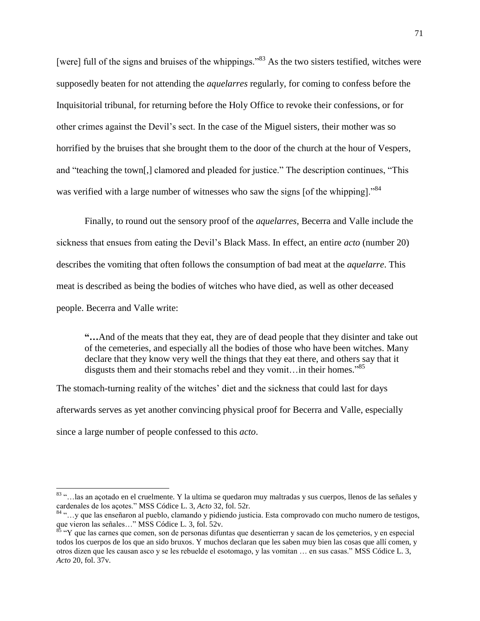[were] full of the signs and bruises of the whippings."<sup>83</sup> As the two sisters testified, witches were supposedly beaten for not attending the *aquelarres* regularly, for coming to confess before the Inquisitorial tribunal, for returning before the Holy Office to revoke their confessions, or for other crimes against the Devil"s sect. In the case of the Miguel sisters, their mother was so horrified by the bruises that she brought them to the door of the church at the hour of Vespers, and "teaching the town[,] clamored and pleaded for justice." The description continues, "This was verified with a large number of witnesses who saw the signs [of the whipping]."<sup>84</sup>

Finally, to round out the sensory proof of the *aquelarres*, Becerra and Valle include the sickness that ensues from eating the Devil"s Black Mass. In effect, an entire *acto* (number 20) describes the vomiting that often follows the consumption of bad meat at the *aquelarre*. This meat is described as being the bodies of witches who have died, as well as other deceased people. Becerra and Valle write:

**"…**And of the meats that they eat, they are of dead people that they disinter and take out of the cemeteries, and especially all the bodies of those who have been witches. Many declare that they know very well the things that they eat there, and others say that it disgusts them and their stomachs rebel and they vomit...in their homes."<sup>85</sup>

The stomach-turning reality of the witches' diet and the sickness that could last for days afterwards serves as yet another convincing physical proof for Becerra and Valle, especially since a large number of people confessed to this *acto*.

<sup>&</sup>lt;sup>83</sup> "...las an açotado en el cruelmente. Y la ultima se quedaron muy maltradas y sus cuerpos, llenos de las señales y cardenales de los açotes." MSS Códice L. 3, *Acto* 32, fol. 52r.

<sup>84</sup> "…y que las enseñaron al pueblo, clamando y pidiendo justicia. Esta comprovado con mucho numero de testigos, que vieron las señales…" MSS Códice L. 3, fol. 52v.

 $85$  "Y que las carnes que comen, son de personas difuntas que desentierran y sacan de los cemeterios, y en especial todos los cuerpos de los que an sido bruxos. Y muchos declaran que les saben muy bien las cosas que allí comen, y otros dizen que les causan asco y se les rebuelde el esotomago, y las vomitan … en sus casas." MSS Códice L. 3, *Acto* 20, fol. 37v.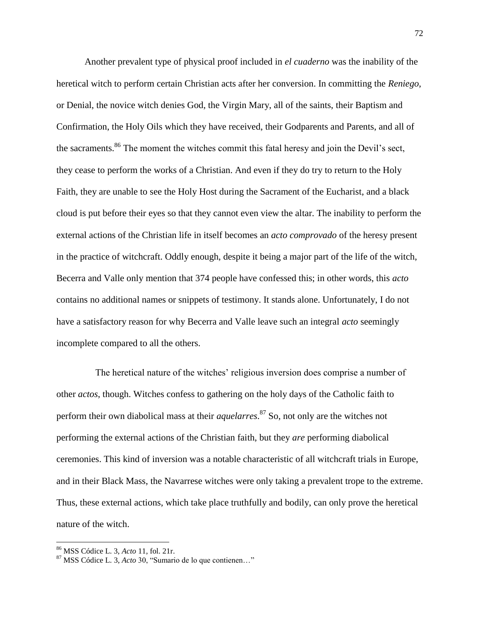Another prevalent type of physical proof included in *el cuaderno* was the inability of the heretical witch to perform certain Christian acts after her conversion. In committing the *Reniego*, or Denial, the novice witch denies God, the Virgin Mary, all of the saints, their Baptism and Confirmation, the Holy Oils which they have received, their Godparents and Parents, and all of the sacraments.<sup>86</sup> The moment the witches commit this fatal heresy and join the Devil's sect, they cease to perform the works of a Christian. And even if they do try to return to the Holy Faith, they are unable to see the Holy Host during the Sacrament of the Eucharist, and a black cloud is put before their eyes so that they cannot even view the altar. The inability to perform the external actions of the Christian life in itself becomes an *acto comprovado* of the heresy present in the practice of witchcraft. Oddly enough, despite it being a major part of the life of the witch, Becerra and Valle only mention that 374 people have confessed this; in other words, this *acto* contains no additional names or snippets of testimony. It stands alone. Unfortunately, I do not have a satisfactory reason for why Becerra and Valle leave such an integral *acto* seemingly incomplete compared to all the others.

The heretical nature of the witches' religious inversion does comprise a number of other *actos*, though. Witches confess to gathering on the holy days of the Catholic faith to perform their own diabolical mass at their *aquelarres*. <sup>87</sup> So, not only are the witches not performing the external actions of the Christian faith, but they *are* performing diabolical ceremonies. This kind of inversion was a notable characteristic of all witchcraft trials in Europe, and in their Black Mass, the Navarrese witches were only taking a prevalent trope to the extreme. Thus, these external actions, which take place truthfully and bodily, can only prove the heretical nature of the witch.

<sup>86</sup> MSS Códice L. 3, *Acto* 11, fol. 21r.

<sup>87</sup> MSS Códice L. 3, *Acto* 30, "Sumario de lo que contienen…"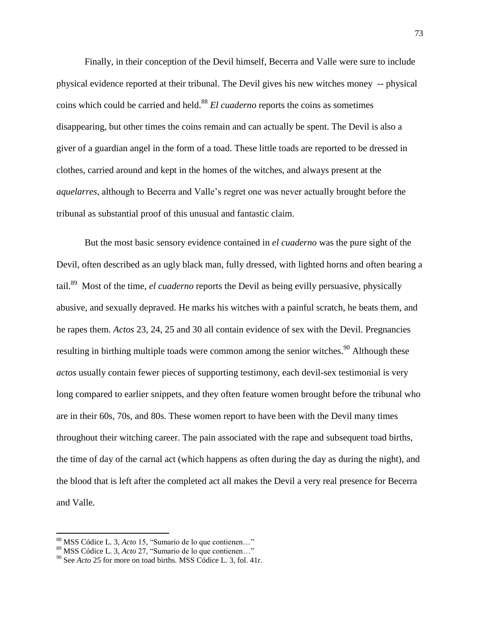Finally, in their conception of the Devil himself, Becerra and Valle were sure to include physical evidence reported at their tribunal. The Devil gives his new witches money -- physical coins which could be carried and held.<sup>88</sup> *El cuaderno* reports the coins as sometimes disappearing, but other times the coins remain and can actually be spent. The Devil is also a giver of a guardian angel in the form of a toad. These little toads are reported to be dressed in clothes, carried around and kept in the homes of the witches, and always present at the *aquelarres*, although to Becerra and Valle"s regret one was never actually brought before the tribunal as substantial proof of this unusual and fantastic claim.

But the most basic sensory evidence contained in *el cuaderno* was the pure sight of the Devil, often described as an ugly black man, fully dressed, with lighted horns and often bearing a tail.<sup>89</sup> Most of the time, *el cuaderno* reports the Devil as being evilly persuasive, physically abusive, and sexually depraved. He marks his witches with a painful scratch, he beats them, and he rapes them. *Actos* 23, 24, 25 and 30 all contain evidence of sex with the Devil. Pregnancies resulting in birthing multiple toads were common among the senior witches.<sup>90</sup> Although these *actos* usually contain fewer pieces of supporting testimony, each devil-sex testimonial is very long compared to earlier snippets, and they often feature women brought before the tribunal who are in their 60s, 70s, and 80s. These women report to have been with the Devil many times throughout their witching career. The pain associated with the rape and subsequent toad births, the time of day of the carnal act (which happens as often during the day as during the night), and the blood that is left after the completed act all makes the Devil a very real presence for Becerra and Valle.

<sup>88</sup> MSS Códice L. 3, *Acto* 15, "Sumario de lo que contienen…"

<sup>89</sup> MSS Códice L. 3, *Acto* 27, "Sumario de lo que contienen…"

<sup>90</sup> See *Acto* 25 for more on toad births. MSS Códice L. 3, fol. 41r.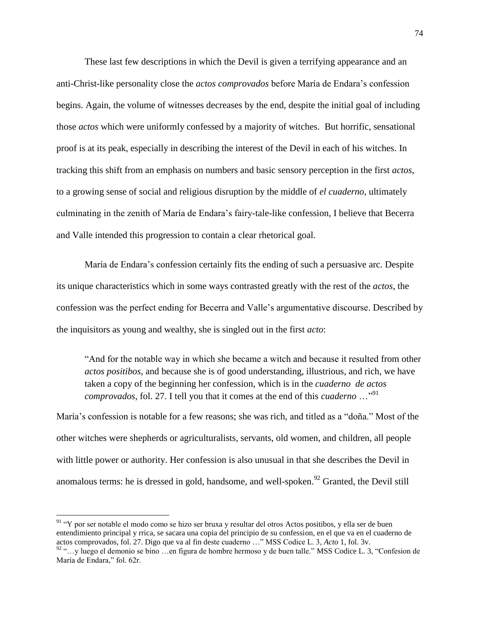These last few descriptions in which the Devil is given a terrifying appearance and an anti-Christ-like personality close the *actos comprovados* before María de Endara"s confession begins. Again, the volume of witnesses decreases by the end, despite the initial goal of including those *actos* which were uniformly confessed by a majority of witches. But horrific, sensational proof is at its peak, especially in describing the interest of the Devil in each of his witches. In tracking this shift from an emphasis on numbers and basic sensory perception in the first *actos*, to a growing sense of social and religious disruption by the middle of *el cuaderno*, ultimately culminating in the zenith of María de Endara"s fairy-tale-like confession, I believe that Becerra and Valle intended this progression to contain a clear rhetorical goal.

María de Endara"s confession certainly fits the ending of such a persuasive arc. Despite its unique characteristics which in some ways contrasted greatly with the rest of the *actos*, the confession was the perfect ending for Becerra and Valle"s argumentative discourse. Described by the inquisitors as young and wealthy, she is singled out in the first *acto*:

"And for the notable way in which she became a witch and because it resulted from other *actos positibos*, and because she is of good understanding, illustrious, and rich, we have taken a copy of the beginning her confession, which is in the *cuaderno de actos comprovados*, fol. 27. I tell you that it comes at the end of this *cuaderno* …"<sup>91</sup>

María"s confession is notable for a few reasons; she was rich, and titled as a "doña." Most of the other witches were shepherds or agriculturalists, servants, old women, and children, all people with little power or authority. Her confession is also unusual in that she describes the Devil in anomalous terms: he is dressed in gold, handsome, and well-spoken.<sup>92</sup> Granted, the Devil still

<sup>&</sup>lt;sup>91</sup> "Y por ser notable el modo como se hizo ser bruxa y resultar del otros Actos positibos, y ella ser de buen entendimiento principal y rrica, se sacara una copia del principio de su confession, en el que va en el cuaderno de actos comprovados, fol. 27. Digo que va al fin deste cuaderno …" MSS Codice L. 3, *Acto* 1, fol. 3v.

<sup>92</sup> "…y luego el demonio se bino …en figura de hombre hermoso y de buen talle." MSS Codice L. 3, "Confesion de María de Endara," fol. 62r.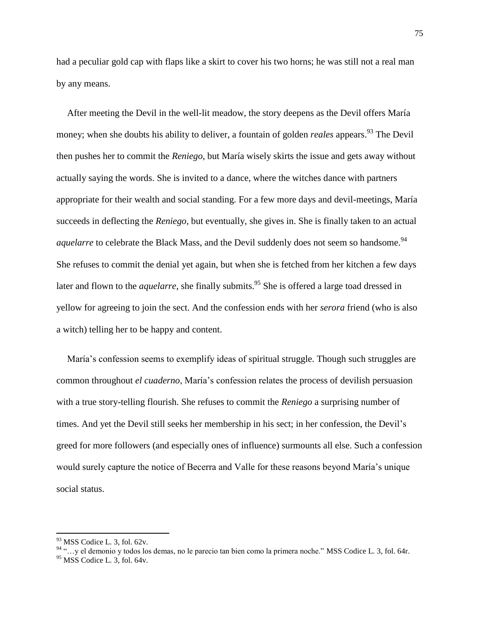had a peculiar gold cap with flaps like a skirt to cover his two horns; he was still not a real man by any means.

After meeting the Devil in the well-lit meadow, the story deepens as the Devil offers María money; when she doubts his ability to deliver, a fountain of golden *reales* appears.<sup>93</sup> The Devil then pushes her to commit the *Reniego*, but María wisely skirts the issue and gets away without actually saying the words. She is invited to a dance, where the witches dance with partners appropriate for their wealth and social standing. For a few more days and devil-meetings, María succeeds in deflecting the *Reniego*, but eventually, she gives in. She is finally taken to an actual *aquelarre* to celebrate the Black Mass, and the Devil suddenly does not seem so handsome.<sup>94</sup> She refuses to commit the denial yet again, but when she is fetched from her kitchen a few days later and flown to the *aquelarre*, she finally submits.<sup>95</sup> She is offered a large toad dressed in yellow for agreeing to join the sect. And the confession ends with her *serora* friend (who is also a witch) telling her to be happy and content.

María"s confession seems to exemplify ideas of spiritual struggle. Though such struggles are common throughout *el cuaderno*, María"s confession relates the process of devilish persuasion with a true story-telling flourish. She refuses to commit the *Reniego* a surprising number of times. And yet the Devil still seeks her membership in his sect; in her confession, the Devil"s greed for more followers (and especially ones of influence) surmounts all else. Such a confession would surely capture the notice of Becerra and Valle for these reasons beyond María"s unique social status.

 $93$  MSS Codice L. 3, fol. 62v.

<sup>94</sup> "…y el demonio y todos los demas, no le parecio tan bien como la primera noche." MSS Codice L. 3, fol. 64r.

 $95$  MSS Codice L. 3, fol. 64v.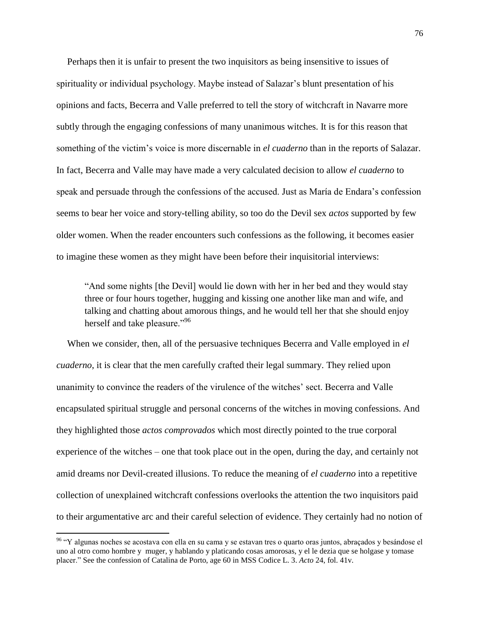Perhaps then it is unfair to present the two inquisitors as being insensitive to issues of spirituality or individual psychology. Maybe instead of Salazar's blunt presentation of his opinions and facts, Becerra and Valle preferred to tell the story of witchcraft in Navarre more subtly through the engaging confessions of many unanimous witches. It is for this reason that something of the victim"s voice is more discernable in *el cuaderno* than in the reports of Salazar. In fact, Becerra and Valle may have made a very calculated decision to allow *el cuaderno* to speak and persuade through the confessions of the accused. Just as María de Endara"s confession seems to bear her voice and story-telling ability, so too do the Devil sex *actos* supported by few older women. When the reader encounters such confessions as the following, it becomes easier to imagine these women as they might have been before their inquisitorial interviews:

"And some nights [the Devil] would lie down with her in her bed and they would stay three or four hours together, hugging and kissing one another like man and wife, and talking and chatting about amorous things, and he would tell her that she should enjoy herself and take pleasure."<sup>96</sup>

When we consider, then, all of the persuasive techniques Becerra and Valle employed in *el cuaderno*, it is clear that the men carefully crafted their legal summary. They relied upon unanimity to convince the readers of the virulence of the witches" sect. Becerra and Valle encapsulated spiritual struggle and personal concerns of the witches in moving confessions. And they highlighted those *actos comprovados* which most directly pointed to the true corporal experience of the witches – one that took place out in the open, during the day, and certainly not amid dreams nor Devil-created illusions. To reduce the meaning of *el cuaderno* into a repetitive collection of unexplained witchcraft confessions overlooks the attention the two inquisitors paid to their argumentative arc and their careful selection of evidence. They certainly had no notion of

<sup>&</sup>lt;sup>96</sup> "Y algunas noches se acostava con ella en su cama y se estavan tres o quarto oras juntos, abraçados y besándose el uno al otro como hombre y muger, y hablando y platicando cosas amorosas, y el le dezia que se holgase y tomase placer." See the confession of Catalina de Porto, age 60 in MSS Codice L. 3. *Acto* 24, fol. 41v.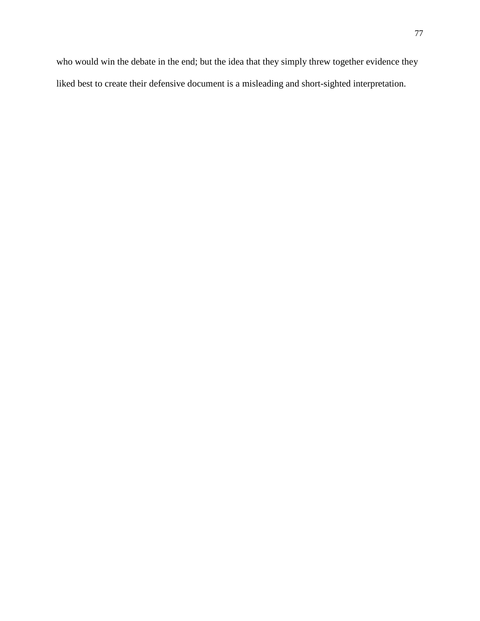who would win the debate in the end; but the idea that they simply threw together evidence they liked best to create their defensive document is a misleading and short-sighted interpretation.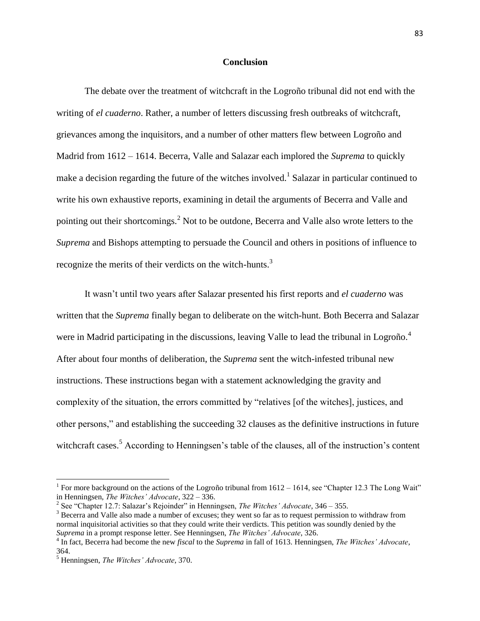## **Conclusion**

The debate over the treatment of witchcraft in the Logroño tribunal did not end with the writing of *el cuaderno*. Rather, a number of letters discussing fresh outbreaks of witchcraft, grievances among the inquisitors, and a number of other matters flew between Logroño and Madrid from 1612 – 1614. Becerra, Valle and Salazar each implored the *Suprema* to quickly make a decision regarding the future of the witches involved.<sup>1</sup> Salazar in particular continued to write his own exhaustive reports, examining in detail the arguments of Becerra and Valle and pointing out their shortcomings.<sup>2</sup> Not to be outdone, Becerra and Valle also wrote letters to the *Suprema* and Bishops attempting to persuade the Council and others in positions of influence to recognize the merits of their verdicts on the witch-hunts.<sup>3</sup>

It wasn"t until two years after Salazar presented his first reports and *el cuaderno* was written that the *Suprema* finally began to deliberate on the witch-hunt. Both Becerra and Salazar were in Madrid participating in the discussions, leaving Valle to lead the tribunal in Logroño.<sup>4</sup> After about four months of deliberation, the *Suprema* sent the witch-infested tribunal new instructions. These instructions began with a statement acknowledging the gravity and complexity of the situation, the errors committed by "relatives [of the witches], justices, and other persons," and establishing the succeeding 32 clauses as the definitive instructions in future witchcraft cases.<sup>5</sup> According to Henningsen's table of the clauses, all of the instruction's content

<sup>&</sup>lt;sup>1</sup> For more background on the actions of the Logroño tribunal from  $1612 - 1614$ , see "Chapter 12.3 The Long Wait" in Henningsen, *The Witches' Advocate*, 322 – 336.

<sup>&</sup>lt;sup>2</sup> See "Chapter 12.7: Salazar's Rejoinder" in Henningsen, *The Witches' Advocate*, 346 – 355.

<sup>&</sup>lt;sup>3</sup> Becerra and Valle also made a number of excuses; they went so far as to request permission to withdraw from normal inquisitorial activities so that they could write their verdicts. This petition was soundly denied by the *Suprema* in a prompt response letter. See Henningsen, *The Witches' Advocate*, 326.

<sup>4</sup> In fact, Becerra had become the new *fiscal* to the *Suprema* in fall of 1613. Henningsen, *The Witches' Advocate*, 364.

<sup>5</sup> Henningsen, *The Witches' Advocate*, 370.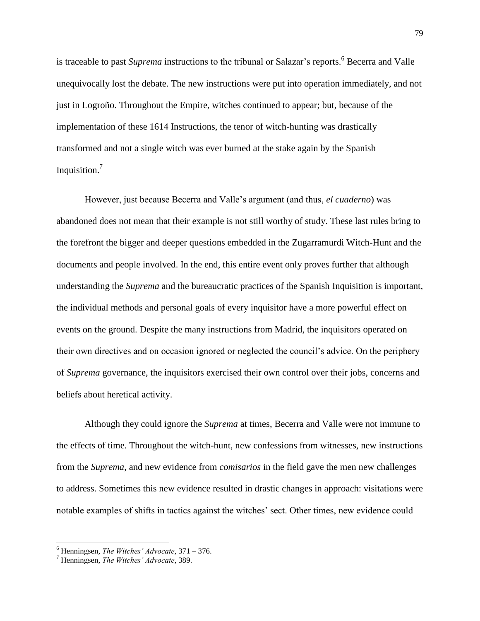is traceable to past *Suprema* instructions to the tribunal or Salazar's reports.<sup>6</sup> Becerra and Valle unequivocally lost the debate. The new instructions were put into operation immediately, and not just in Logroño. Throughout the Empire, witches continued to appear; but, because of the implementation of these 1614 Instructions, the tenor of witch-hunting was drastically transformed and not a single witch was ever burned at the stake again by the Spanish Inquisition.<sup>7</sup>

However, just because Becerra and Valle"s argument (and thus, *el cuaderno*) was abandoned does not mean that their example is not still worthy of study. These last rules bring to the forefront the bigger and deeper questions embedded in the Zugarramurdi Witch-Hunt and the documents and people involved. In the end, this entire event only proves further that although understanding the *Suprema* and the bureaucratic practices of the Spanish Inquisition is important, the individual methods and personal goals of every inquisitor have a more powerful effect on events on the ground. Despite the many instructions from Madrid, the inquisitors operated on their own directives and on occasion ignored or neglected the council"s advice. On the periphery of *Suprema* governance, the inquisitors exercised their own control over their jobs, concerns and beliefs about heretical activity.

Although they could ignore the *Suprema* at times, Becerra and Valle were not immune to the effects of time. Throughout the witch-hunt, new confessions from witnesses, new instructions from the *Suprema*, and new evidence from *comisarios* in the field gave the men new challenges to address. Sometimes this new evidence resulted in drastic changes in approach: visitations were notable examples of shifts in tactics against the witches' sect. Other times, new evidence could

<sup>6</sup> Henningsen, *The Witches' Advocate*, 371 – 376.

<sup>7</sup> Henningsen, *The Witches' Advocate*, 389.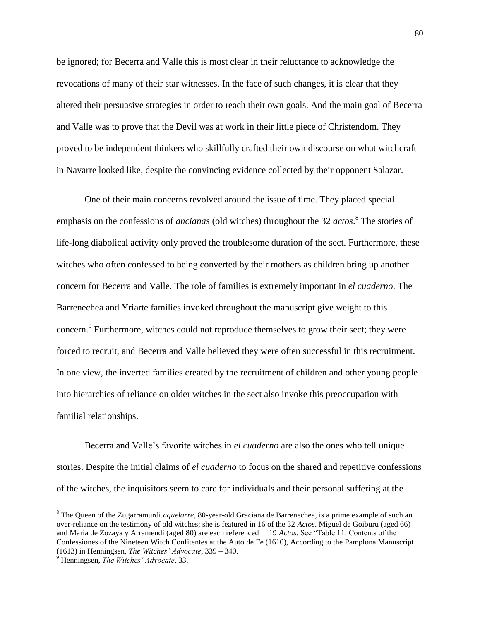be ignored; for Becerra and Valle this is most clear in their reluctance to acknowledge the revocations of many of their star witnesses. In the face of such changes, it is clear that they altered their persuasive strategies in order to reach their own goals. And the main goal of Becerra and Valle was to prove that the Devil was at work in their little piece of Christendom. They proved to be independent thinkers who skillfully crafted their own discourse on what witchcraft in Navarre looked like, despite the convincing evidence collected by their opponent Salazar.

One of their main concerns revolved around the issue of time. They placed special emphasis on the confessions of *ancianas* (old witches) throughout the 32 *actos*. 8 The stories of life-long diabolical activity only proved the troublesome duration of the sect. Furthermore, these witches who often confessed to being converted by their mothers as children bring up another concern for Becerra and Valle. The role of families is extremely important in *el cuaderno*. The Barrenechea and Yriarte families invoked throughout the manuscript give weight to this concern.<sup>9</sup> Furthermore, witches could not reproduce themselves to grow their sect; they were forced to recruit, and Becerra and Valle believed they were often successful in this recruitment. In one view, the inverted families created by the recruitment of children and other young people into hierarchies of reliance on older witches in the sect also invoke this preoccupation with familial relationships.

Becerra and Valle"s favorite witches in *el cuaderno* are also the ones who tell unique stories. Despite the initial claims of *el cuaderno* to focus on the shared and repetitive confessions of the witches, the inquisitors seem to care for individuals and their personal suffering at the

l

<sup>8</sup> The Queen of the Zugarramurdi *aquelarre*, 80-year-old Graciana de Barrenechea, is a prime example of such an over-reliance on the testimony of old witches; she is featured in 16 of the 32 *Actos*. Miguel de Goiburu (aged 66) and María de Zozaya y Arramendi (aged 80) are each referenced in 19 *Actos*. See "Table 11. Contents of the Confessiones of the Nineteen Witch Confitentes at the Auto de Fe (1610), According to the Pamplona Manuscript (1613) in Henningsen, *The Witches' Advocate*, 339 – 340.

<sup>9</sup> Henningsen, *The Witches' Advocate*, 33.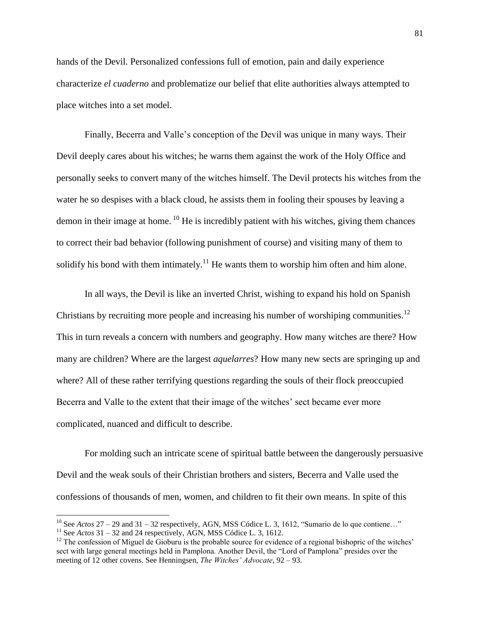hands of the Devil. Personalized confessions full of emotion, pain and daily experience characterize *el cuaderno* and problematize our belief that elite authorities always attempted to place witches into a set model.

Finally, Becerra and Valle's conception of the Devil was unique in many ways. Their Devil deeply cares about his witches; he warns them against the work of the Holy Office and personally seeks to convert many of the witches himself. The Devil protects his witches from the water he so despises with a black cloud, he assists them in fooling their spouses by leaving a demon in their image at home.  $^{10}$  He is incredibly patient with his witches, giving them chances to correct their bad behavior (following punishment of course) and visiting many of them to solidify his bond with them intimately.<sup>11</sup> He wants them to worship him often and him alone.

In all ways, the Devil is like an inverted Christ, wishing to expand his hold on Spanish Christians by recruiting more people and increasing his number of worshiping communities.<sup>12</sup> This in turn reveals a concern with numbers and geography. How many witches are there? How many are children? Where are the largest *aquelarres*? How many new sects are springing up and where? All of these rather terrifying questions regarding the souls of their flock preoccupied Becerra and Valle to the extent that their image of the witches" sect became ever more complicated, nuanced and difficult to describe.

For molding such an intricate scene of spiritual battle between the dangerously persuasive Devil and the weak souls of their Christian brothers and sisters, Becerra and Valle used the confessions of thousands of men, women, and children to fit their own means. In spite of this

<sup>&</sup>lt;sup>10</sup> See *Actos* 27 – 29 and 31 – 32 respectively, AGN, MSS Códice L. 3, 1612, "Sumario de lo que contiene..."

<sup>&</sup>lt;sup>11</sup> See *Actos*  $31 - 32$  and 24 respectively, AGN, MSS Códice L. 3, 1612.

 $12$  The confession of Miguel de Gioburu is the probable source for evidence of a regional bishopric of the witches' sect with large general meetings held in Pamplona. Another Devil, the "Lord of Pamplona" presides over the meeting of 12 other covens. See Henningsen, *The Witches' Advocate*, 92 – 93.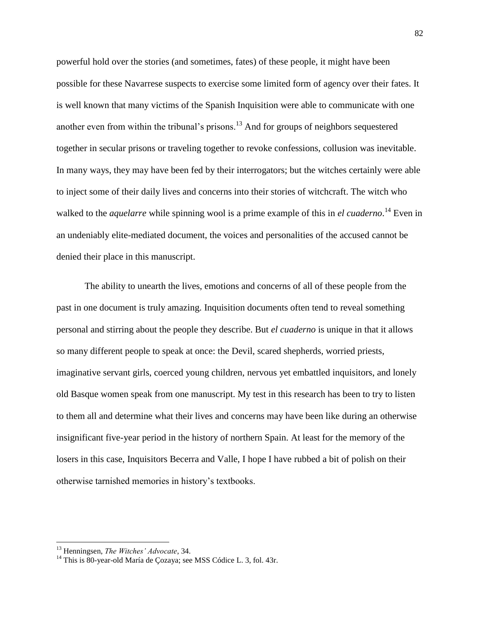powerful hold over the stories (and sometimes, fates) of these people, it might have been possible for these Navarrese suspects to exercise some limited form of agency over their fates. It is well known that many victims of the Spanish Inquisition were able to communicate with one another even from within the tribunal's prisons.<sup>13</sup> And for groups of neighbors sequestered together in secular prisons or traveling together to revoke confessions, collusion was inevitable. In many ways, they may have been fed by their interrogators; but the witches certainly were able to inject some of their daily lives and concerns into their stories of witchcraft. The witch who walked to the *aquelarre* while spinning wool is a prime example of this in *el cuaderno*. <sup>14</sup> Even in an undeniably elite-mediated document, the voices and personalities of the accused cannot be denied their place in this manuscript.

The ability to unearth the lives, emotions and concerns of all of these people from the past in one document is truly amazing. Inquisition documents often tend to reveal something personal and stirring about the people they describe. But *el cuaderno* is unique in that it allows so many different people to speak at once: the Devil, scared shepherds, worried priests, imaginative servant girls, coerced young children, nervous yet embattled inquisitors, and lonely old Basque women speak from one manuscript. My test in this research has been to try to listen to them all and determine what their lives and concerns may have been like during an otherwise insignificant five-year period in the history of northern Spain. At least for the memory of the losers in this case, Inquisitors Becerra and Valle, I hope I have rubbed a bit of polish on their otherwise tarnished memories in history"s textbooks.

<sup>13</sup> Henningsen, *The Witches' Advocate*, 34.

<sup>&</sup>lt;sup>14</sup> This is 80-year-old María de Cozaya; see MSS Códice L. 3, fol. 43r.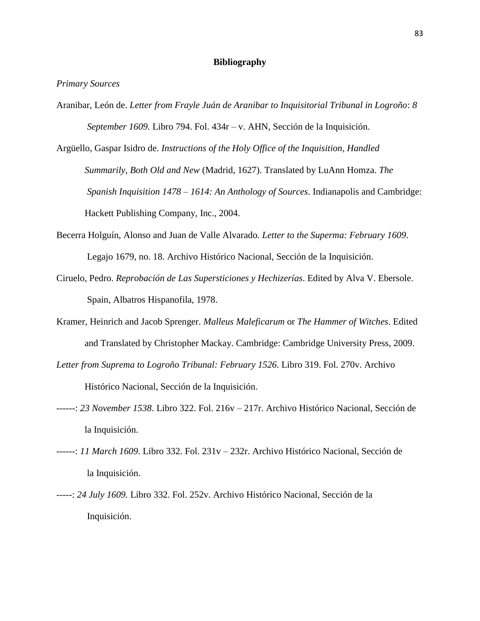## **Bibliography**

*Primary Sources*

- Aranibar, León de. *Letter from Frayle Juán de Aranibar to Inquisitorial Tribunal in Logroño*: *8 September 1609.* Libro 794. Fol. 434r – v. AHN, Sección de la Inquisición.
- Argüello, Gaspar Isidro de. *Instructions of the Holy Office of the Inquisition, Handled Summarily, Both Old and New* (Madrid, 1627). Translated by LuAnn Homza. *The Spanish Inquisition 1478 – 1614: An Anthology of Sources*. Indianapolis and Cambridge: Hackett Publishing Company, Inc., 2004.
- Becerra Holguín, Alonso and Juan de Valle Alvarado. *Letter to the Superma: February 1609*. Legajo 1679, no. 18. Archivo Histórico Nacional, Sección de la Inquisición.
- Ciruelo, Pedro. *Reprobación de Las Supersticiones y Hechizerías*. Edited by Alva V. Ebersole. Spain, Albatros Hispanofila, 1978.
- Kramer, Heinrich and Jacob Sprenger. *Malleus Maleficarum* or *The Hammer of Witches*. Edited and Translated by Christopher Mackay. Cambridge: Cambridge University Press, 2009.
- *Letter from Suprema to Logroño Tribunal: February 1526*. Libro 319. Fol. 270v. Archivo

Histórico Nacional, Sección de la Inquisición.

- ------: *23 November 1538*. Libro 322. Fol. 216v 217r. Archivo Histórico Nacional, Sección de la Inquisición.
- ------: *11 March 1609*. Libro 332. Fol. 231v 232r. Archivo Histórico Nacional, Sección de la Inquisición.
- -----: *24 July 1609.* Libro 332. Fol. 252v. Archivo Histórico Nacional, Sección de la Inquisición.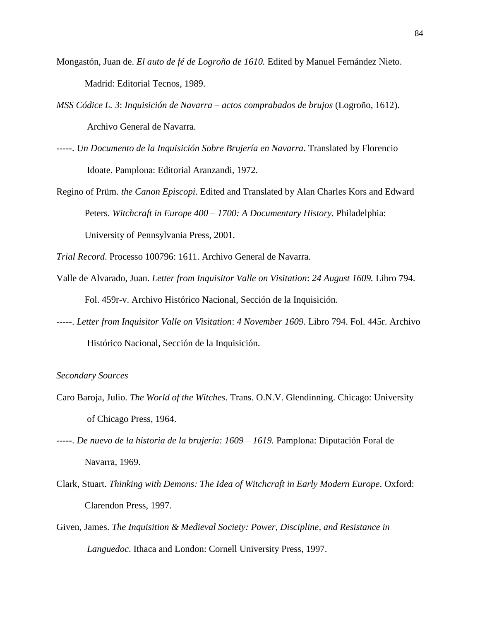- Mongastón, Juan de. *El auto de fé de Logroño de 1610.* Edited by Manuel Fernández Nieto. Madrid: Editorial Tecnos, 1989.
- *MSS Códice L. 3*: *Inquisición de Navarra – actos comprabados de brujos* (Logroño, 1612). Archivo General de Navarra.
- -----. *Un Documento de la Inquisición Sobre Brujería en Navarra*. Translated by Florencio Idoate. Pamplona: Editorial Aranzandi, 1972.
- Regino of Prüm. *the Canon Episcopi*. Edited and Translated by Alan Charles Kors and Edward Peters. *Witchcraft in Europe 400 – 1700: A Documentary History.* Philadelphia: University of Pennsylvania Press, 2001.
- *Trial Record*. Processo 100796: 1611. Archivo General de Navarra.
- Valle de Alvarado, Juan. *Letter from Inquisitor Valle on Visitation*: *24 August 1609.* Libro 794. Fol. 459r-v. Archivo Histórico Nacional, Sección de la Inquisición.
- -----. *Letter from Inquisitor Valle on Visitation*: *4 November 1609.* Libro 794. Fol. 445r. Archivo Histórico Nacional, Sección de la Inquisición.

## *Secondary Sources*

- Caro Baroja, Julio. *The World of the Witches*. Trans. O.N.V. Glendinning. Chicago: University of Chicago Press, 1964.
- -----. *De nuevo de la historia de la brujería: 1609 – 1619.* Pamplona: Diputación Foral de Navarra, 1969.
- Clark, Stuart. *Thinking with Demons: The Idea of Witchcraft in Early Modern Europe*. Oxford: Clarendon Press, 1997.
- Given, James. *The Inquisition & Medieval Society: Power, Discipline, and Resistance in Languedoc*. Ithaca and London: Cornell University Press, 1997.